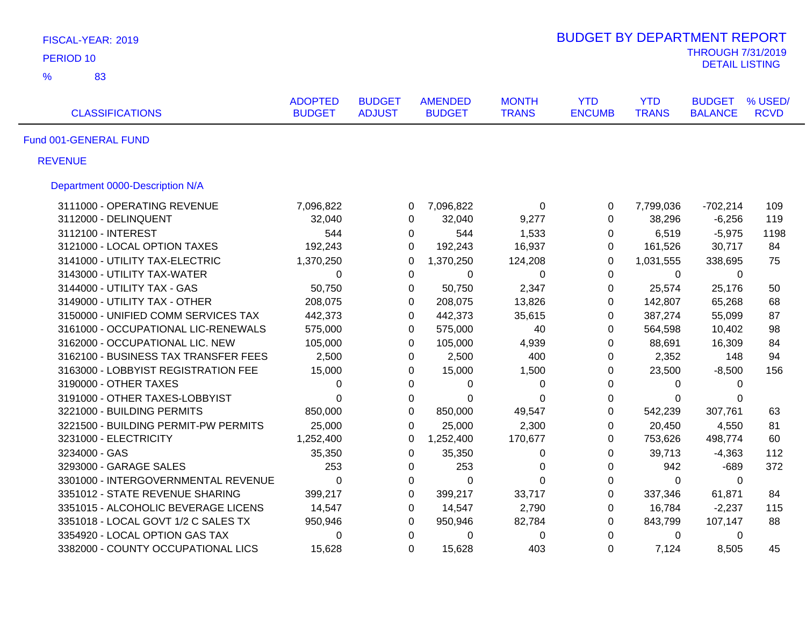| FISCAL-YEAR: 2019                    |                                 |                                |                                 |                              | <b>BUDGET BY DEPARTMENT REPORT</b> |                            |                                                   |                        |
|--------------------------------------|---------------------------------|--------------------------------|---------------------------------|------------------------------|------------------------------------|----------------------------|---------------------------------------------------|------------------------|
| PERIOD <sub>10</sub>                 |                                 |                                |                                 |                              |                                    |                            | <b>THROUGH 7/31/2019</b><br><b>DETAIL LISTING</b> |                        |
| $\frac{9}{6}$<br>83                  |                                 |                                |                                 |                              |                                    |                            |                                                   |                        |
| <b>CLASSIFICATIONS</b>               | <b>ADOPTED</b><br><b>BUDGET</b> | <b>BUDGET</b><br><b>ADJUST</b> | <b>AMENDED</b><br><b>BUDGET</b> | <b>MONTH</b><br><b>TRANS</b> | <b>YTD</b><br><b>ENCUMB</b>        | <b>YTD</b><br><b>TRANS</b> | <b>BUDGET</b><br><b>BALANCE</b>                   | % USED/<br><b>RCVD</b> |
| Fund 001-GENERAL FUND                |                                 |                                |                                 |                              |                                    |                            |                                                   |                        |
| <b>REVENUE</b>                       |                                 |                                |                                 |                              |                                    |                            |                                                   |                        |
| Department 0000-Description N/A      |                                 |                                |                                 |                              |                                    |                            |                                                   |                        |
| 3111000 - OPERATING REVENUE          | 7,096,822                       |                                | 7,096,822<br>0                  | 0                            | 0                                  | 7,799,036                  | $-702,214$                                        | 109                    |
| 3112000 - DELINQUENT                 | 32,040                          |                                | 32,040<br>$\Omega$              | 9,277                        | 0                                  | 38,296                     | $-6,256$                                          | 119                    |
| 3112100 - INTEREST                   | 544                             |                                | 544<br>0                        | 1,533                        | 0                                  | 6,519                      | $-5,975$                                          | 1198                   |
| 3121000 - LOCAL OPTION TAXES         | 192,243                         |                                | 192,243<br>$\Omega$             | 16,937                       | $\Omega$                           | 161,526                    | 30,717                                            | 84                     |
| 3141000 - UTILITY TAX-ELECTRIC       | 1,370,250                       | 0                              | 1,370,250                       | 124,208                      | $\Omega$                           | 1,031,555                  | 338,695                                           | 75                     |
| 3143000 - UTILITY TAX-WATER          | $\mathbf 0$                     |                                | 0<br>0                          | 0                            | 0                                  | 0                          | 0                                                 |                        |
| 3144000 - UTILITY TAX - GAS          | 50,750                          |                                | 50,750<br>0                     | 2,347                        | 0                                  | 25,574                     | 25,176                                            | 50                     |
| 3149000 - UTILITY TAX - OTHER        | 208,075                         |                                | 208,075<br>0                    | 13,826                       | 0                                  | 142,807                    | 65,268                                            | 68                     |
| 3150000 - UNIFIED COMM SERVICES TAX  | 442,373                         |                                | $\Omega$<br>442,373             | 35,615                       | $\Omega$                           | 387,274                    | 55,099                                            | 87                     |
| 3161000 - OCCUPATIONAL LIC-RENEWALS  | 575,000                         |                                | 575,000<br>0                    | 40                           | $\mathbf 0$                        | 564,598                    | 10,402                                            | 98                     |
| 3162000 - OCCUPATIONAL LIC. NEW      | 105,000                         |                                | 105,000<br>0                    | 4,939                        | $\mathbf 0$                        | 88,691                     | 16,309                                            | 84                     |
| 3162100 - BUSINESS TAX TRANSFER FEES | 2,500                           |                                | 2,500<br>0                      | 400                          | 0                                  | 2,352                      | 148                                               | 94                     |
| 3163000 - LOBBYIST REGISTRATION FEE  | 15,000                          |                                | 15,000<br>0                     | 1,500                        | 0                                  | 23,500                     | $-8,500$                                          | 156                    |
| 3190000 - OTHER TAXES                | $\Omega$                        |                                | $\Omega$<br>$\Omega$            | 0                            | $\Omega$                           | 0                          | 0                                                 |                        |
| 3191000 - OTHER TAXES-LOBBYIST       | $\Omega$                        |                                | 0<br>0                          | 0                            | 0                                  | 0                          | 0                                                 |                        |
| 3221000 - BUILDING PERMITS           | 850,000                         |                                | $\Omega$<br>850,000             | 49,547                       | $\Omega$                           | 542,239                    | 307,761                                           | 63                     |
| 3221500 - BUILDING PERMIT-PW PERMITS | 25,000                          |                                | 25,000<br>$\Omega$              | 2,300                        | 0                                  | 20,450                     | 4,550                                             | 81                     |
| 3231000 - ELECTRICITY                | 1,252,400                       | 0                              | 1,252,400                       | 170,677                      | $\mathbf 0$                        | 753,626                    | 498,774                                           | 60                     |
| 3234000 - GAS                        | 35,350                          |                                | 35,350<br>0                     | 0                            | 0                                  | 39,713                     | $-4,363$                                          | 112                    |
| 3293000 - GARAGE SALES               | 253                             |                                | 0<br>253                        | 0                            | 0                                  | 942                        | $-689$                                            | 372                    |
| 3301000 - INTERGOVERNMENTAL REVENUE  | $\mathbf 0$                     |                                | 0<br>$\mathbf 0$                | $\Omega$                     | $\mathbf 0$                        | 0                          | $\mathbf{0}$                                      |                        |
| 3351012 - STATE REVENUE SHARING      | 399,217                         |                                | 0<br>399,217                    | 33,717                       | $\boldsymbol{0}$                   | 337,346                    | 61,871                                            | 84                     |
| 3351015 - ALCOHOLIC BEVERAGE LICENS  | 14,547                          |                                | 0<br>14,547                     | 2,790                        | 0                                  | 16,784                     | $-2,237$                                          | 115                    |
| 3351018 - LOCAL GOVT 1/2 C SALES TX  | 950,946                         |                                | 950,946<br>0                    | 82,784                       | 0                                  | 843,799                    | 107,147                                           | 88                     |
| 3354920 - LOCAL OPTION GAS TAX       | $\mathbf 0$                     |                                | $\mathbf 0$<br>0                | 0                            | 0                                  | 0                          | 0                                                 |                        |
| 3382000 - COUNTY OCCUPATIONAL LICS   | 15,628                          |                                | 15,628<br>0                     | 403                          | $\Omega$                           | 7,124                      | 8,505                                             | 45                     |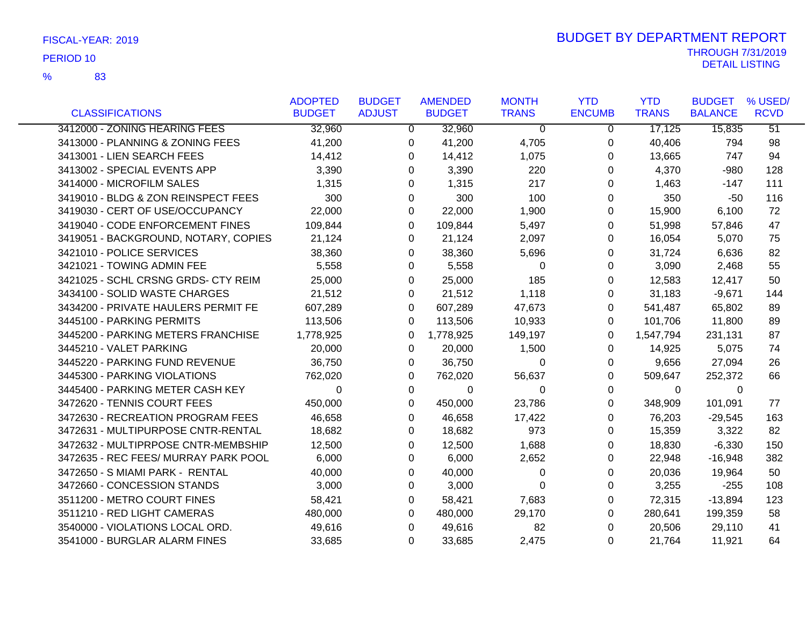|                                      | <b>ADOPTED</b> | <b>BUDGET</b> | <b>AMENDED</b> | <b>MONTH</b> | <b>YTD</b>    | <b>YTD</b>   | <b>BUDGET</b>  | % USED/         |
|--------------------------------------|----------------|---------------|----------------|--------------|---------------|--------------|----------------|-----------------|
| <b>CLASSIFICATIONS</b>               | <b>BUDGET</b>  | <b>ADJUST</b> | <b>BUDGET</b>  | <b>TRANS</b> | <b>ENCUMB</b> | <b>TRANS</b> | <b>BALANCE</b> | <b>RCVD</b>     |
| 3412000 - ZONING HEARING FEES        | 32,960         | $\Omega$      | 32,960         | $\Omega$     | $\Omega$      | 17,125       | 15,835         | $\overline{51}$ |
| 3413000 - PLANNING & ZONING FEES     | 41,200         | 0             | 41,200         | 4,705        | 0             | 40,406       | 794            | 98              |
| 3413001 - LIEN SEARCH FEES           | 14,412         | 0             | 14,412         | 1,075        | 0             | 13,665       | 747            | 94              |
| 3413002 - SPECIAL EVENTS APP         | 3,390          | 0             | 3,390          | 220          | $\Omega$      | 4,370        | $-980$         | 128             |
| 3414000 - MICROFILM SALES            | 1,315          | 0             | 1,315          | 217          | 0             | 1,463        | -147           | 111             |
| 3419010 - BLDG & ZON REINSPECT FEES  | 300            | $\Omega$      | 300            | 100          | 0             | 350          | -50            | 116             |
| 3419030 - CERT OF USE/OCCUPANCY      | 22,000         | 0             | 22,000         | 1,900        | 0             | 15,900       | 6,100          | 72              |
| 3419040 - CODE ENFORCEMENT FINES     | 109,844        | 0             | 109,844        | 5,497        | 0             | 51,998       | 57,846         | 47              |
| 3419051 - BACKGROUND, NOTARY, COPIES | 21,124         | 0             | 21,124         | 2,097        | 0             | 16,054       | 5,070          | 75              |
| 3421010 - POLICE SERVICES            | 38,360         | 0             | 38,360         | 5,696        | 0             | 31,724       | 6,636          | 82              |
| 3421021 - TOWING ADMIN FEE           | 5,558          | 0             | 5,558          | $\Omega$     | 0             | 3,090        | 2,468          | 55              |
| 3421025 - SCHL CRSNG GRDS- CTY REIM  | 25,000         | 0             | 25,000         | 185          | 0             | 12,583       | 12,417         | 50              |
| 3434100 - SOLID WASTE CHARGES        | 21,512         | 0             | 21,512         | 1,118        | 0             | 31,183       | $-9,671$       | 144             |
| 3434200 - PRIVATE HAULERS PERMIT FE  | 607,289        | $\Omega$      | 607,289        | 47,673       | $\Omega$      | 541,487      | 65,802         | 89              |
| 3445100 - PARKING PERMITS            | 113,506        | 0             | 113,506        | 10,933       | 0             | 101,706      | 11,800         | 89              |
| 3445200 - PARKING METERS FRANCHISE   | 1,778,925      | 0             | 1,778,925      | 149,197      | 0             | 1,547,794    | 231,131        | 87              |
| 3445210 - VALET PARKING              | 20,000         | 0             | 20,000         | 1,500        | 0             | 14,925       | 5,075          | 74              |
| 3445220 - PARKING FUND REVENUE       | 36,750         | 0             | 36,750         | $\Omega$     | 0             | 9,656        | 27,094         | 26              |
| 3445300 - PARKING VIOLATIONS         | 762,020        | 0             | 762,020        | 56,637       | 0             | 509,647      | 252,372        | 66              |
| 3445400 - PARKING METER CASH KEY     | $\Omega$       | 0             | $\Omega$       | 0            | 0             | $\mathbf 0$  | $\mathbf 0$    |                 |
| 3472620 - TENNIS COURT FEES          | 450,000        | 0             | 450,000        | 23,786       | 0             | 348,909      | 101,091        | 77              |
| 3472630 - RECREATION PROGRAM FEES    | 46,658         | 0             | 46,658         | 17,422       | 0             | 76,203       | $-29,545$      | 163             |
| 3472631 - MULTIPURPOSE CNTR-RENTAL   | 18,682         | 0             | 18,682         | 973          | 0             | 15,359       | 3,322          | 82              |
| 3472632 - MULTIPRPOSE CNTR-MEMBSHIP  | 12,500         | 0             | 12,500         | 1,688        | 0             | 18,830       | $-6,330$       | 150             |
| 3472635 - REC FEES/ MURRAY PARK POOL | 6,000          | 0             | 6,000          | 2,652        | $\Omega$      | 22,948       | $-16,948$      | 382             |
| 3472650 - S MIAMI PARK - RENTAL      | 40,000         | 0             | 40,000         | 0            | 0             | 20,036       | 19,964         | 50              |
| 3472660 - CONCESSION STANDS          | 3,000          | $\Omega$      | 3,000          | $\Omega$     | 0             | 3,255        | $-255$         | 108             |
| 3511200 - METRO COURT FINES          | 58,421         | 0             | 58,421         | 7,683        | 0             | 72,315       | $-13,894$      | 123             |
| 3511210 - RED LIGHT CAMERAS          | 480,000        | 0             | 480,000        | 29,170       | 0             | 280,641      | 199,359        | 58              |
| 3540000 - VIOLATIONS LOCAL ORD.      | 49,616         | 0             | 49,616         | 82           | $\Omega$      | 20,506       | 29,110         | 41              |
| 3541000 - BURGLAR ALARM FINES        | 33,685         | 0             | 33,685         | 2,475        | $\Omega$      | 21,764       | 11,921         | 64              |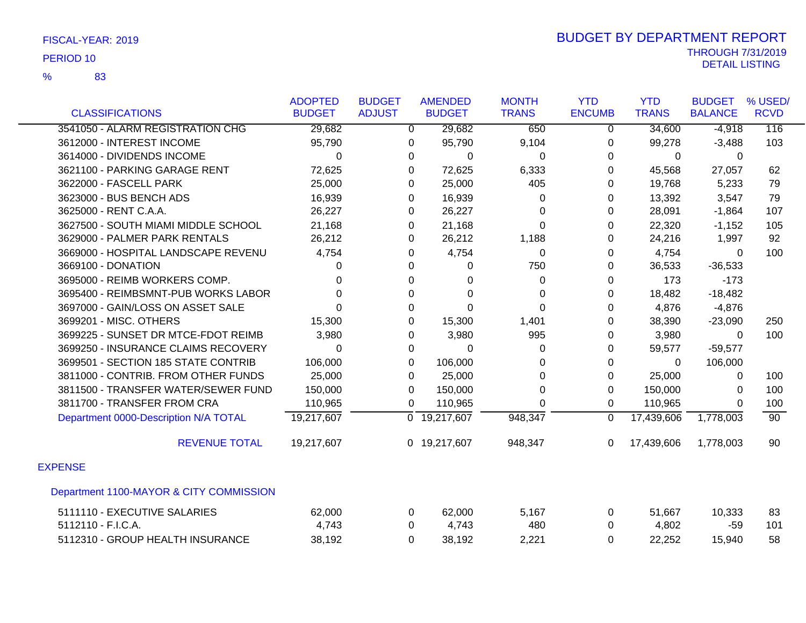|                                         | <b>ADOPTED</b> | <b>BUDGET</b>  | <b>AMENDED</b>            | <b>MONTH</b> | <b>YTD</b>     | <b>YTD</b>   | <b>BUDGET</b>  | % USED/         |
|-----------------------------------------|----------------|----------------|---------------------------|--------------|----------------|--------------|----------------|-----------------|
| <b>CLASSIFICATIONS</b>                  | <b>BUDGET</b>  | <b>ADJUST</b>  | <b>BUDGET</b>             | <b>TRANS</b> | <b>ENCUMB</b>  | <b>TRANS</b> | <b>BALANCE</b> | <b>RCVD</b>     |
| 3541050 - ALARM REGISTRATION CHG        | 29,682         | $\overline{0}$ | 29,682                    | 650          | $\overline{0}$ | 34,600       | $-4,918$       | 116             |
| 3612000 - INTEREST INCOME               | 95,790         | 0              | 95,790                    | 9,104        | $\Omega$       | 99,278       | $-3,488$       | 103             |
| 3614000 - DIVIDENDS INCOME              | 0              | 0              | $\Omega$                  | 0            | $\Omega$       | 0            | $\Omega$       |                 |
| 3621100 - PARKING GARAGE RENT           | 72,625         | 0              | 72,625                    | 6,333        | 0              | 45,568       | 27,057         | 62              |
| 3622000 - FASCELL PARK                  | 25,000         | 0              | 25,000                    | 405          | 0              | 19,768       | 5,233          | 79              |
| 3623000 - BUS BENCH ADS                 | 16,939         | 0              | 16,939                    | $\Omega$     | $\Omega$       | 13,392       | 3,547          | 79              |
| 3625000 - RENT C.A.A.                   | 26,227         | 0              | 26,227                    | 0            | $\Omega$       | 28,091       | $-1,864$       | 107             |
| 3627500 - SOUTH MIAMI MIDDLE SCHOOL     | 21,168         | 0              | 21,168                    | $\Omega$     | 0              | 22,320       | $-1,152$       | 105             |
| 3629000 - PALMER PARK RENTALS           | 26,212         | 0              | 26,212                    | 1,188        | $\Omega$       | 24,216       | 1,997          | 92              |
| 3669000 - HOSPITAL LANDSCAPE REVENU     | 4,754          | 0              | 4,754                     | 0            | 0              | 4,754        | $\Omega$       | 100             |
| 3669100 - DONATION                      | 0              | $\Omega$       | 0                         | 750          | 0              | 36,533       | $-36,533$      |                 |
| 3695000 - REIMB WORKERS COMP.           | 0              | 0              | 0                         | 0            | 0              | 173          | $-173$         |                 |
| 3695400 - REIMBSMNT-PUB WORKS LABOR     | $\Omega$       | $\Omega$       | $\Omega$                  | $\Omega$     | $\Omega$       | 18,482       | $-18,482$      |                 |
| 3697000 - GAIN/LOSS ON ASSET SALE       | $\Omega$       | $\Omega$       | $\Omega$                  | $\Omega$     | $\Omega$       | 4,876        | $-4,876$       |                 |
| 3699201 - MISC. OTHERS                  | 15,300         | 0              | 15,300                    | 1,401        | 0              | 38,390       | $-23,090$      | 250             |
| 3699225 - SUNSET DR MTCE-FDOT REIMB     | 3,980          | 0              | 3,980                     | 995          | $\Omega$       | 3,980        | 0              | 100             |
| 3699250 - INSURANCE CLAIMS RECOVERY     | 0              | 0              | 0                         | $\Omega$     | 0              | 59,577       | $-59,577$      |                 |
| 3699501 - SECTION 185 STATE CONTRIB     | 106,000        | 0              | 106,000                   | 0            | 0              | $\Omega$     | 106,000        |                 |
| 3811000 - CONTRIB. FROM OTHER FUNDS     | 25,000         | 0              | 25,000                    | $\Omega$     | 0              | 25,000       | 0              | 100             |
| 3811500 - TRANSFER WATER/SEWER FUND     | 150,000        | $\Omega$       | 150,000                   | $\Omega$     | $\mathbf{0}$   | 150,000      | $\mathbf{0}$   | 100             |
| 3811700 - TRANSFER FROM CRA             | 110,965        | 0              | 110,965                   | 0            | $\mathbf 0$    | 110,965      | $\Omega$       | 100             |
| Department 0000-Description N/A TOTAL   | 19,217,607     |                | $\overline{0}$ 19,217,607 | 948,347      | $\Omega$       | 17,439,606   | 1,778,003      | $\overline{90}$ |
| <b>REVENUE TOTAL</b>                    | 19,217,607     |                | 0 19,217,607              | 948,347      | $\mathbf{0}$   | 17,439,606   | 1,778,003      | 90              |
| <b>EXPENSE</b>                          |                |                |                           |              |                |              |                |                 |
| Department 1100-MAYOR & CITY COMMISSION |                |                |                           |              |                |              |                |                 |
| 5111110 - EXECUTIVE SALARIES            | 62,000         | 0              | 62,000                    | 5,167        | 0              | 51,667       | 10,333         | 83              |
| 5112110 - F.I.C.A.                      | 4,743          | 0              | 4,743                     | 480          | $\mathbf{0}$   | 4,802        | $-59$          | 101             |
| 5112310 - GROUP HEALTH INSURANCE        | 38,192         | 0              | 38,192                    | 2,221        | 0              | 22,252       | 15,940         | 58              |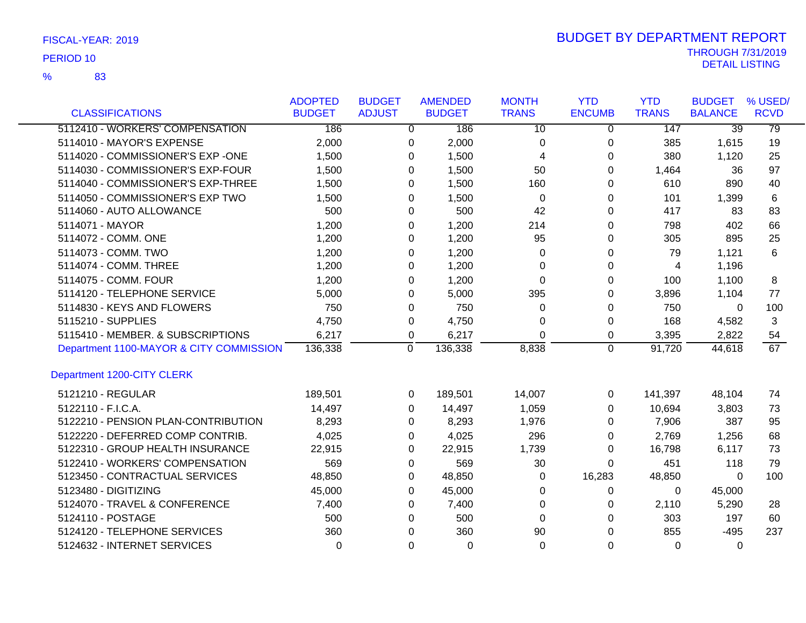83 %

|                                         | <b>ADOPTED</b> | <b>BUDGET</b> |                | <b>AMENDED</b> | <b>MONTH</b>    | <b>YTD</b>    | <b>YTD</b>   | <b>BUDGET</b>   | % USED/     |
|-----------------------------------------|----------------|---------------|----------------|----------------|-----------------|---------------|--------------|-----------------|-------------|
| <b>CLASSIFICATIONS</b>                  | <b>BUDGET</b>  | <b>ADJUST</b> |                | <b>BUDGET</b>  | <b>TRANS</b>    | <b>ENCUMB</b> | <b>TRANS</b> | <b>BALANCE</b>  | <b>RCVD</b> |
| 5112410 - WORKERS' COMPENSATION         | 186            |               | $\overline{0}$ | 186            | $\overline{10}$ | $\mathbf 0$   | 147          | $\overline{39}$ | 79          |
| 5114010 - MAYOR'S EXPENSE               | 2,000          |               | 0              | 2,000          | $\Omega$        | 0             | 385          | 1,615           | 19          |
| 5114020 - COMMISSIONER'S EXP -ONE       | 1,500          |               | $\Omega$       | 1,500          | 4               | 0             | 380          | 1,120           | 25          |
| 5114030 - COMMISSIONER'S EXP-FOUR       | 1,500          |               | 0              | 1,500          | 50              | 0             | 1,464        | 36              | 97          |
| 5114040 - COMMISSIONER'S EXP-THREE      | 1,500          |               | 0              | 1,500          | 160             | 0             | 610          | 890             | 40          |
| 5114050 - COMMISSIONER'S EXP TWO        | 1,500          |               | 0              | 1,500          | $\Omega$        | 0             | 101          | 1,399           | 6           |
| 5114060 - AUTO ALLOWANCE                | 500            |               | $\Omega$       | 500            | 42              | 0             | 417          | 83              | 83          |
| 5114071 - MAYOR                         | 1,200          |               | 0              | 1,200          | 214             | 0             | 798          | 402             | 66          |
| 5114072 - COMM. ONE                     | 1,200          |               | 0              | 1,200          | 95              | 0             | 305          | 895             | 25          |
| 5114073 - COMM. TWO                     | 1,200          |               | 0              | 1,200          | 0               | 0             | 79           | 1,121           | 6           |
| 5114074 - COMM. THREE                   | 1,200          |               | 0              | 1,200          | $\Omega$        | 0             | 4            | 1,196           |             |
| 5114075 - COMM. FOUR                    | 1,200          |               | 0              | 1,200          | $\Omega$        | 0             | 100          | 1,100           | 8           |
| 5114120 - TELEPHONE SERVICE             | 5,000          |               | 0              | 5,000          | 395             | 0             | 3,896        | 1,104           | 77          |
| 5114830 - KEYS AND FLOWERS              | 750            |               | $\Omega$       | 750            | $\Omega$        | 0             | 750          | $\mathbf{0}$    | 100         |
| 5115210 - SUPPLIES                      | 4,750          |               | 0              | 4,750          | $\Omega$        | 0             | 168          | 4,582           | 3           |
| 5115410 - MEMBER. & SUBSCRIPTIONS       | 6,217          |               | 0              | 6,217          | $\Omega$        | 0             | 3,395        | 2,822           | 54          |
| Department 1100-MAYOR & CITY COMMISSION | 136,338        |               | $\pmb{0}$      | 136,338        | 8,838           | 0             | 91,720       | 44,618          | 67          |
| Department 1200-CITY CLERK              |                |               |                |                |                 |               |              |                 |             |
| 5121210 - REGULAR                       | 189,501        |               | $\Omega$       | 189,501        | 14,007          | $\Omega$      | 141,397      | 48,104          | 74          |
| 5122110 - F.I.C.A.                      | 14,497         |               | 0              | 14,497         | 1,059           | 0             | 10,694       | 3,803           | 73          |
| 5122210 - PENSION PLAN-CONTRIBUTION     | 8,293          |               | 0              | 8,293          | 1,976           | 0             | 7,906        | 387             | 95          |
| 5122220 - DEFERRED COMP CONTRIB.        | 4,025          |               | 0              | 4,025          | 296             | 0             | 2,769        | 1,256           | 68          |
| 5122310 - GROUP HEALTH INSURANCE        | 22,915         |               | 0              | 22,915         | 1,739           | 0             | 16,798       | 6,117           | 73          |
| 5122410 - WORKERS' COMPENSATION         | 569            |               | 0              | 569            | 30              | $\Omega$      | 451          | 118             | 79          |
| 5123450 - CONTRACTUAL SERVICES          | 48,850         |               | 0              | 48,850         | 0               | 16,283        | 48,850       | 0               | 100         |
| 5123480 - DIGITIZING                    | 45,000         |               | 0              | 45,000         | 0               | 0             | 0            | 45,000          |             |
| 5124070 - TRAVEL & CONFERENCE           | 7,400          |               | 0              | 7,400          | $\Omega$        | 0             | 2,110        | 5,290           | 28          |
| 5124110 - POSTAGE                       | 500            |               | 0              | 500            | $\Omega$        | 0             | 303          | 197             | 60          |
| 5124120 - TELEPHONE SERVICES            | 360            |               | $\Omega$       | 360            | 90              | $\Omega$      | 855          | $-495$          | 237         |
| 5124632 - INTERNET SERVICES             | $\Omega$       |               | 0              | $\Omega$       | $\Omega$        | $\Omega$      | $\Omega$     | $\Omega$        |             |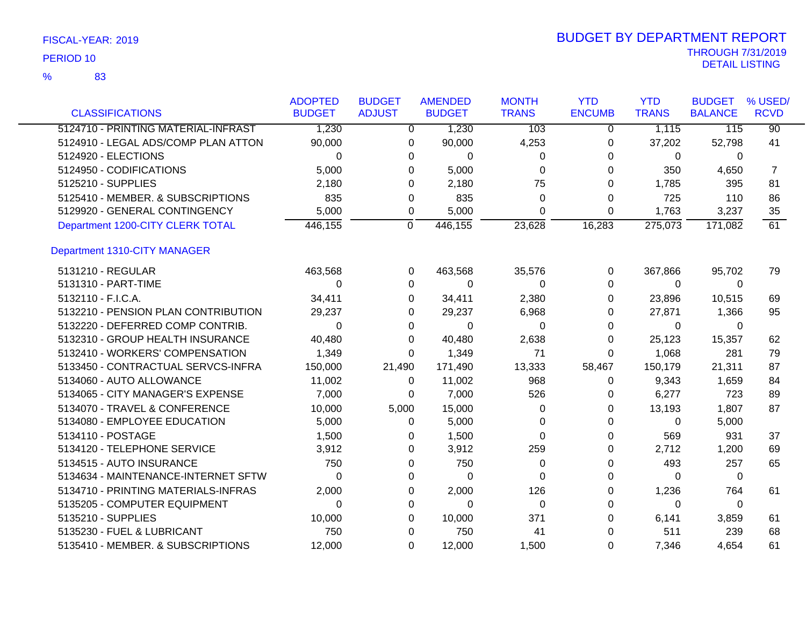83 %

|                                     | <b>ADOPTED</b> | <b>BUDGET</b> | <b>AMENDED</b> | <b>MONTH</b> | <b>YTD</b>    | <b>YTD</b>   | <b>BUDGET</b>  | % USED/         |
|-------------------------------------|----------------|---------------|----------------|--------------|---------------|--------------|----------------|-----------------|
| <b>CLASSIFICATIONS</b>              | <b>BUDGET</b>  | <b>ADJUST</b> | <b>BUDGET</b>  | <b>TRANS</b> | <b>ENCUMB</b> | <b>TRANS</b> | <b>BALANCE</b> | <b>RCVD</b>     |
| 5124710 - PRINTING MATERIAL-INFRAST | 1,230          | $\Omega$      | 1,230          | 103          | $\mathbf 0$   | 1,115        | 115            | $\overline{90}$ |
| 5124910 - LEGAL ADS/COMP PLAN ATTON | 90,000         | 0             | 90,000         | 4,253        | 0             | 37,202       | 52,798         | 41              |
| 5124920 - ELECTIONS                 | 0              | 0             | 0              | 0            | 0             | 0            | 0              |                 |
| 5124950 - CODIFICATIONS             | 5,000          | 0             | 5,000          | $\Omega$     | 0             | 350          | 4,650          | 7               |
| 5125210 - SUPPLIES                  | 2,180          | 0             | 2,180          | 75           | 0             | 1,785        | 395            | 81              |
| 5125410 - MEMBER. & SUBSCRIPTIONS   | 835            | 0             | 835            | 0            | $\Omega$      | 725          | 110            | 86              |
| 5129920 - GENERAL CONTINGENCY       | 5,000          | 0             | 5,000          | 0            | $\Omega$      | 1,763        | 3,237          | 35              |
| Department 1200-CITY CLERK TOTAL    | 446,155        | $\mathbf{0}$  | 446,155        | 23,628       | 16,283        | 275,073      | 171,082        | 61              |
| Department 1310-CITY MANAGER        |                |               |                |              |               |              |                |                 |
| 5131210 - REGULAR                   | 463,568        | 0             | 463,568        | 35,576       | $\mathbf 0$   | 367,866      | 95,702         | 79              |
| 5131310 - PART-TIME                 | 0              | 0             | $\Omega$       | $\Omega$     | $\Omega$      | $\Omega$     | 0              |                 |
| 5132110 - F.I.C.A.                  | 34,411         | 0             | 34,411         | 2,380        | $\Omega$      | 23,896       | 10,515         | 69              |
| 5132210 - PENSION PLAN CONTRIBUTION | 29,237         | 0             | 29,237         | 6,968        | 0             | 27,871       | 1,366          | 95              |
| 5132220 - DEFERRED COMP CONTRIB.    | 0              | 0             | $\mathbf 0$    | 0            | 0             | 0            | 0              |                 |
| 5132310 - GROUP HEALTH INSURANCE    | 40,480         | 0             | 40,480         | 2,638        | 0             | 25,123       | 15,357         | 62              |
| 5132410 - WORKERS' COMPENSATION     | 1,349          | 0             | 1,349          | 71           | 0             | 1,068        | 281            | 79              |
| 5133450 - CONTRACTUAL SERVCS-INFRA  | 150,000        | 21,490        | 171,490        | 13,333       | 58,467        | 150,179      | 21,311         | 87              |
| 5134060 - AUTO ALLOWANCE            | 11,002         | 0             | 11,002         | 968          | 0             | 9,343        | 1,659          | 84              |
| 5134065 - CITY MANAGER'S EXPENSE    | 7,000          | 0             | 7,000          | 526          | 0             | 6,277        | 723            | 89              |
| 5134070 - TRAVEL & CONFERENCE       | 10,000         | 5,000         | 15,000         | 0            | 0             | 13,193       | 1,807          | 87              |
| 5134080 - EMPLOYEE EDUCATION        | 5,000          | 0             | 5,000          | 0            | 0             | $\Omega$     | 5,000          |                 |
| 5134110 - POSTAGE                   | 1,500          | 0             | 1,500          | 0            | 0             | 569          | 931            | 37              |
| 5134120 - TELEPHONE SERVICE         | 3,912          | 0             | 3,912          | 259          | 0             | 2,712        | 1,200          | 69              |
| 5134515 - AUTO INSURANCE            | 750            | 0             | 750            | 0            | 0             | 493          | 257            | 65              |
| 5134634 - MAINTENANCE-INTERNET SFTW | $\Omega$       | 0             | $\Omega$       | $\Omega$     | 0             | $\Omega$     | $\Omega$       |                 |
| 5134710 - PRINTING MATERIALS-INFRAS | 2,000          | 0             | 2,000          | 126          | 0             | 1,236        | 764            | 61              |
| 5135205 - COMPUTER EQUIPMENT        | $\Omega$       | 0             | $\Omega$       | $\Omega$     | 0             | $\Omega$     | $\Omega$       |                 |
| 5135210 - SUPPLIES                  | 10,000         | 0             | 10,000         | 371          | 0             | 6,141        | 3,859          | 61              |
| 5135230 - FUEL & LUBRICANT          | 750            | 0             | 750            | 41           | $\Omega$      | 511          | 239            | 68              |
| 5135410 - MEMBER. & SUBSCRIPTIONS   | 12,000         | $\Omega$      | 12,000         | 1,500        | $\Omega$      | 7,346        | 4,654          | 61              |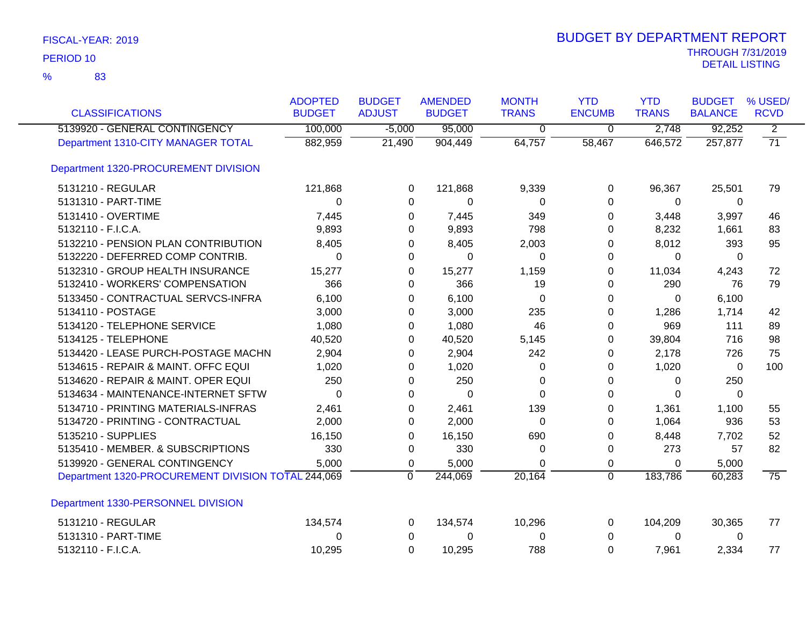| <b>CLASSIFICATIONS</b>                             | <b>ADOPTED</b><br><b>BUDGET</b> | <b>BUDGET</b><br><b>ADJUST</b> | <b>AMENDED</b><br><b>BUDGET</b> | <b>MONTH</b><br><b>TRANS</b> | <b>YTD</b><br><b>ENCUMB</b> | <b>YTD</b><br><b>TRANS</b> | <b>BUDGET</b><br><b>BALANCE</b> | % USED/<br><b>RCVD</b> |
|----------------------------------------------------|---------------------------------|--------------------------------|---------------------------------|------------------------------|-----------------------------|----------------------------|---------------------------------|------------------------|
| 5139920 - GENERAL CONTINGENCY                      | 100,000                         | $-5,000$                       | 95,000                          | $\overline{0}$               | $\overline{0}$              | 2,748                      | 92,252                          | $\overline{2}$         |
| Department 1310-CITY MANAGER TOTAL                 | 882,959                         | 21,490                         | 904,449                         | 64,757                       | 58,467                      | 646,572                    | 257,877                         | $\overline{71}$        |
| Department 1320-PROCUREMENT DIVISION               |                                 |                                |                                 |                              |                             |                            |                                 |                        |
| 5131210 - REGULAR                                  | 121,868                         | $\Omega$                       | 121,868                         | 9,339                        | 0                           | 96,367                     | 25,501                          | 79                     |
| 5131310 - PART-TIME                                | 0                               | 0                              | 0                               | 0                            | 0                           | 0                          | 0                               |                        |
| 5131410 - OVERTIME                                 | 7,445                           | 0                              | 7,445                           | 349                          | $\Omega$                    | 3,448                      | 3,997                           | 46                     |
| 5132110 - F.I.C.A.                                 | 9,893                           | 0                              | 9,893                           | 798                          | 0                           | 8,232                      | 1,661                           | 83                     |
| 5132210 - PENSION PLAN CONTRIBUTION                | 8,405                           | 0                              | 8,405                           | 2,003                        | 0                           | 8,012                      | 393                             | 95                     |
| 5132220 - DEFERRED COMP CONTRIB.                   | 0                               | 0                              | $\Omega$                        | 0                            | 0                           | 0                          | $\Omega$                        |                        |
| 5132310 - GROUP HEALTH INSURANCE                   | 15,277                          | 0                              | 15,277                          | 1,159                        | 0                           | 11,034                     | 4,243                           | 72                     |
| 5132410 - WORKERS' COMPENSATION                    | 366                             | 0                              | 366                             | 19                           | 0                           | 290                        | 76                              | 79                     |
| 5133450 - CONTRACTUAL SERVCS-INFRA                 | 6,100                           | 0                              | 6,100                           | $\Omega$                     | 0                           | 0                          | 6,100                           |                        |
| 5134110 - POSTAGE                                  | 3,000                           | 0                              | 3,000                           | 235                          | 0                           | 1,286                      | 1,714                           | 42                     |
| 5134120 - TELEPHONE SERVICE                        | 1,080                           | 0                              | 1,080                           | 46                           | $\Omega$                    | 969                        | 111                             | 89                     |
| 5134125 - TELEPHONE                                | 40,520                          | 0                              | 40,520                          | 5,145                        | 0                           | 39,804                     | 716                             | 98                     |
| 5134420 - LEASE PURCH-POSTAGE MACHN                | 2,904                           | 0                              | 2,904                           | 242                          | 0                           | 2,178                      | 726                             | 75                     |
| 5134615 - REPAIR & MAINT. OFFC EQUI                | 1,020                           | 0                              | 1,020                           | 0                            | 0                           | 1,020                      | $\mathbf{0}$                    | 100                    |
| 5134620 - REPAIR & MAINT. OPER EQUI                | 250                             | 0                              | 250                             | 0                            | 0                           | 0                          | 250                             |                        |
| 5134634 - MAINTENANCE-INTERNET SFTW                | 0                               | 0                              | $\Omega$                        | $\Omega$                     | 0                           | $\Omega$                   | $\Omega$                        |                        |
| 5134710 - PRINTING MATERIALS-INFRAS                | 2,461                           | 0                              | 2,461                           | 139                          | 0                           | 1,361                      | 1,100                           | 55                     |
| 5134720 - PRINTING - CONTRACTUAL                   | 2,000                           | 0                              | 2,000                           | $\Omega$                     | 0                           | 1,064                      | 936                             | 53                     |
| 5135210 - SUPPLIES                                 | 16,150                          | 0                              | 16,150                          | 690                          | 0                           | 8,448                      | 7,702                           | 52                     |
| 5135410 - MEMBER. & SUBSCRIPTIONS                  | 330                             | $\pmb{0}$                      | 330                             | 0                            | 0                           | 273                        | 57                              | 82                     |
| 5139920 - GENERAL CONTINGENCY                      | 5,000                           | 0                              | 5,000                           | 0                            | 0                           | 0                          | 5,000                           |                        |
| Department 1320-PROCUREMENT DIVISION TOTAL 244,069 |                                 | $\mathbf{0}$                   | 244,069                         | 20,164                       | $\overline{0}$              | 183,786                    | 60,283                          | $\overline{75}$        |
| Department 1330-PERSONNEL DIVISION                 |                                 |                                |                                 |                              |                             |                            |                                 |                        |
| 5131210 - REGULAR                                  | 134,574                         | 0                              | 134,574                         | 10,296                       | 0                           | 104,209                    | 30,365                          | 77                     |
| 5131310 - PART-TIME                                | 0                               | 0                              | 0                               | 0                            | 0                           | 0                          | 0                               |                        |
| 5132110 - F.I.C.A.                                 | 10,295                          | $\Omega$                       | 10,295                          | 788                          | $\Omega$                    | 7,961                      | 2,334                           | 77                     |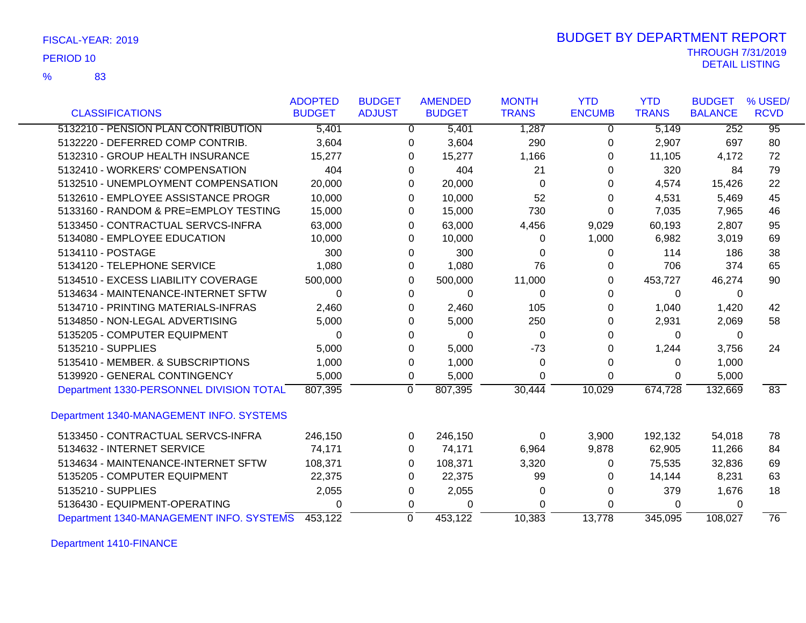| FISCAL-YEAR: 2019 |  |
|-------------------|--|
|-------------------|--|

83 %

# THROUGH 7/31/2019<br>DETAIL LISTING DETAIL LISTING PERIOD <sup>10</sup> BUDGET BY DEPARTMENT REPORT

|                                          | <b>ADOPTED</b> | <b>BUDGET</b> | <b>AMENDED</b>            | <b>MONTH</b> | <b>YTD</b>    | <b>YTD</b>   | <b>BUDGET</b>  | % USED/         |
|------------------------------------------|----------------|---------------|---------------------------|--------------|---------------|--------------|----------------|-----------------|
| <b>CLASSIFICATIONS</b>                   | <b>BUDGET</b>  | <b>ADJUST</b> | <b>BUDGET</b>             | <b>TRANS</b> | <b>ENCUMB</b> | <b>TRANS</b> | <b>BALANCE</b> | <b>RCVD</b>     |
| 5132210 - PENSION PLAN CONTRIBUTION      | 5,401          |               | 5,401<br>0                | 1,287        | 0             | 5,149        | 252            | $\overline{95}$ |
| 5132220 - DEFERRED COMP CONTRIB.         | 3,604          |               | 3,604<br>0                | 290          | 0             | 2,907        | 697            | 80              |
| 5132310 - GROUP HEALTH INSURANCE         | 15,277         |               | 15,277<br>0               | 1,166        | 0             | 11,105       | 4,172          | 72              |
| 5132410 - WORKERS' COMPENSATION          | 404            |               | 404<br>0                  | 21           | 0             | 320          | 84             | 79              |
| 5132510 - UNEMPLOYMENT COMPENSATION      | 20,000         |               | 20,000<br>0               | $\Omega$     | 0             | 4,574        | 15,426         | 22              |
| 5132610 - EMPLOYEE ASSISTANCE PROGR      | 10,000         |               | 10,000<br>0               | 52           | 0             | 4,531        | 5,469          | 45              |
| 5133160 - RANDOM & PRE=EMPLOY TESTING    | 15,000         |               | 15,000<br>0               | 730          | 0             | 7,035        | 7,965          | 46              |
| 5133450 - CONTRACTUAL SERVCS-INFRA       | 63,000         |               | 63,000<br>0               | 4,456        | 9,029         | 60,193       | 2,807          | 95              |
| 5134080 - EMPLOYEE EDUCATION             | 10,000         |               | 10,000<br>0               | 0            | 1,000         | 6,982        | 3,019          | 69              |
| 5134110 - POSTAGE                        | 300            |               | 300<br>0                  | 0            | 0             | 114          | 186            | 38              |
| 5134120 - TELEPHONE SERVICE              | 1,080          |               | 1,080<br>0                | 76           | 0             | 706          | 374            | 65              |
| 5134510 - EXCESS LIABILITY COVERAGE      | 500,000        |               | 500,000<br>0              | 11,000       | 0             | 453,727      | 46,274         | 90              |
| 5134634 - MAINTENANCE-INTERNET SFTW      | 0              |               | 0                         | 0<br>0       | $\Omega$      | 0            | 0              |                 |
| 5134710 - PRINTING MATERIALS-INFRAS      | 2,460          |               | 2,460<br>0                | 105          | 0             | 1,040        | 1,420          | 42              |
| 5134850 - NON-LEGAL ADVERTISING          | 5,000          |               | 5,000<br>0                | 250          | 0             | 2,931        | 2,069          | 58              |
| 5135205 - COMPUTER EQUIPMENT             | 0              |               | 0                         | 0<br>0       | 0             | 0            | 0              |                 |
| 5135210 - SUPPLIES                       | 5,000          |               | 5,000<br>0                | $-73$        | 0             | 1,244        | 3,756          | 24              |
| 5135410 - MEMBER, & SUBSCRIPTIONS        | 1,000          |               | 1,000<br>0                | 0            | 0             | 0            | 1,000          |                 |
| 5139920 - GENERAL CONTINGENCY            | 5,000          |               | 5,000<br>0                | 0            | $\Omega$      | 0            | 5,000          |                 |
| Department 1330-PERSONNEL DIVISION TOTAL | 807,395        |               | $\overline{0}$<br>807,395 | 30,444       | 10,029        | 674,728      | 132,669        | 83              |
| Department 1340-MANAGEMENT INFO. SYSTEMS |                |               |                           |              |               |              |                |                 |
| 5133450 - CONTRACTUAL SERVCS-INFRA       | 246,150        |               | 246,150<br>0              | 0            | 3,900         | 192,132      | 54,018         | 78              |
| 5134632 - INTERNET SERVICE               | 74,171         |               | 74,171<br>0               | 6,964        | 9,878         | 62,905       | 11,266         | 84              |
| 5134634 - MAINTENANCE-INTERNET SFTW      | 108,371        |               | 108,371<br>0              | 3,320        | 0             | 75,535       | 32,836         | 69              |
| 5135205 - COMPUTER EQUIPMENT             | 22,375         |               | 22,375<br>0               | 99           | 0             | 14,144       | 8,231          | 63              |
| 5135210 - SUPPLIES                       | 2,055          |               | 2,055<br>0                | 0            | 0             | 379          | 1,676          | 18              |
| 5136430 - EQUIPMENT-OPERATING            | $\Omega$       |               | 0                         | 0<br>0       | 0             | 0            | 0              |                 |
| Department 1340-MANAGEMENT INFO. SYSTEMS | 453,122        |               | $\mathbf 0$<br>453,122    | 10,383       | 13,778        | 345,095      | 108.027        | $\overline{76}$ |

Department 1410-FINANCE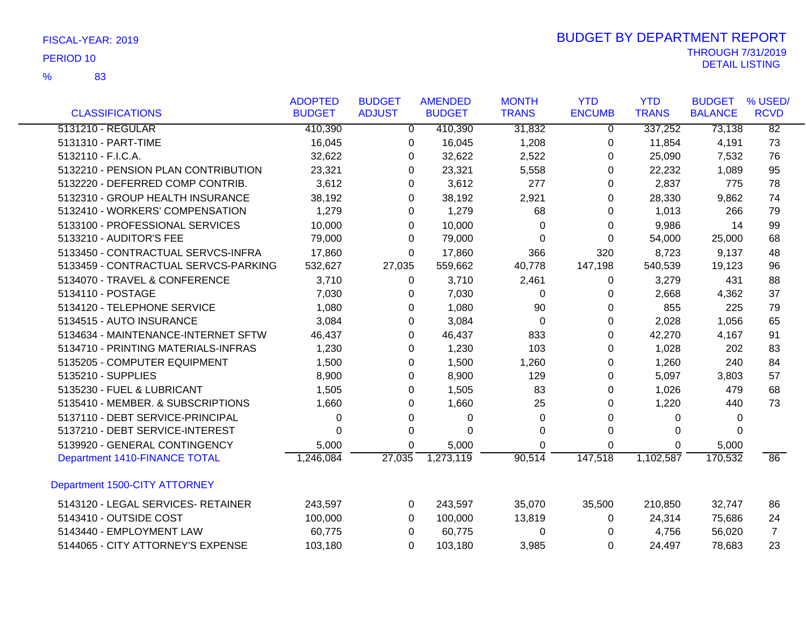83 %

|                                      | <b>ADOPTED</b> | <b>BUDGET</b> | <b>AMENDED</b> | <b>MONTH</b> | <b>YTD</b>    | <b>YTD</b>   | <b>BUDGET</b>  | % USED/         |
|--------------------------------------|----------------|---------------|----------------|--------------|---------------|--------------|----------------|-----------------|
| <b>CLASSIFICATIONS</b>               | <b>BUDGET</b>  | <b>ADJUST</b> | <b>BUDGET</b>  | <b>TRANS</b> | <b>ENCUMB</b> | <b>TRANS</b> | <b>BALANCE</b> | <b>RCVD</b>     |
| 5131210 - REGULAR                    | 410,390        | 0             | 410,390        | 31,832       | $\mathbf 0$   | 337,252      | 73,138         | $\overline{82}$ |
| 5131310 - PART-TIME                  | 16,045         | 0             | 16,045         | 1,208        | 0             | 11,854       | 4,191          | 73              |
| 5132110 - F.I.C.A.                   | 32,622         | 0             | 32,622         | 2,522        | 0             | 25,090       | 7,532          | 76              |
| 5132210 - PENSION PLAN CONTRIBUTION  | 23,321         | 0             | 23,321         | 5,558        | $\Omega$      | 22,232       | 1,089          | 95              |
| 5132220 - DEFERRED COMP CONTRIB.     | 3,612          | 0             | 3,612          | 277          | 0             | 2,837        | 775            | 78              |
| 5132310 - GROUP HEALTH INSURANCE     | 38,192         | 0             | 38,192         | 2,921        | 0             | 28,330       | 9,862          | 74              |
| 5132410 - WORKERS' COMPENSATION      | 1,279          | 0             | 1,279          | 68           | 0             | 1,013        | 266            | 79              |
| 5133100 - PROFESSIONAL SERVICES      | 10,000         | $\Omega$      | 10,000         | 0            | 0             | 9,986        | 14             | 99              |
| 5133210 - AUDITOR'S FEE              | 79,000         | $\Omega$      | 79,000         | $\Omega$     | 0             | 54,000       | 25,000         | 68              |
| 5133450 - CONTRACTUAL SERVCS-INFRA   | 17,860         | 0             | 17,860         | 366          | 320           | 8,723        | 9,137          | 48              |
| 5133459 - CONTRACTUAL SERVCS-PARKING | 532,627        | 27,035        | 559,662        | 40,778       | 147,198       | 540,539      | 19,123         | 96              |
| 5134070 - TRAVEL & CONFERENCE        | 3,710          | 0             | 3,710          | 2,461        | 0             | 3,279        | 431            | 88              |
| 5134110 - POSTAGE                    | 7,030          | 0             | 7,030          | 0            | 0             | 2,668        | 4,362          | 37              |
| 5134120 - TELEPHONE SERVICE          | 1,080          | 0             | 1,080          | 90           | 0             | 855          | 225            | 79              |
| 5134515 - AUTO INSURANCE             | 3,084          | 0             | 3,084          | 0            | 0             | 2,028        | 1,056          | 65              |
| 5134634 - MAINTENANCE-INTERNET SFTW  | 46,437         | 0             | 46,437         | 833          | 0             | 42,270       | 4,167          | 91              |
| 5134710 - PRINTING MATERIALS-INFRAS  | 1,230          | $\Omega$      | 1,230          | 103          | 0             | 1,028        | 202            | 83              |
| 5135205 - COMPUTER EQUIPMENT         | 1,500          | 0             | 1,500          | 1,260        | 0             | 1,260        | 240            | 84              |
| 5135210 - SUPPLIES                   | 8,900          | 0             | 8,900          | 129          | 0             | 5,097        | 3,803          | 57              |
| 5135230 - FUEL & LUBRICANT           | 1,505          | 0             | 1,505          | 83           | 0             | 1,026        | 479            | 68              |
| 5135410 - MEMBER. & SUBSCRIPTIONS    | 1,660          | 0             | 1,660          | 25           | 0             | 1,220        | 440            | 73              |
| 5137110 - DEBT SERVICE-PRINCIPAL     | 0              | $\pmb{0}$     | $\pmb{0}$      | 0            | 0             | 0            | 0              |                 |
| 5137210 - DEBT SERVICE-INTEREST      | 0              | 0             | $\Omega$       | $\Omega$     | 0             | 0            | $\Omega$       |                 |
| 5139920 - GENERAL CONTINGENCY        | 5,000          | 0             | 5,000          | $\Omega$     | $\Omega$      | 0            | 5,000          |                 |
| Department 1410-FINANCE TOTAL        | 1,246,084      | 27,035        | 1,273,119      | 90,514       | 147,518       | 1,102,587    | 170,532        | 86              |
| Department 1500-CITY ATTORNEY        |                |               |                |              |               |              |                |                 |
|                                      |                |               |                |              |               |              |                |                 |
| 5143120 - LEGAL SERVICES- RETAINER   | 243,597        | 0             | 243,597        | 35,070       | 35,500        | 210,850      | 32,747         | 86              |
| 5143410 - OUTSIDE COST               | 100,000        | 0             | 100,000        | 13,819       | 0             | 24,314       | 75,686         | 24              |
| 5143440 - EMPLOYMENT LAW             | 60,775         | $\Omega$      | 60,775         | 0            | 0             | 4,756        | 56,020         | $\overline{7}$  |
| 5144065 - CITY ATTORNEY'S EXPENSE    | 103,180        | $\Omega$      | 103,180        | 3,985        | $\Omega$      | 24,497       | 78,683         | 23              |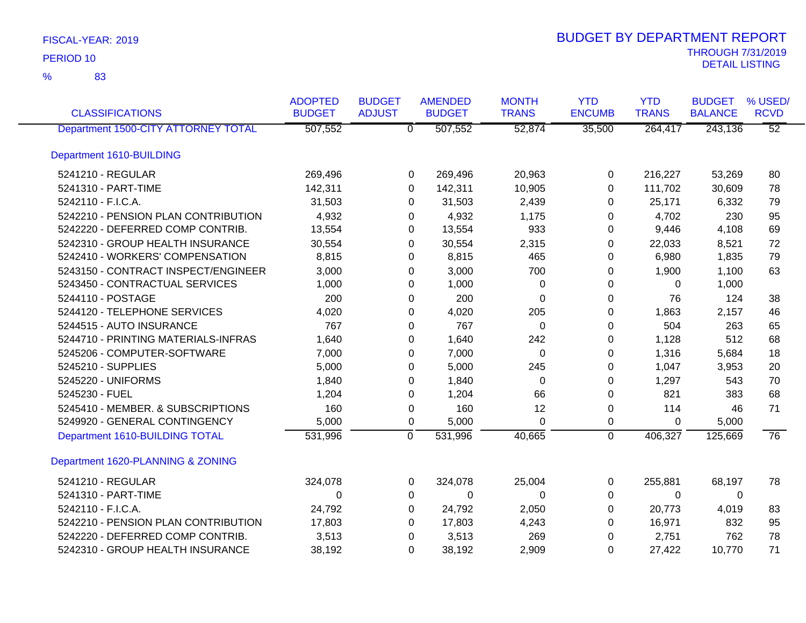| <b>CLASSIFICATIONS</b>              | <b>ADOPTED</b><br><b>BUDGET</b> | <b>BUDGET</b><br><b>ADJUST</b> | <b>AMENDED</b><br><b>BUDGET</b> | <b>MONTH</b><br><b>TRANS</b> | <b>YTD</b><br><b>ENCUMB</b> | <b>YTD</b><br><b>TRANS</b> | <b>BUDGET</b><br><b>BALANCE</b> | % USED/<br><b>RCVD</b> |
|-------------------------------------|---------------------------------|--------------------------------|---------------------------------|------------------------------|-----------------------------|----------------------------|---------------------------------|------------------------|
| Department 1500-CITY ATTORNEY TOTAL | 507,552                         |                                | 507,552<br>$\overline{0}$       | 52,874                       | 35,500                      | 264,417                    | 243,136                         | $\overline{52}$        |
| Department 1610-BUILDING            |                                 |                                |                                 |                              |                             |                            |                                 |                        |
| 5241210 - REGULAR                   | 269,496                         |                                | 269,496<br>0                    | 20,963                       | 0                           | 216,227                    | 53,269                          | 80                     |
| 5241310 - PART-TIME                 | 142,311                         |                                | $\Omega$<br>142,311             | 10,905                       | $\Omega$                    | 111,702                    | 30,609                          | 78                     |
| 5242110 - F.I.C.A.                  | 31,503                          |                                | 31,503<br>0                     | 2,439                        | 0                           | 25,171                     | 6,332                           | 79                     |
| 5242210 - PENSION PLAN CONTRIBUTION | 4,932                           |                                | 4,932<br>0                      | 1,175                        | 0                           | 4,702                      | 230                             | 95                     |
| 5242220 - DEFERRED COMP CONTRIB.    | 13,554                          |                                | 13,554<br>0                     | 933                          | 0                           | 9,446                      | 4,108                           | 69                     |
| 5242310 - GROUP HEALTH INSURANCE    | 30,554                          |                                | 30,554<br>0                     | 2,315                        | 0                           | 22,033                     | 8,521                           | 72                     |
| 5242410 - WORKERS' COMPENSATION     | 8,815                           |                                | 8,815<br>0                      | 465                          | 0                           | 6,980                      | 1,835                           | 79                     |
| 5243150 - CONTRACT INSPECT/ENGINEER | 3,000                           |                                | 3,000<br>0                      | 700                          | $\pmb{0}$                   | 1,900                      | 1,100                           | 63                     |
| 5243450 - CONTRACTUAL SERVICES      | 1,000                           |                                | 1,000<br>0                      | 0                            | 0                           | 0                          | 1,000                           |                        |
| 5244110 - POSTAGE                   | 200                             |                                | 200<br>0                        | 0                            | $\Omega$                    | 76                         | 124                             | 38                     |
| 5244120 - TELEPHONE SERVICES        | 4,020                           |                                | 4,020<br>0                      | 205                          | 0                           | 1,863                      | 2,157                           | 46                     |
| 5244515 - AUTO INSURANCE            | 767                             |                                | 767<br>0                        | 0                            | 0                           | 504                        | 263                             | 65                     |
| 5244710 - PRINTING MATERIALS-INFRAS | 1,640                           |                                | 1,640<br>0                      | 242                          | $\pmb{0}$                   | 1,128                      | 512                             | 68                     |
| 5245206 - COMPUTER-SOFTWARE         | 7,000                           |                                | 7,000<br>0                      | 0                            | 0                           | 1,316                      | 5,684                           | 18                     |
| 5245210 - SUPPLIES                  | 5,000                           |                                | 5,000<br>0                      | 245                          | 0                           | 1,047                      | 3,953                           | 20                     |
| 5245220 - UNIFORMS                  | 1,840                           |                                | 1,840<br>0                      | $\Omega$                     | 0                           | 1,297                      | 543                             | 70                     |
| 5245230 - FUEL                      | 1,204                           |                                | 1,204<br>0                      | 66                           | 0                           | 821                        | 383                             | 68                     |
| 5245410 - MEMBER. & SUBSCRIPTIONS   | 160                             |                                | 160<br>0                        | 12                           | 0                           | 114                        | 46                              | 71                     |
| 5249920 - GENERAL CONTINGENCY       | 5,000                           |                                | 5,000<br>0                      | $\Omega$                     | 0                           | 0                          | 5,000                           |                        |
| Department 1610-BUILDING TOTAL      | 531,996                         |                                | $\overline{0}$<br>531,996       | 40,665                       | $\overline{0}$              | 406,327                    | 125,669                         | 76                     |
| Department 1620-PLANNING & ZONING   |                                 |                                |                                 |                              |                             |                            |                                 |                        |
| 5241210 - REGULAR                   | 324,078                         |                                | 0<br>324,078                    | 25,004                       | 0                           | 255,881                    | 68,197                          | 78                     |
| 5241310 - PART-TIME                 | 0                               |                                | 0<br>0                          | $\Omega$                     | 0                           | $\Omega$                   | 0                               |                        |
| 5242110 - F.I.C.A.                  | 24,792                          |                                | 24,792<br>0                     | 2,050                        | 0                           | 20,773                     | 4,019                           | 83                     |
| 5242210 - PENSION PLAN CONTRIBUTION | 17,803                          |                                | 17,803<br>0                     | 4,243                        | 0                           | 16,971                     | 832                             | 95                     |
| 5242220 - DEFERRED COMP CONTRIB.    | 3,513                           |                                | 3,513<br>0                      | 269                          | 0                           | 2,751                      | 762                             | 78                     |
| 5242310 - GROUP HEALTH INSURANCE    | 38,192                          |                                | 38,192<br>$\Omega$              | 2,909                        | 0                           | 27,422                     | 10,770                          | 71                     |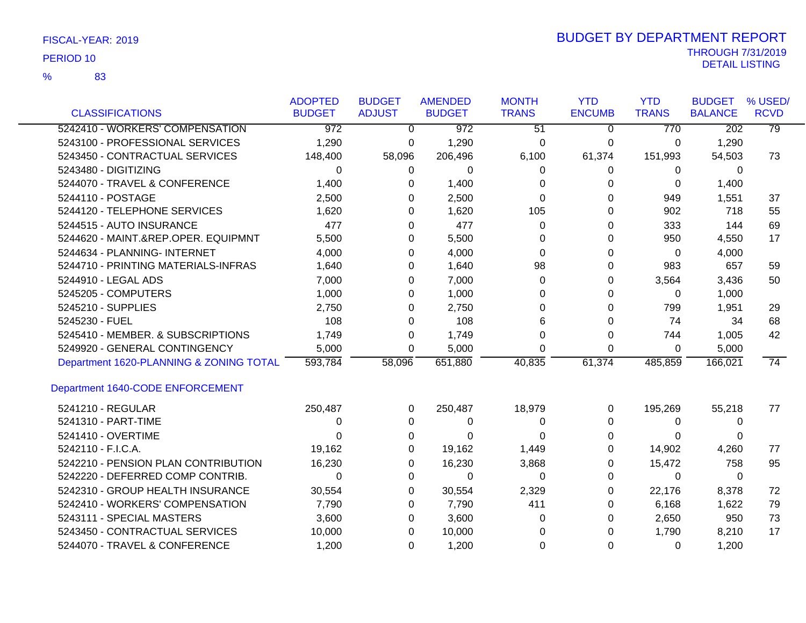83 %

|                                         | <b>ADOPTED</b> | <b>BUDGET</b>  | <b>AMENDED</b>   | <b>MONTH</b>    | <b>YTD</b>    | <b>YTD</b>   | <b>BUDGET</b>    | % USED/     |
|-----------------------------------------|----------------|----------------|------------------|-----------------|---------------|--------------|------------------|-------------|
| <b>CLASSIFICATIONS</b>                  | <b>BUDGET</b>  | <b>ADJUST</b>  | <b>BUDGET</b>    | <b>TRANS</b>    | <b>ENCUMB</b> | <b>TRANS</b> | <b>BALANCE</b>   | <b>RCVD</b> |
| 5242410 - WORKERS' COMPENSATION         | 972            | $\overline{0}$ | $\overline{972}$ | $\overline{51}$ | $\Omega$      | 770          | $\overline{202}$ | 79          |
| 5243100 - PROFESSIONAL SERVICES         | 1,290          | 0              | 1,290            | 0               | 0             | 0            | 1,290            |             |
| 5243450 - CONTRACTUAL SERVICES          | 148,400        | 58,096         | 206,496          | 6,100           | 61,374        | 151,993      | 54,503           | 73          |
| 5243480 - DIGITIZING                    | 0              | 0              | 0                | $\Omega$        | 0             | 0            | $\Omega$         |             |
| 5244070 - TRAVEL & CONFERENCE           | 1,400          | 0              | 1,400            | 0               | $\Omega$      | $\Omega$     | 1,400            |             |
| 5244110 - POSTAGE                       | 2,500          | $\Omega$       | 2,500            | $\Omega$        | 0             | 949          | 1,551            | 37          |
| 5244120 - TELEPHONE SERVICES            | 1,620          | 0              | 1,620            | 105             | 0             | 902          | 718              | 55          |
| 5244515 - AUTO INSURANCE                | 477            | 0              | 477              | $\Omega$        | 0             | 333          | 144              | 69          |
| 5244620 - MAINT.&REP.OPER. EQUIPMNT     | 5,500          | $\Omega$       | 5,500            | 0               | 0             | 950          | 4,550            | 17          |
| 5244634 - PLANNING- INTERNET            | 4,000          | 0              | 4,000            | 0               | 0             | 0            | 4,000            |             |
| 5244710 - PRINTING MATERIALS-INFRAS     | 1,640          | 0              | 1,640            | 98              | 0             | 983          | 657              | 59          |
| 5244910 - LEGAL ADS                     | 7,000          | 0              | 7,000            | $\Omega$        | 0             | 3,564        | 3,436            | 50          |
| 5245205 - COMPUTERS                     | 1,000          | 0              | 1,000            | 0               | 0             | 0            | 1,000            |             |
| 5245210 - SUPPLIES                      | 2,750          | 0              | 2,750            | 0               | 0             | 799          | 1,951            | 29          |
| 5245230 - FUEL                          | 108            | 0              | 108              | 6               | 0             | 74           | 34               | 68          |
| 5245410 - MEMBER. & SUBSCRIPTIONS       | 1,749          | 0              | 1,749            | 0               | 0             | 744          | 1,005            | 42          |
| 5249920 - GENERAL CONTINGENCY           | 5,000          | $\Omega$       | 5,000            | 0               | 0             | 0            | 5,000            |             |
| Department 1620-PLANNING & ZONING TOTAL | 593,784        | 58,096         | 651,880          | 40,835          | 61,374        | 485,859      | 166,021          | 74          |
| Department 1640-CODE ENFORCEMENT        |                |                |                  |                 |               |              |                  |             |
| 5241210 - REGULAR                       | 250,487        | 0              | 250,487          | 18,979          | 0             | 195,269      | 55,218           | 77          |
| 5241310 - PART-TIME                     | 0              | 0              | 0                | 0               | 0             | 0            | 0                |             |
| 5241410 - OVERTIME                      | 0              | 0              | 0                | 0               | 0             | 0            | 0                |             |
| 5242110 - F.I.C.A.                      | 19,162         | 0              | 19,162           | 1,449           | 0             | 14,902       | 4,260            | 77          |
| 5242210 - PENSION PLAN CONTRIBUTION     | 16,230         | 0              | 16,230           | 3,868           | 0             | 15,472       | 758              | 95          |
| 5242220 - DEFERRED COMP CONTRIB.        | 0              | 0              | 0                | 0               | 0             | 0            | $\Omega$         |             |
| 5242310 - GROUP HEALTH INSURANCE        | 30,554         | 0              | 30,554           | 2,329           | 0             | 22,176       | 8,378            | 72          |
| 5242410 - WORKERS' COMPENSATION         | 7,790          | 0              | 7,790            | 411             | 0             | 6,168        | 1,622            | 79          |
| 5243111 - SPECIAL MASTERS               | 3,600          | 0              | 3,600            | 0               | 0             | 2,650        | 950              | 73          |
| 5243450 - CONTRACTUAL SERVICES          | 10,000         | 0              | 10,000           | 0               | 0             | 1,790        | 8,210            | 17          |
| 5244070 - TRAVEL & CONFERENCE           | 1,200          | $\Omega$       | 1,200            | 0               | 0             | 0            | 1,200            |             |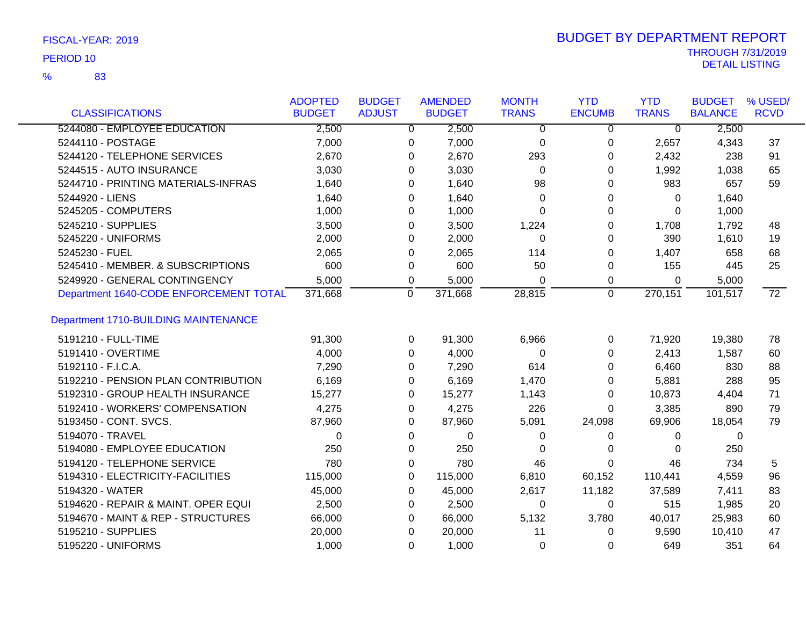83 %

| <b>CLASSIFICATIONS</b>                      | <b>ADOPTED</b><br><b>BUDGET</b> | <b>BUDGET</b><br><b>ADJUST</b> | <b>AMENDED</b><br><b>BUDGET</b> | <b>MONTH</b><br><b>TRANS</b> | <b>YTD</b><br><b>ENCUMB</b> | <b>YTD</b><br><b>TRANS</b> | <b>BUDGET</b><br><b>BALANCE</b> | % USED/<br><b>RCVD</b> |
|---------------------------------------------|---------------------------------|--------------------------------|---------------------------------|------------------------------|-----------------------------|----------------------------|---------------------------------|------------------------|
| 5244080 - EMPLOYEE EDUCATION                | 2,500                           | $\overline{0}$                 | 2,500                           | $\mathbf{0}$                 | $\overline{0}$              | $\overline{0}$             | 2,500                           |                        |
| 5244110 - POSTAGE                           | 7,000                           | 0                              | 7,000                           | 0                            | $\mathbf 0$                 | 2,657                      | 4,343                           | 37                     |
| 5244120 - TELEPHONE SERVICES                | 2,670                           | 0                              | 2,670                           | 293                          | 0                           | 2,432                      | 238                             | 91                     |
| 5244515 - AUTO INSURANCE                    | 3,030                           | 0                              | 3,030                           | 0                            | 0                           | 1,992                      | 1,038                           | 65                     |
| 5244710 - PRINTING MATERIALS-INFRAS         | 1,640                           | 0                              | 1,640                           | 98                           | 0                           | 983                        | 657                             | 59                     |
| 5244920 - LIENS                             | 1,640                           | 0                              | 1,640                           | 0                            | 0                           | 0                          | 1,640                           |                        |
| 5245205 - COMPUTERS                         | 1,000                           | 0                              | 1,000                           | $\Omega$                     | 0                           | 0                          | 1,000                           |                        |
| 5245210 - SUPPLIES                          | 3,500                           | $\Omega$                       | 3,500                           | 1,224                        | 0                           | 1,708                      | 1,792                           | 48                     |
| 5245220 - UNIFORMS                          | 2,000                           | $\Omega$                       | 2,000                           | $\Omega$                     | 0                           | 390                        | 1,610                           | 19                     |
| 5245230 - FUEL                              | 2,065                           | 0                              | 2,065                           | 114                          | 0                           | 1,407                      | 658                             | 68                     |
| 5245410 - MEMBER. & SUBSCRIPTIONS           | 600                             | 0                              | 600                             | 50                           | 0                           | 155                        | 445                             | 25                     |
| 5249920 - GENERAL CONTINGENCY               | 5,000                           | 0                              | 5,000                           | $\Omega$                     | 0                           | 0                          | 5,000                           |                        |
| Department 1640-CODE ENFORCEMENT TOTAL      | 371,668                         | $\mathbf 0$                    | 371,668                         | 28,815                       | $\overline{0}$              | 270,151                    | 101,517                         | $\overline{72}$        |
| <b>Department 1710-BUILDING MAINTENANCE</b> |                                 |                                |                                 |                              |                             |                            |                                 |                        |
| 5191210 - FULL-TIME                         | 91,300                          | 0                              | 91,300                          | 6,966                        | 0                           | 71,920                     | 19,380                          | 78                     |
| 5191410 - OVERTIME                          | 4,000                           | $\Omega$                       | 4,000                           | $\Omega$                     | 0                           | 2,413                      | 1,587                           | 60                     |
| 5192110 - F.I.C.A.                          | 7,290                           | $\Omega$                       | 7,290                           | 614                          | 0                           | 6,460                      | 830                             | 88                     |
| 5192210 - PENSION PLAN CONTRIBUTION         | 6,169                           | 0                              | 6,169                           | 1,470                        | 0                           | 5,881                      | 288                             | 95                     |
| 5192310 - GROUP HEALTH INSURANCE            | 15,277                          | 0                              | 15,277                          | 1,143                        | 0                           | 10,873                     | 4,404                           | 71                     |
| 5192410 - WORKERS' COMPENSATION             | 4,275                           | 0                              | 4,275                           | 226                          | 0                           | 3,385                      | 890                             | 79                     |
| 5193450 - CONT. SVCS.                       | 87,960                          | 0                              | 87,960                          | 5,091                        | 24,098                      | 69,906                     | 18,054                          | 79                     |
| 5194070 - TRAVEL                            | 0                               | 0                              | 0                               | 0                            | 0                           | 0                          | 0                               |                        |
| 5194080 - EMPLOYEE EDUCATION                | 250                             | 0                              | 250                             | 0                            | 0                           | 0                          | 250                             |                        |
| 5194120 - TELEPHONE SERVICE                 | 780                             | 0                              | 780                             | 46                           | 0                           | 46                         | 734                             | 5                      |
| 5194310 - ELECTRICITY-FACILITIES            | 115,000                         | 0                              | 115,000                         | 6,810                        | 60,152                      | 110,441                    | 4,559                           | 96                     |
| 5194320 - WATER                             | 45,000                          | 0                              | 45,000                          | 2,617                        | 11,182                      | 37,589                     | 7,411                           | 83                     |
| 5194620 - REPAIR & MAINT. OPER EQUI         | 2,500                           | 0                              | 2,500                           | 0                            | 0                           | 515                        | 1,985                           | 20                     |
| 5194670 - MAINT & REP - STRUCTURES          | 66,000                          | 0                              | 66,000                          | 5,132                        | 3,780                       | 40,017                     | 25,983                          | 60                     |
| 5195210 - SUPPLIES                          | 20,000                          | $\Omega$                       | 20,000                          | 11                           | 0                           | 9,590                      | 10,410                          | 47                     |
| 5195220 - UNIFORMS                          | 1,000                           | $\Omega$                       | 1,000                           | 0                            | 0                           | 649                        | 351                             | 64                     |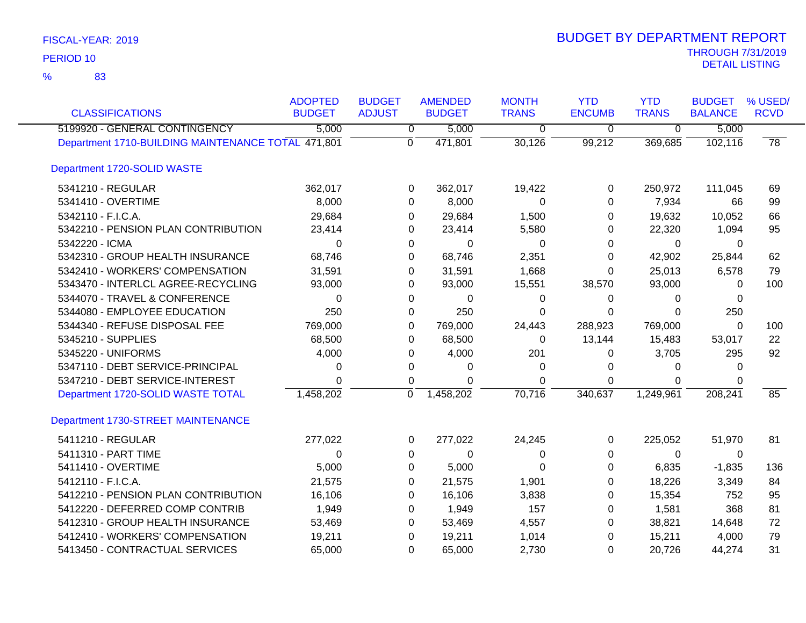| <b>CLASSIFICATIONS</b>                             | <b>ADOPTED</b><br><b>BUDGET</b> | <b>BUDGET</b><br><b>ADJUST</b> | <b>AMENDED</b><br><b>BUDGET</b> | <b>MONTH</b><br><b>TRANS</b> | <b>YTD</b><br><b>ENCUMB</b> | <b>YTD</b><br><b>TRANS</b> | <b>BUDGET</b><br><b>BALANCE</b> | % USED/<br><b>RCVD</b> |
|----------------------------------------------------|---------------------------------|--------------------------------|---------------------------------|------------------------------|-----------------------------|----------------------------|---------------------------------|------------------------|
| 5199920 - GENERAL CONTINGENCY                      | 5,000                           | $\overline{0}$                 | 5,000                           | $\overline{0}$               | $\overline{0}$              | $\overline{\mathfrak{o}}$  | 5,000                           |                        |
| Department 1710-BUILDING MAINTENANCE TOTAL 471,801 |                                 | $\Omega$                       | 471,801                         | 30,126                       | 99,212                      | 369,685                    | 102,116                         | $\overline{78}$        |
| Department 1720-SOLID WASTE                        |                                 |                                |                                 |                              |                             |                            |                                 |                        |
| 5341210 - REGULAR                                  | 362,017                         | 0                              | 362,017                         | 19,422                       | 0                           | 250,972                    | 111,045                         | 69                     |
| 5341410 - OVERTIME                                 | 8,000                           | 0                              | 8,000                           | 0                            | $\Omega$                    | 7,934                      | 66                              | 99                     |
| 5342110 - F.I.C.A.                                 | 29,684                          | 0                              | 29,684                          | 1,500                        | 0                           | 19,632                     | 10,052                          | 66                     |
| 5342210 - PENSION PLAN CONTRIBUTION                | 23,414                          | 0                              | 23,414                          | 5,580                        | 0                           | 22,320                     | 1,094                           | 95                     |
| 5342220 - ICMA                                     | 0                               | 0                              | 0                               | 0                            | 0                           | 0                          | $\Omega$                        |                        |
| 5342310 - GROUP HEALTH INSURANCE                   | 68,746                          | 0                              | 68,746                          | 2,351                        | $\Omega$                    | 42,902                     | 25,844                          | 62                     |
| 5342410 - WORKERS' COMPENSATION                    | 31,591                          | 0                              | 31,591                          | 1,668                        | 0                           | 25,013                     | 6,578                           | 79                     |
| 5343470 - INTERLCL AGREE-RECYCLING                 | 93,000                          | 0                              | 93,000                          | 15,551                       | 38,570                      | 93,000                     | $\Omega$                        | 100                    |
| 5344070 - TRAVEL & CONFERENCE                      | 0                               | 0                              | 0                               | 0                            | 0                           | $\Omega$                   | 0                               |                        |
| 5344080 - EMPLOYEE EDUCATION                       | 250                             | 0                              | 250                             | $\Omega$                     | $\Omega$                    | $\Omega$                   | 250                             |                        |
| 5344340 - REFUSE DISPOSAL FEE                      | 769,000                         | 0                              | 769,000                         | 24,443                       | 288,923                     | 769,000                    | 0                               | 100                    |
| 5345210 - SUPPLIES                                 | 68,500                          | 0                              | 68,500                          | 0                            | 13,144                      | 15,483                     | 53,017                          | 22                     |
| 5345220 - UNIFORMS                                 | 4,000                           | 0                              | 4,000                           | 201                          | 0                           | 3,705                      | 295                             | 92                     |
| 5347110 - DEBT SERVICE-PRINCIPAL                   | 0                               | 0                              | 0                               | 0                            | 0                           | $\Omega$                   | $\Omega$                        |                        |
| 5347210 - DEBT SERVICE-INTEREST                    | 0                               | 0                              | $\Omega$                        | $\Omega$                     | $\mathbf 0$                 | 0                          | $\Omega$                        |                        |
| Department 1720-SOLID WASTE TOTAL                  | 1,458,202                       | $\Omega$                       | 1,458,202                       | 70,716                       | 340,637                     | 1,249,961                  | 208,241                         | 85                     |
| Department 1730-STREET MAINTENANCE                 |                                 |                                |                                 |                              |                             |                            |                                 |                        |
| 5411210 - REGULAR                                  | 277,022                         | 0                              | 277,022                         | 24,245                       | 0                           | 225,052                    | 51,970                          | 81                     |
| 5411310 - PART TIME                                | $\Omega$                        | 0                              | $\Omega$                        | 0                            | $\Omega$                    | $\mathbf 0$                | $\Omega$                        |                        |
| 5411410 - OVERTIME                                 | 5,000                           | 0                              | 5,000                           | 0                            | 0                           | 6,835                      | $-1,835$                        | 136                    |
| 5412110 - F.I.C.A.                                 | 21,575                          | 0                              | 21,575                          | 1,901                        | 0                           | 18,226                     | 3,349                           | 84                     |
| 5412210 - PENSION PLAN CONTRIBUTION                | 16,106                          | 0                              | 16,106                          | 3,838                        | 0                           | 15,354                     | 752                             | 95                     |
| 5412220 - DEFERRED COMP CONTRIB                    | 1,949                           | 0                              | 1,949                           | 157                          | 0                           | 1,581                      | 368                             | 81                     |
| 5412310 - GROUP HEALTH INSURANCE                   | 53,469                          | 0                              | 53,469                          | 4,557                        | $\Omega$                    | 38,821                     | 14,648                          | 72                     |
| 5412410 - WORKERS' COMPENSATION                    | 19,211                          | 0                              | 19,211                          | 1,014                        | 0                           | 15,211                     | 4,000                           | 79                     |
| 5413450 - CONTRACTUAL SERVICES                     | 65,000                          | $\Omega$                       | 65,000                          | 2,730                        | $\Omega$                    | 20,726                     | 44,274                          | 31                     |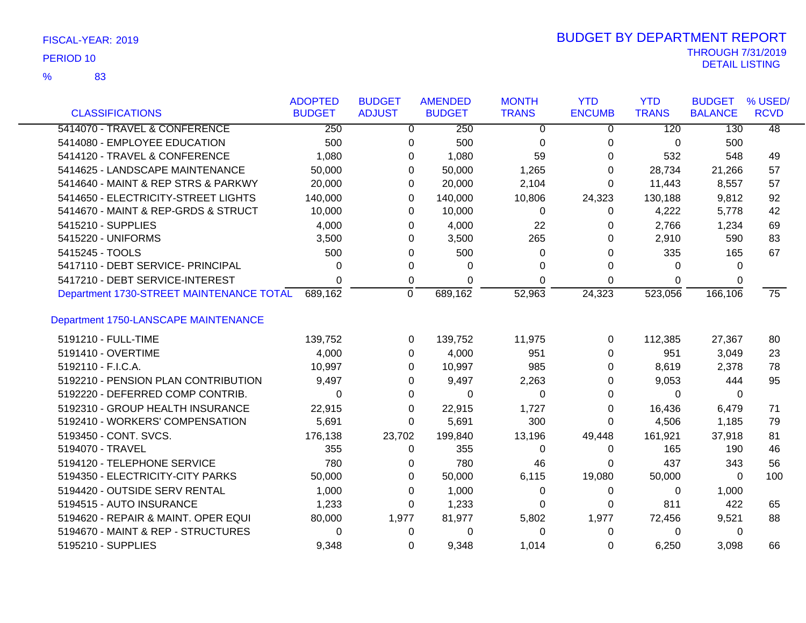| FISCAL-YEAR: 2019 |
|-------------------|
|                   |

83 %

| <b>CLASSIFICATIONS</b>                   | <b>ADOPTED</b><br><b>BUDGET</b> | <b>BUDGET</b><br><b>ADJUST</b> | <b>AMENDED</b><br><b>BUDGET</b> | <b>MONTH</b><br><b>TRANS</b> | <b>YTD</b><br><b>ENCUMB</b> | <b>YTD</b><br><b>TRANS</b> | <b>BUDGET</b><br><b>BALANCE</b> | % USED/<br><b>RCVD</b> |
|------------------------------------------|---------------------------------|--------------------------------|---------------------------------|------------------------------|-----------------------------|----------------------------|---------------------------------|------------------------|
| 5414070 - TRAVEL & CONFERENCE            | 250                             | 0                              | 250                             | 0                            | 0                           | 120                        | 130                             | $\overline{48}$        |
| 5414080 - EMPLOYEE EDUCATION             | 500                             | 0                              | 500                             | 0                            | 0                           | 0                          | 500                             |                        |
| 5414120 - TRAVEL & CONFERENCE            | 1,080                           | 0                              | 1,080                           | 59                           | 0                           | 532                        | 548                             | 49                     |
| 5414625 - LANDSCAPE MAINTENANCE          | 50,000                          | 0                              | 50,000                          | 1,265                        | 0                           | 28,734                     | 21,266                          | 57                     |
| 5414640 - MAINT & REP STRS & PARKWY      | 20,000                          | 0                              | 20,000                          | 2,104                        | 0                           | 11,443                     | 8,557                           | 57                     |
| 5414650 - ELECTRICITY-STREET LIGHTS      | 140,000                         | 0                              | 140,000                         | 10,806                       | 24,323                      | 130,188                    | 9,812                           | 92                     |
| 5414670 - MAINT & REP-GRDS & STRUCT      | 10,000                          | 0                              | 10,000                          | $\Omega$                     | 0                           | 4,222                      | 5,778                           | 42                     |
| 5415210 - SUPPLIES                       | 4,000                           | 0                              | 4,000                           | 22                           | 0                           | 2,766                      | 1,234                           | 69                     |
| 5415220 - UNIFORMS                       | 3,500                           | 0                              | 3,500                           | 265                          | 0                           | 2,910                      | 590                             | 83                     |
| 5415245 - TOOLS                          | 500                             | 0                              | 500                             | 0                            | 0                           | 335                        | 165                             | 67                     |
| 5417110 - DEBT SERVICE- PRINCIPAL        | 0                               | 0                              | 0                               | 0                            | 0                           | 0                          | 0                               |                        |
| 5417210 - DEBT SERVICE-INTEREST          | $\Omega$                        | 0                              | 0                               | 0                            | 0                           | $\Omega$                   | 0                               |                        |
| Department 1730-STREET MAINTENANCE TOTAL | 689,162                         | $\mathbf 0$                    | 689,162                         | 52,963                       | 24,323                      | 523,056                    | 166,106                         | $\overline{75}$        |
| Department 1750-LANSCAPE MAINTENANCE     |                                 |                                |                                 |                              |                             |                            |                                 |                        |
| 5191210 - FULL-TIME                      | 139,752                         | 0                              | 139,752                         | 11,975                       | 0                           | 112,385                    | 27,367                          | 80                     |
| 5191410 - OVERTIME                       | 4,000                           | 0                              | 4,000                           | 951                          | 0                           | 951                        | 3,049                           | 23                     |
| 5192110 - F.I.C.A.                       | 10,997                          | 0                              | 10,997                          | 985                          | 0                           | 8,619                      | 2,378                           | 78                     |
| 5192210 - PENSION PLAN CONTRIBUTION      | 9,497                           | 0                              | 9,497                           | 2,263                        | 0                           | 9,053                      | 444                             | 95                     |
| 5192220 - DEFERRED COMP CONTRIB.         | $\Omega$                        | 0                              | 0                               | $\Omega$                     | 0                           | $\Omega$                   | $\Omega$                        |                        |
| 5192310 - GROUP HEALTH INSURANCE         | 22,915                          | 0                              | 22,915                          | 1,727                        | $\Omega$                    | 16,436                     | 6,479                           | 71                     |
| 5192410 - WORKERS' COMPENSATION          | 5,691                           | 0                              | 5,691                           | 300                          | $\Omega$                    | 4,506                      | 1,185                           | 79                     |
| 5193450 - CONT. SVCS.                    | 176,138                         | 23,702                         | 199,840                         | 13,196                       | 49,448                      | 161,921                    | 37,918                          | 81                     |
| 5194070 - TRAVEL                         | 355                             | 0                              | 355                             | $\Omega$                     | 0                           | 165                        | 190                             | 46                     |
| 5194120 - TELEPHONE SERVICE              | 780                             | 0                              | 780                             | 46                           | 0                           | 437                        | 343                             | 56                     |
| 5194350 - ELECTRICITY-CITY PARKS         | 50,000                          | 0                              | 50,000                          | 6,115                        | 19,080                      | 50,000                     | 0                               | 100                    |
| 5194420 - OUTSIDE SERV RENTAL            | 1,000                           | 0                              | 1,000                           | 0                            | 0                           | 0                          | 1,000                           |                        |
| 5194515 - AUTO INSURANCE                 | 1,233                           | 0                              | 1,233                           | 0                            | 0                           | 811                        | 422                             | 65                     |
| 5194620 - REPAIR & MAINT. OPER EQUI      | 80,000                          | 1,977                          | 81,977                          | 5,802                        | 1,977                       | 72,456                     | 9,521                           | 88                     |
| 5194670 - MAINT & REP - STRUCTURES       | 0                               | 0                              | $\Omega$                        | $\Omega$                     | 0                           | $\Omega$                   | 0                               |                        |
| 5195210 - SUPPLIES                       | 9,348                           | $\Omega$                       | 9,348                           | 1,014                        | $\Omega$                    | 6,250                      | 3,098                           | 66                     |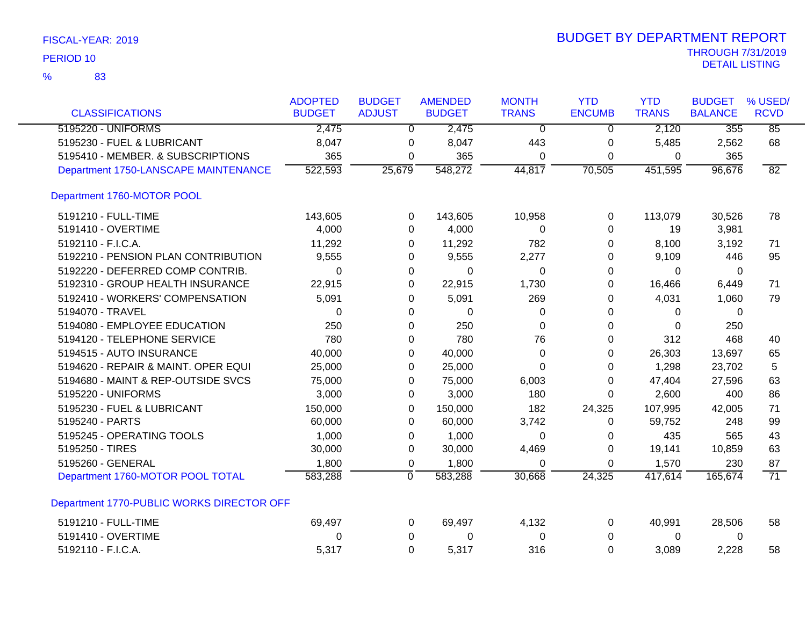| FISCAL-YEAR: 2019 |  |
|-------------------|--|
|-------------------|--|

|                                           | <b>ADOPTED</b> | <b>BUDGET</b>  | <b>AMENDED</b> | <b>MONTH</b>   | <b>YTD</b>    | <b>YTD</b>   | <b>BUDGET</b>  | % USED/         |
|-------------------------------------------|----------------|----------------|----------------|----------------|---------------|--------------|----------------|-----------------|
| <b>CLASSIFICATIONS</b>                    | <b>BUDGET</b>  | <b>ADJUST</b>  | <b>BUDGET</b>  | <b>TRANS</b>   | <b>ENCUMB</b> | <b>TRANS</b> | <b>BALANCE</b> | <b>RCVD</b>     |
| 5195220 - UNIFORMS                        | 2,475          | $\Omega$       | 2,475          | $\overline{0}$ | $\Omega$      | 2,120        | 355            | 85              |
| 5195230 - FUEL & LUBRICANT                | 8,047          | 0              | 8,047          | 443            | 0             | 5,485        | 2,562          | 68              |
| 5195410 - MEMBER. & SUBSCRIPTIONS         | 365            | 0              | 365            | 0              | 0             | 0            | 365            |                 |
| Department 1750-LANSCAPE MAINTENANCE      | 522,593        | 25,679         | 548,272        | 44,817         | 70,505        | 451,595      | 96,676         | 82              |
| Department 1760-MOTOR POOL                |                |                |                |                |               |              |                |                 |
| 5191210 - FULL-TIME                       | 143,605        | 0              | 143,605        | 10,958         | 0             | 113,079      | 30,526         | 78              |
| 5191410 - OVERTIME                        | 4,000          | 0              | 4,000          | 0              | 0             | 19           | 3,981          |                 |
| 5192110 - F.I.C.A.                        | 11,292         | 0              | 11,292         | 782            | 0             | 8,100        | 3,192          | 71              |
| 5192210 - PENSION PLAN CONTRIBUTION       | 9,555          | 0              | 9,555          | 2,277          | 0             | 9,109        | 446            | 95              |
| 5192220 - DEFERRED COMP CONTRIB.          | $\Omega$       | 0              | 0              | 0              | 0             | 0            | 0              |                 |
| 5192310 - GROUP HEALTH INSURANCE          | 22,915         | 0              | 22,915         | 1,730          | 0             | 16,466       | 6,449          | 71              |
| 5192410 - WORKERS' COMPENSATION           | 5,091          | 0              | 5,091          | 269            | 0             | 4,031        | 1,060          | 79              |
| 5194070 - TRAVEL                          | $\Omega$       | 0              | $\Omega$       | 0              | 0             | 0            | $\Omega$       |                 |
| 5194080 - EMPLOYEE EDUCATION              | 250            | 0              | 250            | $\Omega$       | 0             | $\Omega$     | 250            |                 |
| 5194120 - TELEPHONE SERVICE               | 780            | 0              | 780            | 76             | 0             | 312          | 468            | 40              |
| 5194515 - AUTO INSURANCE                  | 40,000         | 0              | 40,000         | 0              | 0             | 26,303       | 13,697         | 65              |
| 5194620 - REPAIR & MAINT. OPER EQUI       | 25,000         | 0              | 25,000         | 0              | 0             | 1,298        | 23,702         | 5               |
| 5194680 - MAINT & REP-OUTSIDE SVCS        | 75,000         | 0              | 75,000         | 6,003          | 0             | 47,404       | 27,596         | 63              |
| 5195220 - UNIFORMS                        | 3,000          | 0              | 3,000          | 180            | 0             | 2,600        | 400            | 86              |
| 5195230 - FUEL & LUBRICANT                | 150,000        | 0              | 150,000        | 182            | 24,325        | 107,995      | 42,005         | 71              |
| 5195240 - PARTS                           | 60,000         | 0              | 60,000         | 3,742          | 0             | 59,752       | 248            | 99              |
| 5195245 - OPERATING TOOLS                 | 1,000          | 0              | 1,000          | $\Omega$       | 0             | 435          | 565            | 43              |
| 5195250 - TIRES                           | 30,000         | 0              | 30,000         | 4,469          | 0             | 19,141       | 10,859         | 63              |
| 5195260 - GENERAL                         | 1,800          | 0              | 1,800          | $\Omega$       | 0             | 1,570        | 230            | 87              |
| Department 1760-MOTOR POOL TOTAL          | 583,288        | $\overline{0}$ | 583,288        | 30,668         | 24,325        | 417,614      | 165,674        | $\overline{71}$ |
| Department 1770-PUBLIC WORKS DIRECTOR OFF |                |                |                |                |               |              |                |                 |
| 5191210 - FULL-TIME                       | 69,497         | 0              | 69,497         | 4,132          | $\Omega$      | 40,991       | 28,506         | 58              |
| 5191410 - OVERTIME                        | 0              | 0              | 0              | 0              | 0             | 0            | 0              |                 |
| 5192110 - F.I.C.A.                        | 5,317          | $\Omega$       | 5,317          | 316            | $\Omega$      | 3,089        | 2,228          | 58              |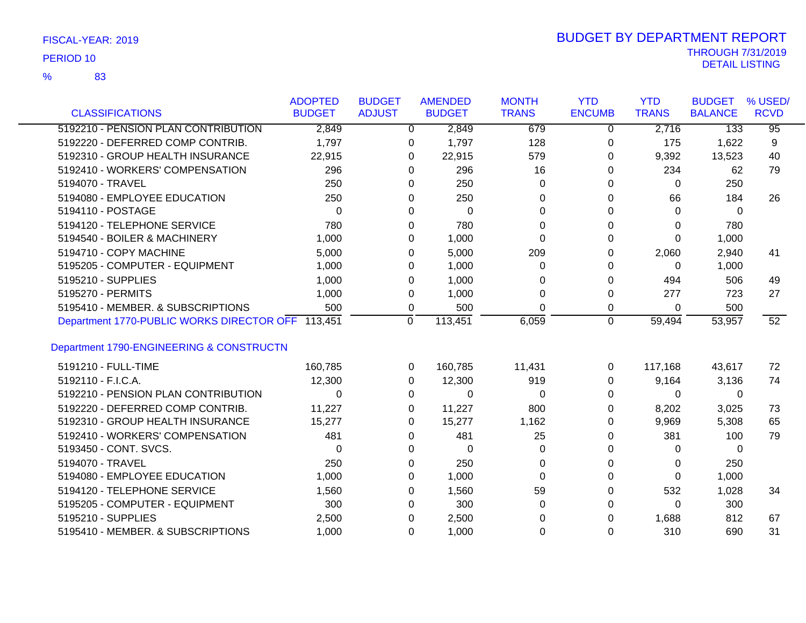83 %

| <b>CLASSIFICATIONS</b>                    | <b>ADOPTED</b><br><b>BUDGET</b> | <b>BUDGET</b><br><b>ADJUST</b> | <b>AMENDED</b><br><b>BUDGET</b> |        | <b>MONTH</b><br><b>TRANS</b> | <b>YTD</b><br><b>ENCUMB</b> | <b>YTD</b><br><b>TRANS</b> | <b>BUDGET</b><br><b>BALANCE</b> | % USED/<br><b>RCVD</b> |
|-------------------------------------------|---------------------------------|--------------------------------|---------------------------------|--------|------------------------------|-----------------------------|----------------------------|---------------------------------|------------------------|
| 5192210 - PENSION PLAN CONTRIBUTION       |                                 |                                |                                 |        |                              |                             |                            |                                 |                        |
|                                           | 2,849                           |                                | 0                               | 2,849  | 679                          | $\Omega$                    | 2,716                      | 133                             | $\overline{95}$        |
| 5192220 - DEFERRED COMP CONTRIB.          | 1,797                           |                                | 0                               | 1,797  | 128                          | 0                           | 175                        | 1,622                           | 9                      |
| 5192310 - GROUP HEALTH INSURANCE          | 22,915                          |                                | 0                               | 22,915 | 579                          | 0                           | 9,392                      | 13,523                          | 40                     |
| 5192410 - WORKERS' COMPENSATION           | 296                             |                                | $\Omega$                        | 296    | 16                           | 0                           | 234                        | 62                              | 79                     |
| 5194070 - TRAVEL                          | 250                             |                                | 0                               | 250    | 0                            | $\Omega$                    | $\Omega$                   | 250                             |                        |
| 5194080 - EMPLOYEE EDUCATION              | 250                             |                                | 0                               | 250    | 0                            | 0                           | 66                         | 184                             | 26                     |
| 5194110 - POSTAGE                         | 0                               |                                | 0                               | 0      | $\Omega$                     | 0                           | $\Omega$                   | $\Omega$                        |                        |
| 5194120 - TELEPHONE SERVICE               | 780                             |                                | 0                               | 780    | U                            | 0                           | 0                          | 780                             |                        |
| 5194540 - BOILER & MACHINERY              | 1,000                           |                                | 0                               | 1,000  | 0                            | 0                           | $\mathbf{0}$               | 1,000                           |                        |
| 5194710 - COPY MACHINE                    | 5,000                           |                                | $\Omega$                        | 5,000  | 209                          | 0                           | 2,060                      | 2,940                           | 41                     |
| 5195205 - COMPUTER - EQUIPMENT            | 1,000                           |                                | 0                               | 1,000  | 0                            | $\Omega$                    | $\Omega$                   | 1,000                           |                        |
| 5195210 - SUPPLIES                        | 1,000                           |                                | 0                               | 1,000  | 0                            | 0                           | 494                        | 506                             | 49                     |
| 5195270 - PERMITS                         | 1,000                           |                                | 0                               | 1,000  | $\Omega$                     | 0                           | 277                        | 723                             | 27                     |
| 5195410 - MEMBER, & SUBSCRIPTIONS         | 500                             |                                | 0                               | 500    | 0                            | 0                           | 0                          | 500                             |                        |
| Department 1770-PUBLIC WORKS DIRECTOR OFF | 113,451                         | $\mathbf 0$                    | 113,451                         |        | 6,059                        | $\mathbf 0$                 | 59,494                     | 53,957                          | 52                     |
| Department 1790-ENGINEERING & CONSTRUCTN  |                                 |                                |                                 |        |                              |                             |                            |                                 |                        |
| 5191210 - FULL-TIME                       | 160,785                         |                                | 160,785<br>0                    |        | 11,431                       | 0                           | 117,168                    | 43,617                          | 72                     |
| 5192110 - F.I.C.A.                        | 12,300                          |                                | $\Omega$                        | 12,300 | 919                          | 0                           | 9,164                      | 3,136                           | 74                     |
| 5192210 - PENSION PLAN CONTRIBUTION       | 0                               |                                | 0                               | 0      | 0                            | $\Omega$                    | $\mathbf{0}$               | 0                               |                        |
| 5192220 - DEFERRED COMP CONTRIB.          | 11,227                          |                                | 0                               | 11,227 | 800                          | 0                           | 8,202                      | 3,025                           | 73                     |
| 5192310 - GROUP HEALTH INSURANCE          | 15,277                          |                                | 0                               | 15,277 | 1,162                        | 0                           | 9,969                      | 5,308                           | 65                     |
| 5192410 - WORKERS' COMPENSATION           | 481                             |                                | 0                               | 481    | 25                           | 0                           | 381                        | 100                             | 79                     |
| 5193450 - CONT. SVCS.                     | 0                               |                                | 0                               | 0      | 0                            | 0                           | 0                          | 0                               |                        |
| 5194070 - TRAVEL                          | 250                             |                                | 0                               | 250    | 0                            | 0                           | 0                          | 250                             |                        |
| 5194080 - EMPLOYEE EDUCATION              | 1,000                           |                                | 0                               | 1,000  | $\Omega$                     | $\Omega$                    | $\mathbf{0}$               | 1,000                           |                        |
| 5194120 - TELEPHONE SERVICE               | 1,560                           |                                | 0                               | 1,560  | 59                           | 0                           | 532                        | 1,028                           | 34                     |
| 5195205 - COMPUTER - EQUIPMENT            | 300                             |                                | 0                               | 300    | 0                            | 0                           | $\Omega$                   | 300                             |                        |
| 5195210 - SUPPLIES                        | 2,500                           |                                | 0                               | 2,500  | 0                            | 0                           | 1,688                      | 812                             | 67                     |
| 5195410 - MEMBER. & SUBSCRIPTIONS         | 1,000                           |                                | $\Omega$                        | 1,000  | U                            | $\Omega$                    | 310                        | 690                             | 31                     |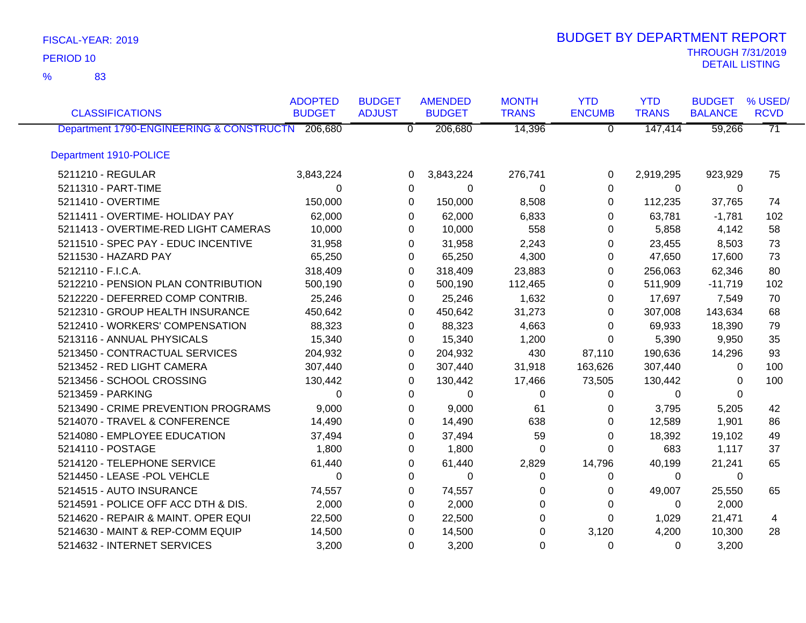83 %

|                                                  | <b>ADOPTED</b> | <b>BUDGET</b>  | <b>AMENDED</b> | <b>MONTH</b> | <b>YTD</b>     | <b>YTD</b>   | <b>BUDGET</b>  | % USED/         |
|--------------------------------------------------|----------------|----------------|----------------|--------------|----------------|--------------|----------------|-----------------|
| <b>CLASSIFICATIONS</b>                           | <b>BUDGET</b>  | <b>ADJUST</b>  | <b>BUDGET</b>  | <b>TRANS</b> | <b>ENCUMB</b>  | <b>TRANS</b> | <b>BALANCE</b> | <b>RCVD</b>     |
| Department 1790-ENGINEERING & CONSTRUCTN 206,680 |                | $\overline{0}$ | 206,680        | 14,396       | $\overline{0}$ | 147,414      | 59,266         | $\overline{71}$ |
| Department 1910-POLICE                           |                |                |                |              |                |              |                |                 |
| 5211210 - REGULAR                                | 3,843,224      | $\Omega$       | 3,843,224      | 276,741      | 0              | 2,919,295    | 923,929        | 75              |
| 5211310 - PART-TIME                              | $\Omega$       | 0              | $\Omega$       | $\Omega$     | $\Omega$       | $\Omega$     | $\Omega$       |                 |
| 5211410 - OVERTIME                               | 150,000        | $\Omega$       | 150,000        | 8,508        | 0              | 112,235      | 37,765         | 74              |
| 5211411 - OVERTIME- HOLIDAY PAY                  | 62,000         | 0              | 62,000         | 6,833        | 0              | 63,781       | $-1,781$       | 102             |
| 5211413 - OVERTIME-RED LIGHT CAMERAS             | 10,000         | 0              | 10,000         | 558          | 0              | 5,858        | 4,142          | 58              |
| 5211510 - SPEC PAY - EDUC INCENTIVE              | 31,958         | 0              | 31,958         | 2,243        | 0              | 23,455       | 8,503          | 73              |
| 5211530 - HAZARD PAY                             | 65,250         | 0              | 65,250         | 4,300        | 0              | 47,650       | 17,600         | 73              |
| 5212110 - F.I.C.A.                               | 318,409        | 0              | 318,409        | 23,883       | 0              | 256,063      | 62,346         | 80              |
| 5212210 - PENSION PLAN CONTRIBUTION              | 500,190        | 0              | 500,190        | 112,465      | 0              | 511,909      | $-11,719$      | 102             |
| 5212220 - DEFERRED COMP CONTRIB.                 | 25,246         | $\Omega$       | 25,246         | 1,632        | 0              | 17,697       | 7,549          | 70              |
| 5212310 - GROUP HEALTH INSURANCE                 | 450,642        | $\Omega$       | 450,642        | 31,273       | 0              | 307,008      | 143,634        | 68              |
| 5212410 - WORKERS' COMPENSATION                  | 88,323         | 0              | 88,323         | 4,663        | 0              | 69,933       | 18,390         | 79              |
| 5213116 - ANNUAL PHYSICALS                       | 15,340         | 0              | 15,340         | 1,200        | 0              | 5,390        | 9,950          | 35              |
| 5213450 - CONTRACTUAL SERVICES                   | 204,932        | 0              | 204,932        | 430          | 87,110         | 190,636      | 14,296         | 93              |
| 5213452 - RED LIGHT CAMERA                       | 307,440        | 0              | 307,440        | 31,918       | 163,626        | 307,440      | 0              | 100             |
| 5213456 - SCHOOL CROSSING                        | 130,442        | 0              | 130,442        | 17,466       | 73,505         | 130,442      | $\Omega$       | 100             |
| 5213459 - PARKING                                | $\Omega$       | 0              | 0              | 0            | 0              | 0            | $\Omega$       |                 |
| 5213490 - CRIME PREVENTION PROGRAMS              | 9,000          | $\Omega$       | 9,000          | 61           | 0              | 3,795        | 5,205          | 42              |
| 5214070 - TRAVEL & CONFERENCE                    | 14,490         | $\Omega$       | 14,490         | 638          | $\Omega$       | 12,589       | 1,901          | 86              |
| 5214080 - EMPLOYEE EDUCATION                     | 37,494         | 0              | 37,494         | 59           | $\pmb{0}$      | 18,392       | 19,102         | 49              |
| 5214110 - POSTAGE                                | 1,800          | 0              | 1,800          | 0            | 0              | 683          | 1,117          | 37              |
| 5214120 - TELEPHONE SERVICE                      | 61,440         | 0              | 61,440         | 2,829        | 14,796         | 40,199       | 21,241         | 65              |
| 5214450 - LEASE -POL VEHCLE                      | $\Omega$       | $\Omega$       | $\Omega$       | $\Omega$     | 0              | 0            | 0              |                 |
| 5214515 - AUTO INSURANCE                         | 74,557         | 0              | 74,557         | 0            | 0              | 49,007       | 25,550         | 65              |
| 5214591 - POLICE OFF ACC DTH & DIS.              | 2,000          | 0              | 2,000          | 0            | 0              | 0            | 2,000          |                 |
| 5214620 - REPAIR & MAINT. OPER EQUI              | 22,500         | 0              | 22,500         | 0            | $\Omega$       | 1,029        | 21,471         | 4               |
| 5214630 - MAINT & REP-COMM EQUIP                 | 14,500         | $\Omega$       | 14,500         | $\Omega$     | 3,120          | 4,200        | 10,300         | 28              |
| 5214632 - INTERNET SERVICES                      | 3,200          | $\Omega$       | 3,200          | $\Omega$     | $\Omega$       | $\Omega$     | 3,200          |                 |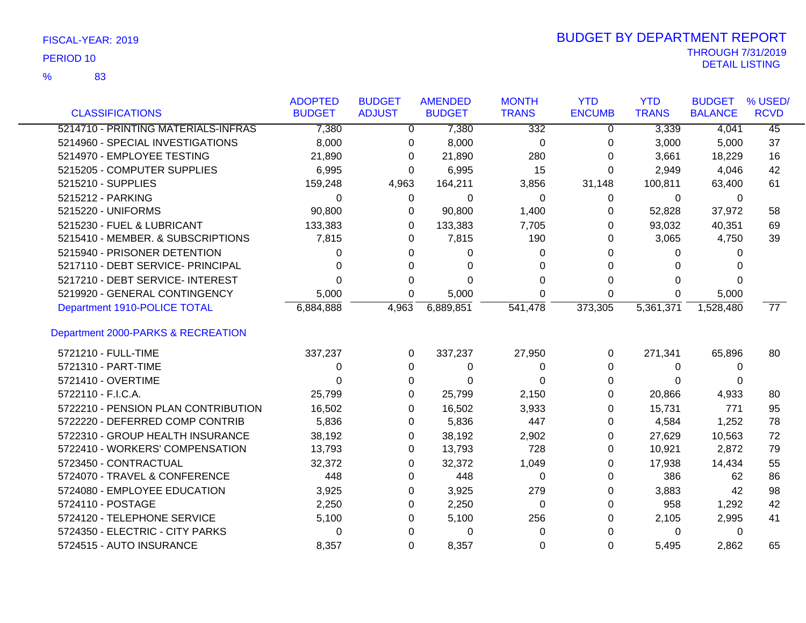83 %

| <b>CLASSIFICATIONS</b>              | <b>ADOPTED</b><br><b>BUDGET</b> | <b>BUDGET</b><br><b>ADJUST</b> | <b>AMENDED</b><br><b>BUDGET</b> | <b>MONTH</b><br><b>TRANS</b> | <b>YTD</b><br><b>ENCUMB</b> | <b>YTD</b><br><b>TRANS</b> | <b>BUDGET</b><br><b>BALANCE</b> | % USED/<br><b>RCVD</b> |
|-------------------------------------|---------------------------------|--------------------------------|---------------------------------|------------------------------|-----------------------------|----------------------------|---------------------------------|------------------------|
| 5214710 - PRINTING MATERIALS-INFRAS | 7,380                           | 0                              | 7,380                           | 332                          | 0                           | 3,339                      | 4,041                           | $\overline{45}$        |
| 5214960 - SPECIAL INVESTIGATIONS    | 8,000                           | 0                              | 8,000                           | 0                            | 0                           | 3,000                      | 5,000                           | 37                     |
| 5214970 - EMPLOYEE TESTING          | 21,890                          | 0                              | 21,890                          | 280                          | 0                           | 3,661                      | 18,229                          | 16                     |
| 5215205 - COMPUTER SUPPLIES         | 6,995                           | 0                              | 6,995                           | 15                           | 0                           | 2,949                      | 4,046                           | 42                     |
| 5215210 - SUPPLIES                  | 159,248                         | 4,963                          | 164,211                         | 3,856                        | 31,148                      | 100,811                    | 63,400                          | 61                     |
| 5215212 - PARKING                   | 0                               | 0                              | 0                               | 0                            | 0                           | 0                          | 0                               |                        |
| 5215220 - UNIFORMS                  | 90,800                          | 0                              | 90,800                          | 1,400                        | 0                           | 52,828                     | 37,972                          | 58                     |
| 5215230 - FUEL & LUBRICANT          | 133,383                         | 0                              | 133,383                         | 7,705                        | 0                           | 93,032                     | 40,351                          | 69                     |
| 5215410 - MEMBER. & SUBSCRIPTIONS   | 7,815                           | 0                              | 7,815                           | 190                          | 0                           | 3,065                      | 4,750                           | 39                     |
| 5215940 - PRISONER DETENTION        | 0                               | 0                              | 0                               | 0                            |                             | 0                          | 0                               |                        |
| 5217110 - DEBT SERVICE- PRINCIPAL   | 0                               | 0                              | 0                               | 0                            | O                           | 0                          |                                 |                        |
| 5217210 - DEBT SERVICE- INTEREST    | U                               | 0                              | 0                               | 0                            | 0                           | 0                          | 0                               |                        |
| 5219920 - GENERAL CONTINGENCY       | 5,000                           | 0                              | 5,000                           | $\Omega$                     | 0                           | 0                          | 5,000                           |                        |
| Department 1910-POLICE TOTAL        | 6,884,888                       | 4,963                          | 6,889,851                       | 541,478                      | 373,305                     | 5,361,371                  | 1,528,480                       | $\overline{77}$        |
| Department 2000-PARKS & RECREATION  |                                 |                                |                                 |                              |                             |                            |                                 |                        |
| 5721210 - FULL-TIME                 | 337,237                         | 0                              | 337,237                         | 27,950                       | 0                           | 271,341                    | 65,896                          | 80                     |
| 5721310 - PART-TIME                 | 0                               | 0                              | 0                               | 0                            | 0                           | 0                          | 0                               |                        |
| 5721410 - OVERTIME                  | 0                               | 0                              | 0                               | 0                            | 0                           | 0                          | 0                               |                        |
| 5722110 - F.I.C.A.                  | 25,799                          | 0                              | 25,799                          | 2,150                        | 0                           | 20,866                     | 4,933                           | 80                     |
| 5722210 - PENSION PLAN CONTRIBUTION | 16,502                          | 0                              | 16,502                          | 3,933                        | 0                           | 15,731                     | 771                             | 95                     |
| 5722220 - DEFERRED COMP CONTRIB     | 5,836                           | 0                              | 5,836                           | 447                          | 0                           | 4,584                      | 1,252                           | 78                     |
| 5722310 - GROUP HEALTH INSURANCE    | 38,192                          | 0                              | 38,192                          | 2,902                        | 0                           | 27,629                     | 10,563                          | 72                     |
| 5722410 - WORKERS' COMPENSATION     | 13,793                          | 0                              | 13,793                          | 728                          | 0                           | 10,921                     | 2,872                           | 79                     |
| 5723450 - CONTRACTUAL               | 32,372                          | 0                              | 32,372                          | 1,049                        | 0                           | 17,938                     | 14,434                          | 55                     |
| 5724070 - TRAVEL & CONFERENCE       | 448                             | 0                              | 448                             | $\Omega$                     | 0                           | 386                        | 62                              | 86                     |
| 5724080 - EMPLOYEE EDUCATION        | 3,925                           | 0                              | 3,925                           | 279                          | 0                           | 3,883                      | 42                              | 98                     |
| 5724110 - POSTAGE                   | 2,250                           | 0                              | 2,250                           | $\Omega$                     | 0                           | 958                        | 1,292                           | 42                     |
| 5724120 - TELEPHONE SERVICE         | 5,100                           | 0                              | 5,100                           | 256                          | 0                           | 2,105                      | 2,995                           | 41                     |
| 5724350 - ELECTRIC - CITY PARKS     | 0                               | 0                              | $\Omega$                        | $\Omega$                     | 0                           | 0                          | 0                               |                        |
| 5724515 - AUTO INSURANCE            | 8,357                           | $\Omega$                       | 8,357                           | $\Omega$                     | $\Omega$                    | 5,495                      | 2,862                           | 65                     |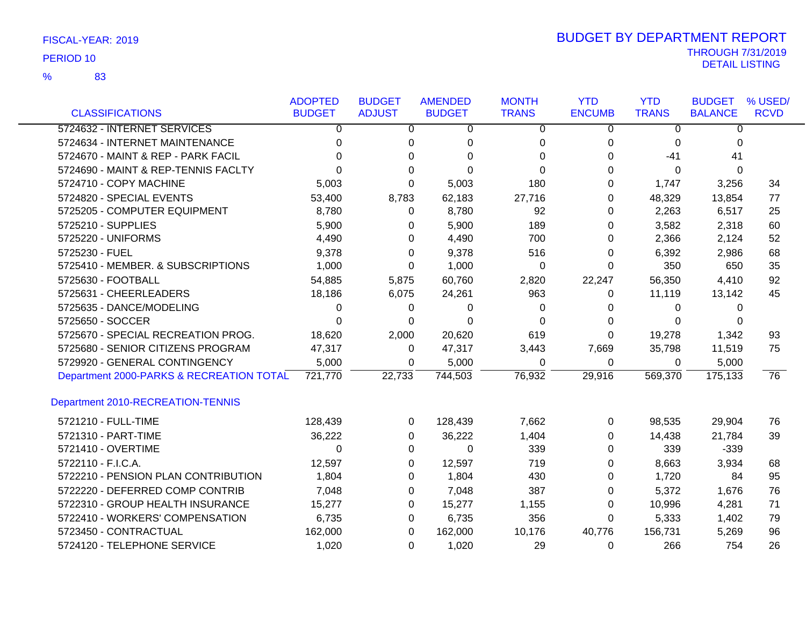83 %

|                                          | <b>ADOPTED</b> | <b>BUDGET</b> | <b>AMENDED</b> | <b>MONTH</b> | <b>YTD</b>    | <b>YTD</b>   | <b>BUDGET</b>  | % USED/         |
|------------------------------------------|----------------|---------------|----------------|--------------|---------------|--------------|----------------|-----------------|
| <b>CLASSIFICATIONS</b>                   | <b>BUDGET</b>  | <b>ADJUST</b> | <b>BUDGET</b>  | <b>TRANS</b> | <b>ENCUMB</b> | <b>TRANS</b> | <b>BALANCE</b> | <b>RCVD</b>     |
| 5724632 - INTERNET SERVICES              | 0              | 0             | 0              | $\Omega$     | 0             | 0            | $\Omega$       |                 |
| 5724634 - INTERNET MAINTENANCE           | 0              | 0             | 0              | 0            | 0             | 0            | 0              |                 |
| 5724670 - MAINT & REP - PARK FACIL       | 0              | 0             | $\Omega$       | 0            | 0             | -41          | 41             |                 |
| 5724690 - MAINT & REP-TENNIS FACLTY      | 0              | 0             | $\Omega$       | 0            | 0             | 0            | $\Omega$       |                 |
| 5724710 - COPY MACHINE                   | 5,003          | 0             | 5,003          | 180          | 0             | 1,747        | 3,256          | 34              |
| 5724820 - SPECIAL EVENTS                 | 53,400         | 8,783         | 62,183         | 27,716       | 0             | 48,329       | 13,854         | 77              |
| 5725205 - COMPUTER EQUIPMENT             | 8,780          | 0             | 8,780          | 92           | 0             | 2,263        | 6,517          | 25              |
| 5725210 - SUPPLIES                       | 5,900          | 0             | 5,900          | 189          | 0             | 3,582        | 2,318          | 60              |
| 5725220 - UNIFORMS                       | 4,490          | 0             | 4,490          | 700          | 0             | 2,366        | 2,124          | 52              |
| 5725230 - FUEL                           | 9,378          | 0             | 9,378          | 516          | 0             | 6,392        | 2,986          | 68              |
| 5725410 - MEMBER. & SUBSCRIPTIONS        | 1,000          | 0             | 1,000          | 0            | 0             | 350          | 650            | 35              |
| 5725630 - FOOTBALL                       | 54,885         | 5,875         | 60,760         | 2,820        | 22,247        | 56,350       | 4,410          | 92              |
| 5725631 - CHEERLEADERS                   | 18,186         | 6,075         | 24,261         | 963          | 0             | 11,119       | 13,142         | 45              |
| 5725635 - DANCE/MODELING                 | 0              | 0             | 0              | 0            | 0             | 0            | 0              |                 |
| 5725650 - SOCCER                         | 0              | 0             | $\Omega$       | 0            | 0             | $\Omega$     | 0              |                 |
| 5725670 - SPECIAL RECREATION PROG.       | 18,620         | 2,000         | 20,620         | 619          | $\Omega$      | 19,278       | 1,342          | 93              |
| 5725680 - SENIOR CITIZENS PROGRAM        | 47,317         | 0             | 47,317         | 3,443        | 7,669         | 35,798       | 11,519         | 75              |
| 5729920 - GENERAL CONTINGENCY            | 5,000          | 0             | 5,000          | 0            | $\mathbf 0$   | $\mathbf 0$  | 5,000          |                 |
| Department 2000-PARKS & RECREATION TOTAL | 721,770        | 22,733        | 744,503        | 76,932       | 29,916        | 569,370      | 175,133        | $\overline{76}$ |
| Department 2010-RECREATION-TENNIS        |                |               |                |              |               |              |                |                 |
| 5721210 - FULL-TIME                      | 128,439        | 0             | 128,439        | 7,662        | 0             | 98,535       | 29,904         | 76              |
| 5721310 - PART-TIME                      | 36,222         | 0             | 36,222         | 1,404        | 0             | 14,438       | 21,784         | 39              |
| 5721410 - OVERTIME                       | 0              | 0             | $\Omega$       | 339          | 0             | 339          | $-339$         |                 |
| 5722110 - F.I.C.A.                       | 12,597         | 0             | 12,597         | 719          | 0             | 8,663        | 3,934          | 68              |
| 5722210 - PENSION PLAN CONTRIBUTION      | 1,804          | 0             | 1,804          | 430          | 0             | 1,720        | 84             | 95              |
| 5722220 - DEFERRED COMP CONTRIB          | 7,048          | 0             | 7,048          | 387          | 0             | 5,372        | 1,676          | 76              |
| 5722310 - GROUP HEALTH INSURANCE         | 15,277         | 0             | 15,277         | 1,155        | 0             | 10,996       | 4,281          | 71              |
| 5722410 - WORKERS' COMPENSATION          | 6,735          | 0             | 6,735          | 356          | 0             | 5,333        | 1,402          | 79              |
| 5723450 - CONTRACTUAL                    | 162,000        | $\Omega$      | 162,000        | 10,176       | 40,776        | 156,731      | 5,269          | 96              |
| 5724120 - TELEPHONE SERVICE              | 1,020          | $\Omega$      | 1,020          | 29           | $\Omega$      | 266          | 754            | 26              |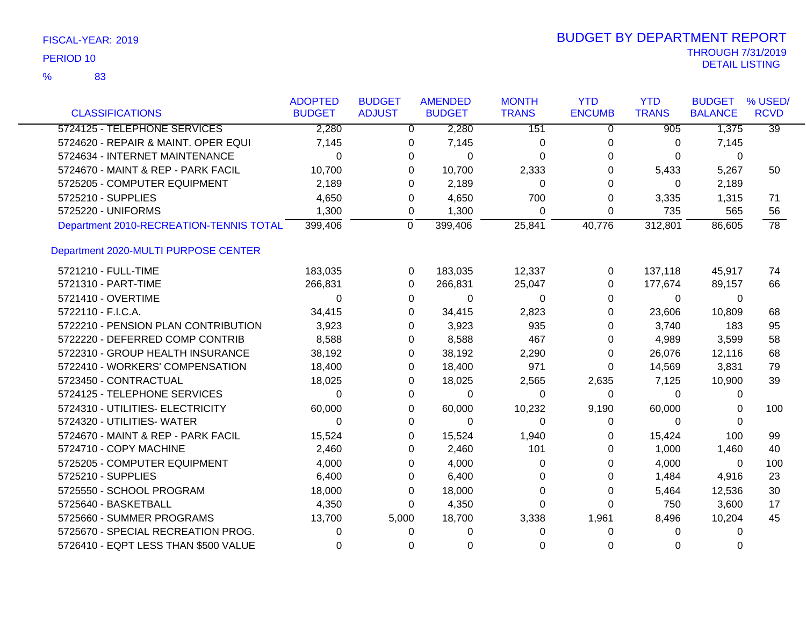|                                         | <b>ADOPTED</b> | <b>BUDGET</b> | <b>AMENDED</b>            |             | <b>MONTH</b> | <b>YTD</b>    | <b>YTD</b>   | <b>BUDGET</b>  | % USED/         |
|-----------------------------------------|----------------|---------------|---------------------------|-------------|--------------|---------------|--------------|----------------|-----------------|
| <b>CLASSIFICATIONS</b>                  | <b>BUDGET</b>  | <b>ADJUST</b> | <b>BUDGET</b>             |             | <b>TRANS</b> | <b>ENCUMB</b> | <b>TRANS</b> | <b>BALANCE</b> | <b>RCVD</b>     |
| 5724125 - TELEPHONE SERVICES            | 2,280          |               | $\mathbf{0}$              | 2,280       | 151          | $\mathbf 0$   | 905          | 1,375          | $\overline{39}$ |
| 5724620 - REPAIR & MAINT. OPER EQUI     | 7,145          |               | 0                         | 7,145       | 0            | 0             | 0            | 7,145          |                 |
| 5724634 - INTERNET MAINTENANCE          | 0              |               | 0                         | 0           | 0            | 0             | $\Omega$     | 0              |                 |
| 5724670 - MAINT & REP - PARK FACIL      | 10,700         |               | 0                         | 10,700      | 2,333        | 0             | 5,433        | 5,267          | 50              |
| 5725205 - COMPUTER EQUIPMENT            | 2,189          |               | 0                         | 2,189       | $\Omega$     | 0             | $\Omega$     | 2,189          |                 |
| 5725210 - SUPPLIES                      | 4,650          |               | 0                         | 4,650       | 700          | 0             | 3,335        | 1,315          | 71              |
| 5725220 - UNIFORMS                      | 1,300          |               | 0                         | 1,300       | 0            | 0             | 735          | 565            | 56              |
| Department 2010-RECREATION-TENNIS TOTAL | 399,406        |               | $\overline{0}$<br>399,406 |             | 25,841       | 40,776        | 312,801      | 86,605         | $\overline{78}$ |
| Department 2020-MULTI PURPOSE CENTER    |                |               |                           |             |              |               |              |                |                 |
| 5721210 - FULL-TIME                     | 183,035        |               | 0                         | 183,035     | 12,337       | 0             | 137,118      | 45,917         | 74              |
| 5721310 - PART-TIME                     | 266,831        |               | 266,831<br>0              |             | 25,047       | 0             | 177,674      | 89,157         | 66              |
| 5721410 - OVERTIME                      | 0              |               | 0                         | $\Omega$    | $\Omega$     | $\Omega$      | $\Omega$     | 0              |                 |
| 5722110 - F.I.C.A.                      | 34,415         |               | $\Omega$                  | 34,415      | 2,823        | 0             | 23,606       | 10,809         | 68              |
| 5722210 - PENSION PLAN CONTRIBUTION     | 3,923          |               | 0                         | 3,923       | 935          | 0             | 3,740        | 183            | 95              |
| 5722220 - DEFERRED COMP CONTRIB         | 8,588          |               | 0                         | 8,588       | 467          | 0             | 4,989        | 3,599          | 58              |
| 5722310 - GROUP HEALTH INSURANCE        | 38,192         |               | 0                         | 38,192      | 2,290        | 0             | 26,076       | 12,116         | 68              |
| 5722410 - WORKERS' COMPENSATION         | 18,400         |               | 0                         | 18,400      | 971          | $\Omega$      | 14,569       | 3,831          | 79              |
| 5723450 - CONTRACTUAL                   | 18,025         |               | 0                         | 18,025      | 2,565        | 2,635         | 7,125        | 10,900         | 39              |
| 5724125 - TELEPHONE SERVICES            | $\Omega$       |               | 0                         | $\Omega$    | 0            | 0             | 0            | 0              |                 |
| 5724310 - UTILITIES- ELECTRICITY        | 60,000         |               | 0                         | 60,000      | 10,232       | 9,190         | 60,000       | 0              | 100             |
| 5724320 - UTILITIES- WATER              | 0              |               | 0                         | $\mathbf 0$ | 0            | 0             | 0            | 0              |                 |
| 5724670 - MAINT & REP - PARK FACIL      | 15,524         |               | 0                         | 15,524      | 1,940        | 0             | 15,424       | 100            | 99              |
| 5724710 - COPY MACHINE                  | 2,460          |               | 0                         | 2,460       | 101          | 0             | 1,000        | 1,460          | 40              |
| 5725205 - COMPUTER EQUIPMENT            | 4,000          |               | 0                         | 4,000       | $\Omega$     | 0             | 4,000        | 0              | 100             |
| 5725210 - SUPPLIES                      | 6,400          |               | 0                         | 6,400       | $\Omega$     | 0             | 1,484        | 4,916          | 23              |
| 5725550 - SCHOOL PROGRAM                | 18,000         |               | 0                         | 18,000      | 0            | 0             | 5,464        | 12,536         | 30              |
| 5725640 - BASKETBALL                    | 4,350          |               | 0                         | 4,350       | 0            | $\Omega$      | 750          | 3,600          | 17              |
| 5725660 - SUMMER PROGRAMS               | 13,700         | 5,000         |                           | 18,700      | 3,338        | 1,961         | 8,496        | 10,204         | 45              |
| 5725670 - SPECIAL RECREATION PROG.      | 0              |               | 0                         | $\Omega$    | 0            | 0             | 0            | 0              |                 |
| 5726410 - EQPT LESS THAN \$500 VALUE    | 0              |               | 0                         | $\Omega$    | 0            | $\Omega$      | 0            | 0              |                 |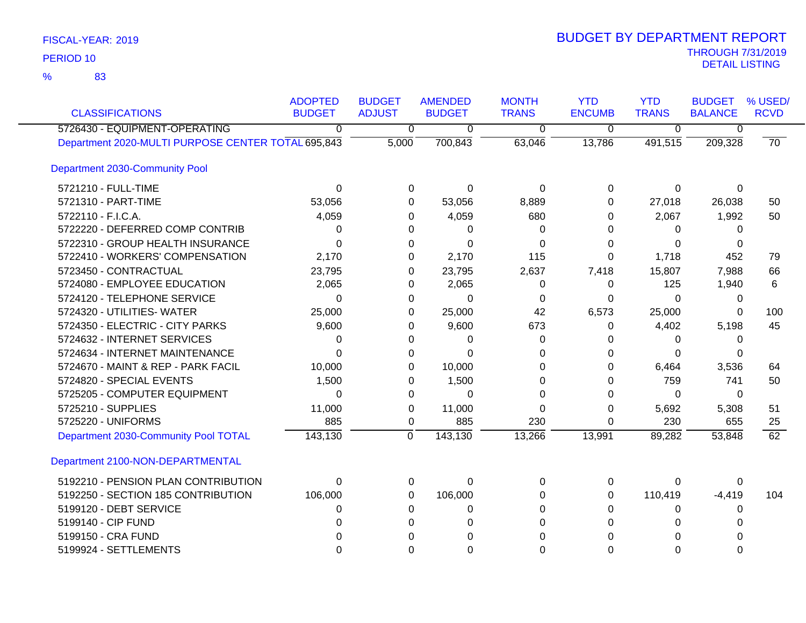83 %

| <b>CLASSIFICATIONS</b>                             | <b>ADOPTED</b><br><b>BUDGET</b> | <b>BUDGET</b><br><b>ADJUST</b> | <b>AMENDED</b><br><b>BUDGET</b> | <b>MONTH</b><br><b>TRANS</b> | <b>YTD</b><br><b>ENCUMB</b> | <b>YTD</b><br><b>TRANS</b> | <b>BUDGET</b><br><b>BALANCE</b> | % USED/<br><b>RCVD</b> |
|----------------------------------------------------|---------------------------------|--------------------------------|---------------------------------|------------------------------|-----------------------------|----------------------------|---------------------------------|------------------------|
| 5726430 - EQUIPMENT-OPERATING                      | 0                               | $\overline{0}$                 | 0                               | $\overline{0}$               | $\overline{0}$              | $\overline{0}$             | 0                               |                        |
| Department 2020-MULTI PURPOSE CENTER TOTAL 695,843 |                                 | 5,000                          | 700,843                         | 63,046                       | 13,786                      | 491,515                    | 209,328                         | 70                     |
| Department 2030-Community Pool                     |                                 |                                |                                 |                              |                             |                            |                                 |                        |
| 5721210 - FULL-TIME                                | 0                               | 0                              | $\mathbf 0$                     | $\Omega$                     | $\Omega$                    | 0                          | $\Omega$                        |                        |
| 5721310 - PART-TIME                                | 53,056                          | $\Omega$                       | 53,056                          | 8,889                        | 0                           | 27,018                     | 26,038                          | 50                     |
| 5722110 - F.I.C.A.                                 | 4,059                           | 0                              | 4,059                           | 680                          | 0                           | 2,067                      | 1,992                           | 50                     |
| 5722220 - DEFERRED COMP CONTRIB                    | 0                               | 0                              | 0                               | 0                            | 0                           | 0                          | 0                               |                        |
| 5722310 - GROUP HEALTH INSURANCE                   | 0                               | 0                              | $\Omega$                        | 0                            | 0                           | $\Omega$                   | 0                               |                        |
| 5722410 - WORKERS' COMPENSATION                    | 2,170                           | 0                              | 2,170                           | 115                          | 0                           | 1,718                      | 452                             | 79                     |
| 5723450 - CONTRACTUAL                              | 23,795                          | 0                              | 23,795                          | 2,637                        | 7,418                       | 15,807                     | 7,988                           | 66                     |
| 5724080 - EMPLOYEE EDUCATION                       | 2,065                           | 0                              | 2,065                           | 0                            | 0                           | 125                        | 1,940                           | 6                      |
| 5724120 - TELEPHONE SERVICE                        | 0                               | 0                              | 0                               | 0                            | 0                           | $\Omega$                   | 0                               |                        |
| 5724320 - UTILITIES- WATER                         | 25,000                          | 0                              | 25,000                          | 42                           | 6,573                       | 25,000                     | $\Omega$                        | 100                    |
| 5724350 - ELECTRIC - CITY PARKS                    | 9,600                           | 0                              | 9,600                           | 673                          | 0                           | 4,402                      | 5,198                           | 45                     |
| 5724632 - INTERNET SERVICES                        | 0                               | 0                              | 0                               | 0                            | O                           | 0                          | 0                               |                        |
| 5724634 - INTERNET MAINTENANCE                     | $\Omega$                        | 0                              | $\Omega$                        | 0                            | O                           | $\Omega$                   | 0                               |                        |
| 5724670 - MAINT & REP - PARK FACIL                 | 10,000                          | 0                              | 10,000                          | 0                            | 0                           | 6,464                      | 3,536                           | 64                     |
| 5724820 - SPECIAL EVENTS                           | 1,500                           | 0                              | 1,500                           | $\Omega$                     | 0                           | 759                        | 741                             | 50                     |
| 5725205 - COMPUTER EQUIPMENT                       | 0                               | 0                              | $\Omega$                        | $\Omega$                     | 0                           | 0                          | 0                               |                        |
| 5725210 - SUPPLIES                                 | 11,000                          | 0                              | 11,000                          | 0                            | 0                           | 5,692                      | 5,308                           | 51                     |
| 5725220 - UNIFORMS                                 | 885                             | 0                              | 885                             | 230                          | 0                           | 230                        | 655                             | 25                     |
| Department 2030-Community Pool TOTAL               | 143,130                         | $\overline{0}$                 | 143,130                         | 13,266                       | 13,991                      | 89,282                     | 53,848                          | 62                     |
| Department 2100-NON-DEPARTMENTAL                   |                                 |                                |                                 |                              |                             |                            |                                 |                        |
| 5192210 - PENSION PLAN CONTRIBUTION                | $\Omega$                        | 0                              | $\Omega$                        | $\Omega$                     | $\Omega$                    | 0                          | $\Omega$                        |                        |
| 5192250 - SECTION 185 CONTRIBUTION                 | 106,000                         | 0                              | 106,000                         | 0                            | 0                           | 110,419                    | $-4,419$                        | 104                    |
| 5199120 - DEBT SERVICE                             | 0                               | 0                              | 0                               | 0                            | 0                           | 0                          | 0                               |                        |
| 5199140 - CIP FUND                                 | 0                               | 0                              | $\Omega$                        | $\Omega$                     | 0                           | 0                          | 0                               |                        |
| 5199150 - CRA FUND                                 |                                 |                                |                                 | 0                            |                             | 0                          |                                 |                        |
| 5199924 - SETTLEMENTS                              | 0                               | $\Omega$                       | $\Omega$                        | $\Omega$                     | 0                           | $\Omega$                   | 0                               |                        |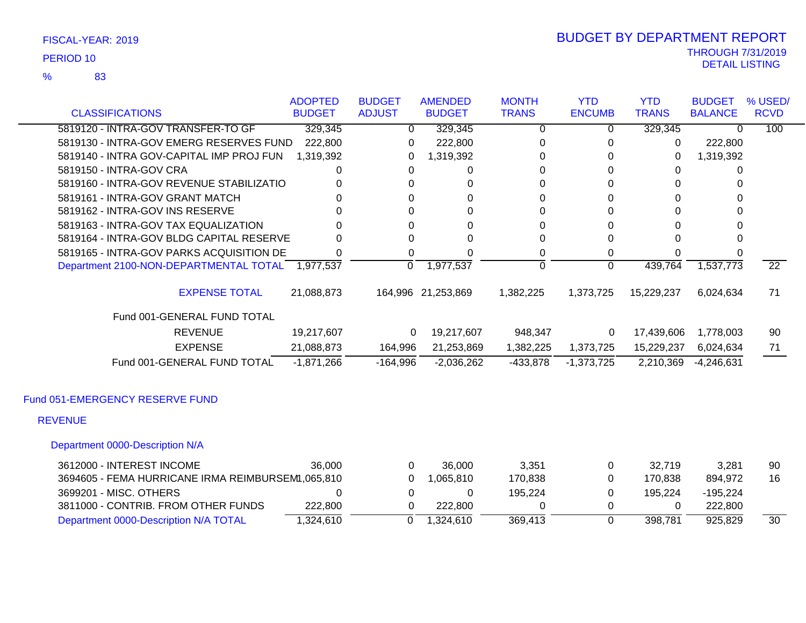83 %

| <b>CLASSIFICATIONS</b>                   | <b>ADOPTED</b><br><b>BUDGET</b> | <b>BUDGET</b><br><b>ADJUST</b> | <b>AMENDED</b><br><b>BUDGET</b> | <b>MONTH</b><br><b>TRANS</b> | <b>YTD</b><br><b>ENCUMB</b> | <b>YTD</b><br><b>TRANS</b> | <b>BUDGET</b><br><b>BALANCE</b> | % USED/<br><b>RCVD</b> |
|------------------------------------------|---------------------------------|--------------------------------|---------------------------------|------------------------------|-----------------------------|----------------------------|---------------------------------|------------------------|
| 5819120 - INTRA-GOV TRANSFER-TO GF       | 329,345                         | $\overline{0}$                 | 329,345                         | 0                            | 0                           | 329,345                    | 0                               | 100                    |
| 5819130 - INTRA-GOV EMERG RESERVES FUND  | 222,800                         | 0                              | 222,800                         | 0                            |                             | 0                          | 222,800                         |                        |
| 5819140 - INTRA GOV-CAPITAL IMP PROJ FUN | 1,319,392                       | 0                              | 1,319,392                       | 0                            | O                           | 0                          | 1,319,392                       |                        |
| 5819150 - INTRA-GOV CRA                  | 0                               | 0                              | 0                               | 0                            | 0                           |                            |                                 |                        |
| 5819160 - INTRA-GOV REVENUE STABILIZATIO |                                 | 0                              | 0                               | 0                            |                             |                            |                                 |                        |
| 5819161 - INTRA-GOV GRANT MATCH          |                                 | 0                              | 0                               | 0                            | 0                           | 0                          |                                 |                        |
| 5819162 - INTRA-GOV INS RESERVE          |                                 | 0                              | 0                               | 0                            | 0                           |                            |                                 |                        |
| 5819163 - INTRA-GOV TAX EQUALIZATION     | O.                              | 0                              | 0                               | 0                            | 0                           |                            |                                 |                        |
| 5819164 - INTRA-GOV BLDG CAPITAL RESERVE |                                 | 0                              | 0                               | 0                            |                             |                            | 0                               |                        |
| 5819165 - INTRA-GOV PARKS ACQUISITION DE |                                 | 0                              | 0                               | 0                            | 0                           |                            |                                 |                        |
| Department 2100-NON-DEPARTMENTAL TOTAL   | 1,977,537                       | 0                              | 1,977,537                       | 0                            | 0                           | 439,764                    | 1,537,773                       | $\overline{22}$        |
| <b>EXPENSE TOTAL</b>                     | 21,088,873                      |                                | 164,996 21,253,869              | 1,382,225                    | 1,373,725                   | 15,229,237                 | 6,024,634                       | 71                     |
| Fund 001-GENERAL FUND TOTAL              |                                 |                                |                                 |                              |                             |                            |                                 |                        |
| <b>REVENUE</b>                           | 19,217,607                      | 0                              | 19,217,607                      | 948,347                      | 0                           | 17,439,606                 | 1,778,003                       | 90                     |
| <b>EXPENSE</b>                           | 21,088,873                      | 164,996                        | 21,253,869                      | 1,382,225                    | 1,373,725                   | 15,229,237                 | 6,024,634                       | 71                     |
| Fund 001-GENERAL FUND TOTAL              | $-1,871,266$                    | $-164,996$                     | $-2,036,262$                    | $-433,878$                   | $-1,373,725$                | 2,210,369                  | $-4,246,631$                    |                        |
| Fund 051-EMERGENCY RESERVE FUND          |                                 |                                |                                 |                              |                             |                            |                                 |                        |
| <b>REVENUE</b>                           |                                 |                                |                                 |                              |                             |                            |                                 |                        |
| Department 0000-Description N/A          |                                 |                                |                                 |                              |                             |                            |                                 |                        |
| 3612000 - INTEREST INCOME                | 36,000                          | 0                              | 36,000                          | 3,351                        | 0                           | 32,719                     | 3,281                           | 90                     |

| 3612000 - INTEREST INCOME                         | 36,000   | 36.000    | 3.351   | 32.719  | 3.281    | 90. |
|---------------------------------------------------|----------|-----------|---------|---------|----------|-----|
| 3694605 - FEMA HURRICANE IRMA REIMBURSEM1,065,810 |          | .065.810  | 170.838 | 170.838 | 894.972  | 16  |
| 3699201 - MISC. OTHERS                            |          |           | 195.224 | 195.224 | -195.224 |     |
| 3811000 - CONTRIB. FROM OTHER FUNDS               | 222,800  | 222.800   |         |         | 222.800  |     |
| Department 0000-Description N/A TOTAL             | .324.610 | 1.324.610 | 369.413 | 398.781 | 925.829  | 30  |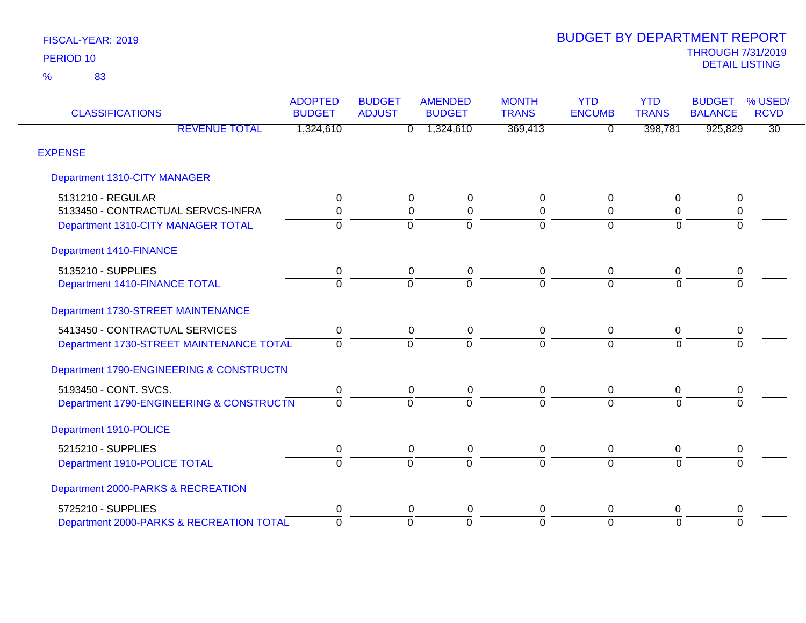| <b>CLASSIFICATIONS</b>                   | <b>ADOPTED</b><br><b>BUDGET</b> | <b>BUDGET</b><br><b>ADJUST</b> | <b>AMENDED</b><br><b>BUDGET</b> | <b>MONTH</b><br><b>TRANS</b> | <b>YTD</b><br><b>ENCUMB</b> | <b>YTD</b><br><b>TRANS</b> | <b>BUDGET</b><br><b>BALANCE</b> | % USED/<br><b>RCVD</b> |
|------------------------------------------|---------------------------------|--------------------------------|---------------------------------|------------------------------|-----------------------------|----------------------------|---------------------------------|------------------------|
| <b>REVENUE TOTAL</b>                     | 1,324,610                       | $\overline{0}$                 | 1,324,610                       | 369,413                      | $\overline{0}$              | 398,781                    | 925,829                         | $\overline{30}$        |
| <b>EXPENSE</b>                           |                                 |                                |                                 |                              |                             |                            |                                 |                        |
| Department 1310-CITY MANAGER             |                                 |                                |                                 |                              |                             |                            |                                 |                        |
| 5131210 - REGULAR                        | 0                               | 0                              | 0                               | 0                            | $\Omega$                    | 0                          | 0                               |                        |
| 5133450 - CONTRACTUAL SERVCS-INFRA       | 0                               | 0                              | $\mathbf 0$                     | 0                            | $\Omega$                    | 0                          | 0                               |                        |
| Department 1310-CITY MANAGER TOTAL       | $\Omega$                        | $\Omega$                       | $\Omega$                        | $\overline{0}$               | $\Omega$                    | $\Omega$                   | $\Omega$                        |                        |
| Department 1410-FINANCE                  |                                 |                                |                                 |                              |                             |                            |                                 |                        |
| 5135210 - SUPPLIES                       | 0                               | $\pmb{0}$                      | $\mathbf 0$                     | $\mathbf 0$                  | $\mathbf 0$                 | 0                          | 0                               |                        |
| Department 1410-FINANCE TOTAL            | $\overline{0}$                  | $\Omega$                       | $\Omega$                        | $\overline{0}$               | $\Omega$                    | $\Omega$                   |                                 |                        |
| Department 1730-STREET MAINTENANCE       |                                 |                                |                                 |                              |                             |                            |                                 |                        |
| 5413450 - CONTRACTUAL SERVICES           | 0                               | $\overline{0}$                 | $\pmb{0}$                       | $\mathbf 0$                  | $\overline{0}$              | $\mathbf 0$                | $\,0\,$                         |                        |
| Department 1730-STREET MAINTENANCE TOTAL | $\Omega$                        | $\Omega$                       | $\Omega$                        | $\Omega$                     | $\Omega$                    | $\Omega$                   |                                 |                        |
| Department 1790-ENGINEERING & CONSTRUCTN |                                 |                                |                                 |                              |                             |                            |                                 |                        |
| 5193450 - CONT. SVCS.                    | 0                               | 0                              | 0                               | 0                            | 0                           | 0                          | 0                               |                        |
| Department 1790-ENGINEERING & CONSTRUCTN | 0                               | $\Omega$                       | $\Omega$                        | $\overline{0}$               | $\Omega$                    | $\Omega$                   |                                 |                        |
| Department 1910-POLICE                   |                                 |                                |                                 |                              |                             |                            |                                 |                        |
| 5215210 - SUPPLIES                       | 0                               | 0                              | 0                               | 0                            | $\mathbf 0$                 | 0                          | 0                               |                        |
| Department 1910-POLICE TOTAL             | $\overline{0}$                  | $\overline{0}$                 | $\overline{0}$                  | ō                            | $\overline{0}$              | $\Omega$                   |                                 |                        |
| Department 2000-PARKS & RECREATION       |                                 |                                |                                 |                              |                             |                            |                                 |                        |
| 5725210 - SUPPLIES                       | 0                               | 0                              | 0                               | 0                            | 0                           | 0                          | 0                               |                        |
| Department 2000-PARKS & RECREATION TOTAL | $\overline{0}$                  | $\Omega$                       | $\Omega$                        | $\overline{0}$               | $\Omega$                    | $\Omega$                   | $\Omega$                        |                        |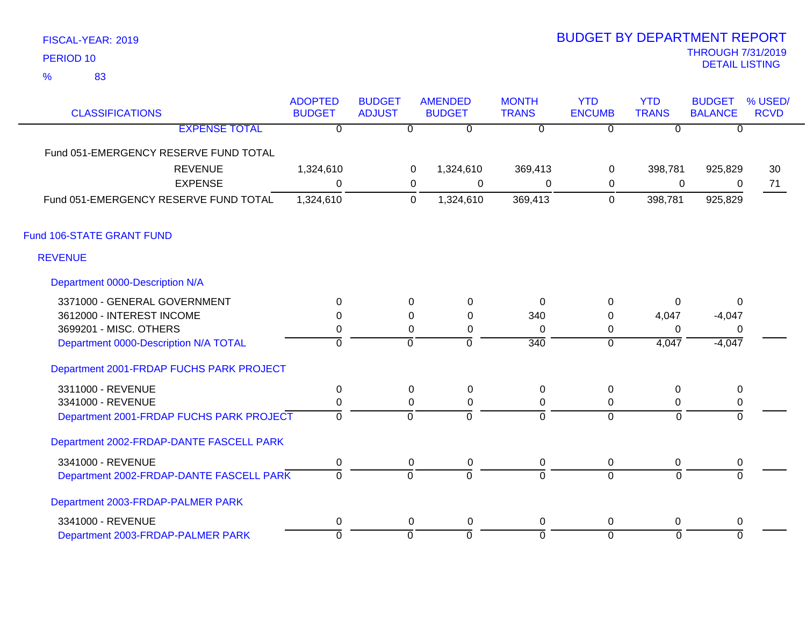83 %

| <b>CLASSIFICATIONS</b>                   | <b>ADOPTED</b><br><b>BUDGET</b> | <b>BUDGET</b><br><b>ADJUST</b> |                | <b>AMENDED</b><br><b>BUDGET</b> | <b>MONTH</b><br><b>TRANS</b> | <b>YTD</b><br><b>ENCUMB</b> | <b>YTD</b><br><b>TRANS</b> | <b>BUDGET</b><br><b>BALANCE</b> | % USED/<br><b>RCVD</b> |
|------------------------------------------|---------------------------------|--------------------------------|----------------|---------------------------------|------------------------------|-----------------------------|----------------------------|---------------------------------|------------------------|
| <b>EXPENSE TOTAL</b>                     | $\overline{0}$                  |                                | $\overline{0}$ | $\overline{0}$                  | $\overline{0}$               | $\overline{0}$              | $\overline{0}$             | $\overline{0}$                  |                        |
| Fund 051-EMERGENCY RESERVE FUND TOTAL    |                                 |                                |                |                                 |                              |                             |                            |                                 |                        |
| <b>REVENUE</b>                           | 1,324,610                       |                                | 0              | 1,324,610                       | 369,413                      | 0                           | 398,781                    | 925,829                         | 30                     |
| <b>EXPENSE</b>                           | $\Omega$                        |                                | 0              | 0                               | 0                            | 0                           | $\mathbf 0$                | 0                               | 71                     |
| Fund 051-EMERGENCY RESERVE FUND TOTAL    | 1,324,610                       |                                | $\mathbf 0$    | 1,324,610                       | 369,413                      | $\mathbf 0$                 | 398,781                    | 925,829                         |                        |
| Fund 106-STATE GRANT FUND                |                                 |                                |                |                                 |                              |                             |                            |                                 |                        |
| <b>REVENUE</b>                           |                                 |                                |                |                                 |                              |                             |                            |                                 |                        |
| Department 0000-Description N/A          |                                 |                                |                |                                 |                              |                             |                            |                                 |                        |
| 3371000 - GENERAL GOVERNMENT             | $\Omega$                        |                                | $\mathbf 0$    | $\mathbf 0$                     | $\Omega$                     | $\mathbf 0$                 | $\Omega$                   | $\mathbf{0}$                    |                        |
| 3612000 - INTEREST INCOME                | $\Omega$                        |                                | 0              | 0                               | 340                          | 0                           | 4,047                      | $-4,047$                        |                        |
| 3699201 - MISC. OTHERS                   | 0                               |                                | $\Omega$       | 0                               | $\Omega$                     | 0                           | $\Omega$                   | 0                               |                        |
| Department 0000-Description N/A TOTAL    | $\overline{0}$                  |                                | $\mathbf 0$    | ō                               | $\overline{340}$             | $\overline{0}$              | 4,047                      | $-4,047$                        |                        |
| Department 2001-FRDAP FUCHS PARK PROJECT |                                 |                                |                |                                 |                              |                             |                            |                                 |                        |
| 3311000 - REVENUE                        | 0                               |                                | $\Omega$       | 0                               | 0                            | 0                           | 0                          | 0                               |                        |
| 3341000 - REVENUE                        | $\mathbf 0$                     |                                | 0              | 0                               | $\Omega$                     | 0                           | 0                          | 0                               |                        |
| Department 2001-FRDAP FUCHS PARK PROJECT | $\overline{0}$                  |                                | $\mathbf 0$    | $\mathbf 0$                     | $\Omega$                     | $\mathbf 0$                 | $\Omega$                   | $\mathbf 0$                     |                        |
| Department 2002-FRDAP-DANTE FASCELL PARK |                                 |                                |                |                                 |                              |                             |                            |                                 |                        |
| 3341000 - REVENUE                        | 0                               |                                | 0              | 0                               | 0                            | 0                           | 0                          | 0                               |                        |
| Department 2002-FRDAP-DANTE FASCELL PARK | $\overline{0}$                  |                                | ō              | $\overline{0}$                  | $\overline{0}$               | $\overline{0}$              | $\overline{0}$             | ō                               |                        |
| Department 2003-FRDAP-PALMER PARK        |                                 |                                |                |                                 |                              |                             |                            |                                 |                        |
| 3341000 - REVENUE                        | $\pmb{0}$                       |                                | 0              | 0                               | 0                            | $\mathbf 0$                 | 0                          | 0                               |                        |
| Department 2003-FRDAP-PALMER PARK        | $\overline{0}$                  |                                | ō              | ō                               | 0                            | $\overline{0}$              | $\overline{0}$             | $\overline{0}$                  |                        |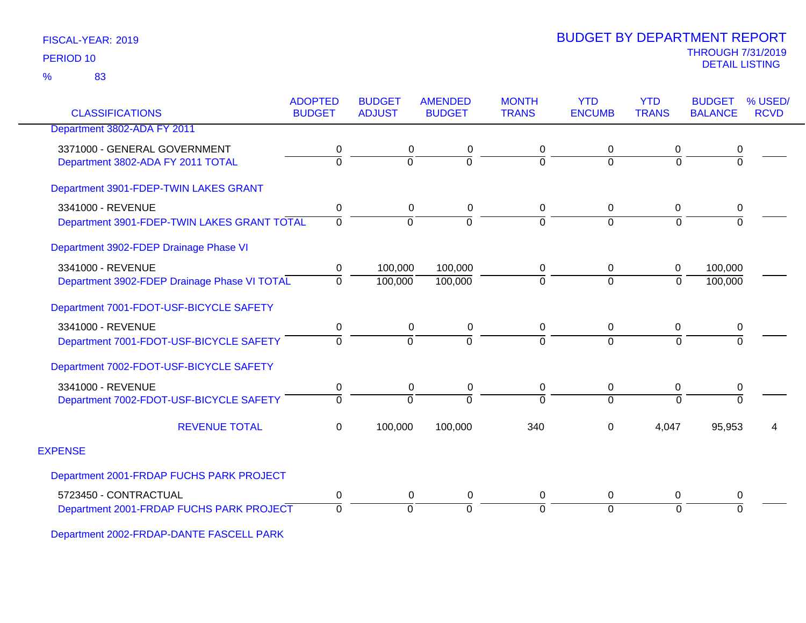83 %

| <b>CLASSIFICATIONS</b>                       | <b>ADOPTED</b><br><b>BUDGET</b> | <b>BUDGET</b><br><b>ADJUST</b> | <b>AMENDED</b><br><b>BUDGET</b> | <b>MONTH</b><br><b>TRANS</b> | <b>YTD</b><br><b>ENCUMB</b> | <b>YTD</b><br><b>TRANS</b> | <b>BUDGET</b><br><b>BALANCE</b> | % USED/<br><b>RCVD</b> |
|----------------------------------------------|---------------------------------|--------------------------------|---------------------------------|------------------------------|-----------------------------|----------------------------|---------------------------------|------------------------|
| Department 3802-ADA FY 2011                  |                                 |                                |                                 |                              |                             |                            |                                 |                        |
| 3371000 - GENERAL GOVERNMENT                 | 0                               | 0                              | 0                               | 0                            | 0                           | 0                          | 0                               |                        |
| Department 3802-ADA FY 2011 TOTAL            | $\overline{0}$                  | $\overline{0}$                 | $\Omega$                        | $\overline{0}$               | $\Omega$                    | $\overline{0}$             | ō                               |                        |
| Department 3901-FDEP-TWIN LAKES GRANT        |                                 |                                |                                 |                              |                             |                            |                                 |                        |
| 3341000 - REVENUE                            | 0                               | 0                              | 0                               | 0                            | $\mathbf 0$                 | 0                          | 0                               |                        |
| Department 3901-FDEP-TWIN LAKES GRANT TOTAL  | $\Omega$                        | $\Omega$                       | $\Omega$                        | 0                            | $\Omega$                    | $\Omega$                   | $\Omega$                        |                        |
| Department 3902-FDEP Drainage Phase VI       |                                 |                                |                                 |                              |                             |                            |                                 |                        |
| 3341000 - REVENUE                            | 0                               | 100,000                        | 100,000                         | 0                            | $\mathbf 0$                 | $\boldsymbol{0}$           | 100,000                         |                        |
| Department 3902-FDEP Drainage Phase VI TOTAL | $\Omega$                        | 100,000                        | 100,000                         | 0                            | $\mathbf 0$                 | $\mathbf 0$                | 100,000                         |                        |
| Department 7001-FDOT-USF-BICYCLE SAFETY      |                                 |                                |                                 |                              |                             |                            |                                 |                        |
| 3341000 - REVENUE                            | 0                               | 0                              | 0                               | 0                            | $\mathbf 0$                 | 0                          | 0                               |                        |
| Department 7001-FDOT-USF-BICYCLE SAFETY      | $\Omega$                        | $\Omega$                       | $\Omega$                        | $\overline{0}$               | $\Omega$                    | $\overline{0}$             | $\Omega$                        |                        |
| Department 7002-FDOT-USF-BICYCLE SAFETY      |                                 |                                |                                 |                              |                             |                            |                                 |                        |
| 3341000 - REVENUE                            | 0                               | 0                              | 0                               | 0                            | $\mathbf 0$                 | 0                          | $\boldsymbol{0}$                |                        |
| Department 7002-FDOT-USF-BICYCLE SAFETY      | $\Omega$                        | $\Omega$                       | $\Omega$                        | $\Omega$                     | $\Omega$                    | $\Omega$                   | $\overline{0}$                  |                        |
| <b>REVENUE TOTAL</b>                         | $\Omega$                        | 100,000                        | 100,000                         | 340                          | $\Omega$                    | 4,047                      | 95,953                          |                        |
| <b>EXPENSE</b>                               |                                 |                                |                                 |                              |                             |                            |                                 |                        |
| Department 2001-FRDAP FUCHS PARK PROJECT     |                                 |                                |                                 |                              |                             |                            |                                 |                        |
| 5723450 - CONTRACTUAL                        | $\pmb{0}$                       | 0                              | 0                               | 0                            | $\mathbf 0$                 | $\pmb{0}$                  | 0                               |                        |
| Department 2001-FRDAP FUCHS PARK PROJECT     | $\Omega$                        | 0                              | $\Omega$                        | 0                            | $\Omega$                    | $\Omega$                   | $\Omega$                        |                        |

Department 2002-FRDAP-DANTE FASCELL PARK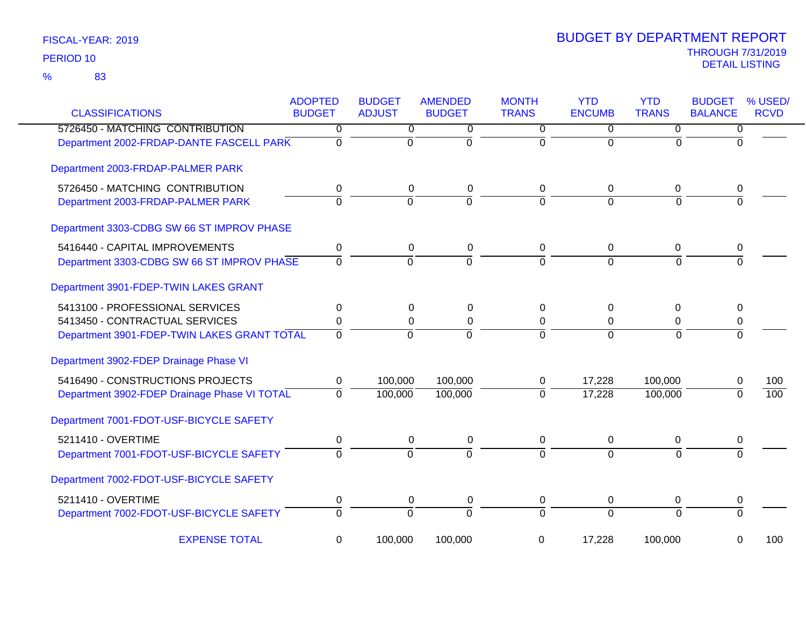| <b>CLASSIFICATIONS</b>                       | <b>ADOPTED</b><br><b>BUDGET</b> | <b>BUDGET</b><br><b>ADJUST</b> | <b>AMENDED</b><br><b>BUDGET</b> | <b>MONTH</b><br><b>TRANS</b> | <b>YTD</b><br><b>ENCUMB</b> | <b>YTD</b><br><b>TRANS</b> | <b>BUDGET</b><br><b>BALANCE</b> | % USED/<br><b>RCVD</b> |
|----------------------------------------------|---------------------------------|--------------------------------|---------------------------------|------------------------------|-----------------------------|----------------------------|---------------------------------|------------------------|
| 5726450 - MATCHING CONTRIBUTION              | 0                               | 0                              | 0                               | $\overline{0}$               | $\overline{0}$              | $\overline{0}$             | 0                               |                        |
| Department 2002-FRDAP-DANTE FASCELL PARK     | $\overline{0}$                  | $\mathbf 0$                    | $\Omega$                        | $\Omega$                     | $\Omega$                    | $\Omega$                   | $\Omega$                        |                        |
| Department 2003-FRDAP-PALMER PARK            |                                 |                                |                                 |                              |                             |                            |                                 |                        |
| 5726450 - MATCHING CONTRIBUTION              | 0                               | 0                              | 0                               | 0                            | 0                           | 0                          | 0                               |                        |
| Department 2003-FRDAP-PALMER PARK            | $\overline{0}$                  | $\overline{0}$                 | $\overline{0}$                  | $\overline{0}$               | $\overline{0}$              | $\Omega$                   | $\Omega$                        |                        |
| Department 3303-CDBG SW 66 ST IMPROV PHASE   |                                 |                                |                                 |                              |                             |                            |                                 |                        |
| 5416440 - CAPITAL IMPROVEMENTS               | 0                               | $\pmb{0}$                      | 0                               | 0                            | $\boldsymbol{0}$            | 0                          | 0                               |                        |
| Department 3303-CDBG SW 66 ST IMPROV PHASE   | $\overline{0}$                  | $\overline{0}$                 | $\overline{0}$                  | $\Omega$                     | $\Omega$                    | $\Omega$                   | $\Omega$                        |                        |
| Department 3901-FDEP-TWIN LAKES GRANT        |                                 |                                |                                 |                              |                             |                            |                                 |                        |
| 5413100 - PROFESSIONAL SERVICES              | 0                               | $\mathbf 0$                    | $\pmb{0}$                       | 0                            | 0                           | 0                          | $\mathbf 0$                     |                        |
| 5413450 - CONTRACTUAL SERVICES               | 0                               | 0                              | $\pmb{0}$                       | $\mathbf 0$                  | $\mathbf 0$                 | $\mathbf 0$                | 0                               |                        |
| Department 3901-FDEP-TWIN LAKES GRANT TOTAL  | $\Omega$                        | $\mathbf 0$                    | $\Omega$                        | $\Omega$                     | $\mathbf 0$                 | $\Omega$                   | $\Omega$                        |                        |
| Department 3902-FDEP Drainage Phase VI       |                                 |                                |                                 |                              |                             |                            |                                 |                        |
| 5416490 - CONSTRUCTIONS PROJECTS             | 0                               | 100,000                        | 100,000                         | 0                            | 17,228                      | 100,000                    | 0                               | 100                    |
| Department 3902-FDEP Drainage Phase VI TOTAL | $\overline{0}$                  | 100,000                        | 100,000                         | $\overline{0}$               | 17,228                      | 100,000                    | $\Omega$                        | $\overline{100}$       |
| Department 7001-FDOT-USF-BICYCLE SAFETY      |                                 |                                |                                 |                              |                             |                            |                                 |                        |
| 5211410 - OVERTIME                           | 0                               | 0                              | 0                               | 0                            | 0                           | 0                          | 0                               |                        |
| Department 7001-FDOT-USF-BICYCLE SAFETY      | $\overline{0}$                  | $\overline{0}$                 | $\overline{0}$                  | $\Omega$                     | $\Omega$                    | $\Omega$                   | 0                               |                        |
| Department 7002-FDOT-USF-BICYCLE SAFETY      |                                 |                                |                                 |                              |                             |                            |                                 |                        |
| 5211410 - OVERTIME                           | 0                               | 0                              | 0                               | 0                            | 0                           | 0                          | 0                               |                        |
| Department 7002-FDOT-USF-BICYCLE SAFETY      | $\overline{0}$                  | 0                              | $\overline{0}$                  | $\overline{0}$               | $\overline{0}$              | $\Omega$                   | $\overline{0}$                  |                        |
| <b>EXPENSE TOTAL</b>                         | 0                               | 100,000                        | 100,000                         | 0                            | 17,228                      | 100,000                    | 0                               | 100                    |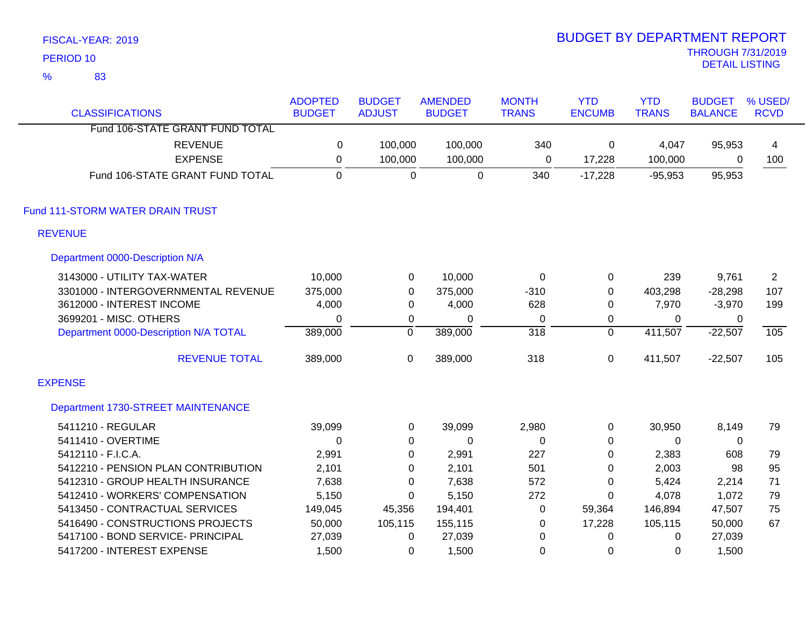| PERIOD <sub>10</sub> |                                       |                                 |                                |                                 |                              |                             |                            | <b>THROUGH 7/31/2019</b><br><b>DETAIL LISTING</b> |                        |
|----------------------|---------------------------------------|---------------------------------|--------------------------------|---------------------------------|------------------------------|-----------------------------|----------------------------|---------------------------------------------------|------------------------|
| $\frac{9}{6}$        | 83                                    |                                 |                                |                                 |                              |                             |                            |                                                   |                        |
|                      | <b>CLASSIFICATIONS</b>                | <b>ADOPTED</b><br><b>BUDGET</b> | <b>BUDGET</b><br><b>ADJUST</b> | <b>AMENDED</b><br><b>BUDGET</b> | <b>MONTH</b><br><b>TRANS</b> | <b>YTD</b><br><b>ENCUMB</b> | <b>YTD</b><br><b>TRANS</b> | <b>BUDGET</b><br><b>BALANCE</b>                   | % USED/<br><b>RCVD</b> |
|                      | Fund 106-STATE GRANT FUND TOTAL       |                                 |                                |                                 |                              |                             |                            |                                                   |                        |
|                      | <b>REVENUE</b>                        | $\mathbf 0$                     | 100,000                        | 100,000                         | 340                          | 0                           | 4,047                      | 95,953                                            | 4                      |
|                      | <b>EXPENSE</b>                        | $\boldsymbol{0}$                | 100,000                        | 100,000                         | $\mathbf 0$                  | 17,228                      | 100,000                    | 0                                                 | 100                    |
|                      | Fund 106-STATE GRANT FUND TOTAL       | $\mathbf 0$                     | $\overline{0}$                 | $\mathbf 0$                     | 340                          | $-17,228$                   | $-95,953$                  | 95,953                                            |                        |
|                      | Fund 111-STORM WATER DRAIN TRUST      |                                 |                                |                                 |                              |                             |                            |                                                   |                        |
| <b>REVENUE</b>       |                                       |                                 |                                |                                 |                              |                             |                            |                                                   |                        |
|                      | Department 0000-Description N/A       |                                 |                                |                                 |                              |                             |                            |                                                   |                        |
|                      | 3143000 - UTILITY TAX-WATER           | 10,000                          | $\mathbf 0$                    | 10,000                          | $\mathbf 0$                  | 0                           | 239                        | 9,761                                             | $\overline{2}$         |
|                      | 3301000 - INTERGOVERNMENTAL REVENUE   | 375,000                         | $\mathbf 0$                    | 375,000                         | $-310$                       | 0                           | 403,298                    | $-28,298$                                         | 107                    |
|                      | 3612000 - INTEREST INCOME             | 4,000                           | $\mathbf 0$                    | 4,000                           | 628                          | 0                           | 7,970                      | $-3,970$                                          | 199                    |
|                      | 3699201 - MISC. OTHERS                | $\mathbf 0$                     | $\mathbf 0$                    | $\mathbf 0$                     | 0                            | 0                           | 0                          | 0                                                 |                        |
|                      | Department 0000-Description N/A TOTAL | 389,000                         | $\overline{0}$                 | 389,000                         | $\overline{318}$             | $\overline{0}$              | 411,507                    | $-22,507$                                         | 105                    |
|                      | <b>REVENUE TOTAL</b>                  | 389,000                         | $\pmb{0}$                      | 389,000                         | 318                          | $\mathbf 0$                 | 411,507                    | $-22,507$                                         | 105                    |
| <b>EXPENSE</b>       |                                       |                                 |                                |                                 |                              |                             |                            |                                                   |                        |
|                      | Department 1730-STREET MAINTENANCE    |                                 |                                |                                 |                              |                             |                            |                                                   |                        |
|                      | 5411210 - REGULAR                     | 39,099                          | $\mathbf 0$                    | 39,099                          | 2,980                        | $\mathbf 0$                 | 30,950                     | 8,149                                             | 79                     |
|                      | 5411410 - OVERTIME                    | $\mathbf 0$                     | 0                              | $\mathbf 0$                     | $\mathbf 0$                  | 0                           | 0                          | $\mathbf 0$                                       |                        |
|                      | 5412110 - F.I.C.A.                    | 2,991                           | $\mathbf 0$                    | 2,991                           | 227                          | 0                           | 2,383                      | 608                                               | 79                     |
|                      | 5412210 - PENSION PLAN CONTRIBUTION   | 2,101                           | $\boldsymbol{0}$               | 2,101                           | 501                          | $\Omega$                    | 2,003                      | 98                                                | 95                     |
|                      | 5412310 - GROUP HEALTH INSURANCE      | 7,638                           | $\mathbf 0$                    | 7,638                           | 572                          | 0                           | 5,424                      | 2,214                                             | 71                     |
|                      | 5412410 - WORKERS' COMPENSATION       | 5,150                           | 0                              | 5,150                           | 272                          | 0                           | 4,078                      | 1,072                                             | 79                     |
|                      | 5413450 - CONTRACTUAL SERVICES        | 149,045                         | 45,356                         | 194,401                         | 0                            | 59,364                      | 146,894                    | 47,507                                            | 75                     |
|                      | 5416490 - CONSTRUCTIONS PROJECTS      | 50,000                          | 105,115                        | 155,115                         | 0                            | 17,228                      | 105,115                    | 50,000                                            | 67                     |
|                      | 5417100 - BOND SERVICE- PRINCIPAL     | 27,039                          | $\mathbf 0$                    | 27,039                          | $\mathbf 0$                  | 0                           | $\mathbf 0$                | 27,039                                            |                        |
|                      | 5417200 - INTEREST EXPENSE            | 1,500                           | 0                              | 1,500                           | 0                            | 0                           | 0                          | 1,500                                             |                        |

# BUDGET BY DEPARTMENT REPORT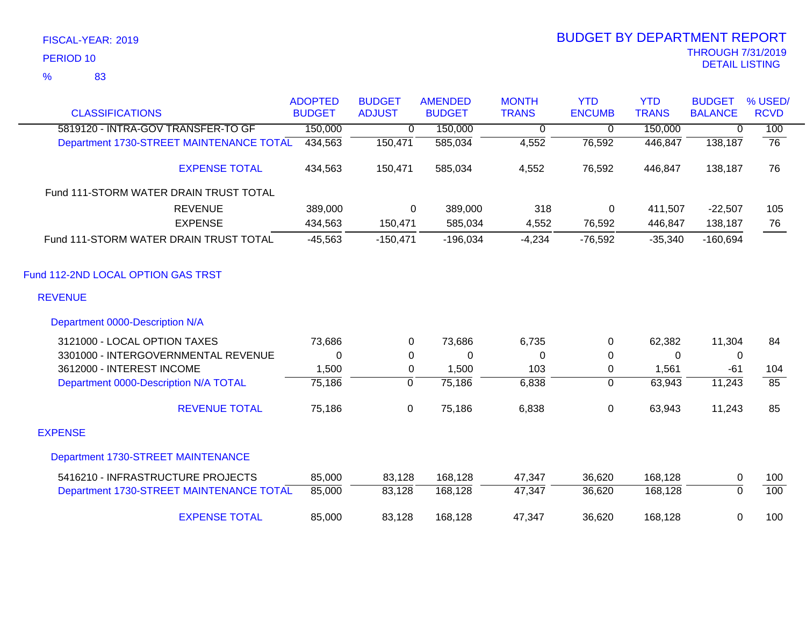|                                          | <b>ADOPTED</b> | <b>BUDGET</b>  | <b>AMENDED</b> | <b>MONTH</b> | <b>YTD</b>       | <b>YTD</b>   | <b>BUDGET</b>  | % USED/     |
|------------------------------------------|----------------|----------------|----------------|--------------|------------------|--------------|----------------|-------------|
| <b>CLASSIFICATIONS</b>                   | <b>BUDGET</b>  | <b>ADJUST</b>  | <b>BUDGET</b>  | <b>TRANS</b> | <b>ENCUMB</b>    | <b>TRANS</b> | <b>BALANCE</b> | <b>RCVD</b> |
| 5819120 - INTRA-GOV TRANSFER-TO GF       | 150,000        | $\mathbf 0$    | 150,000        | 0            | $\mathbf 0$      | 150,000      | 0              | 100         |
| Department 1730-STREET MAINTENANCE TOTAL | 434,563        | 150,471        | 585,034        | 4,552        | 76,592           | 446,847      | 138,187        | 76          |
| <b>EXPENSE TOTAL</b>                     | 434,563        | 150,471        | 585,034        | 4,552        | 76,592           | 446,847      | 138,187        | 76          |
| Fund 111-STORM WATER DRAIN TRUST TOTAL   |                |                |                |              |                  |              |                |             |
| <b>REVENUE</b>                           | 389,000        | 0              | 389,000        | 318          | $\mathbf 0$      | 411,507      | $-22,507$      | 105         |
| <b>EXPENSE</b>                           | 434,563        | 150,471        | 585,034        | 4,552        | 76,592           | 446,847      | 138,187        | 76          |
| Fund 111-STORM WATER DRAIN TRUST TOTAL   | $-45,563$      | $-150,471$     | $-196,034$     | $-4,234$     | $-76,592$        | $-35,340$    | $-160,694$     |             |
| Fund 112-2ND LOCAL OPTION GAS TRST       |                |                |                |              |                  |              |                |             |
| <b>REVENUE</b>                           |                |                |                |              |                  |              |                |             |
| Department 0000-Description N/A          |                |                |                |              |                  |              |                |             |
| 3121000 - LOCAL OPTION TAXES             | 73,686         | 0              | 73,686         | 6,735        | 0                | 62,382       | 11,304         | 84          |
| 3301000 - INTERGOVERNMENTAL REVENUE      | 0              | 0              | 0              | 0            | $\mathbf 0$      | 0            | 0              |             |
| 3612000 - INTEREST INCOME                | 1,500          | $\mathbf 0$    | 1,500          | 103          | $\mathbf 0$      | 1,561        | $-61$          | 104         |
| Department 0000-Description N/A TOTAL    | 75,186         | $\overline{0}$ | 75,186         | 6,838        | $\mathbf 0$      | 63,943       | 11,243         | 85          |
| <b>REVENUE TOTAL</b>                     | 75,186         | $\mathbf 0$    | 75,186         | 6,838        | $\boldsymbol{0}$ | 63,943       | 11,243         | 85          |
| <b>EXPENSE</b>                           |                |                |                |              |                  |              |                |             |
| Department 1730-STREET MAINTENANCE       |                |                |                |              |                  |              |                |             |
| 5416210 - INFRASTRUCTURE PROJECTS        | 85,000         | 83,128         | 168,128        | 47,347       | 36,620           | 168,128      | 0              | 100         |
| Department 1730-STREET MAINTENANCE TOTAL | 85,000         | 83,128         | 168,128        | 47,347       | 36,620           | 168,128      | $\overline{0}$ | 100         |
| <b>EXPENSE TOTAL</b>                     | 85,000         | 83,128         | 168,128        | 47,347       | 36,620           | 168,128      | 0              | 100         |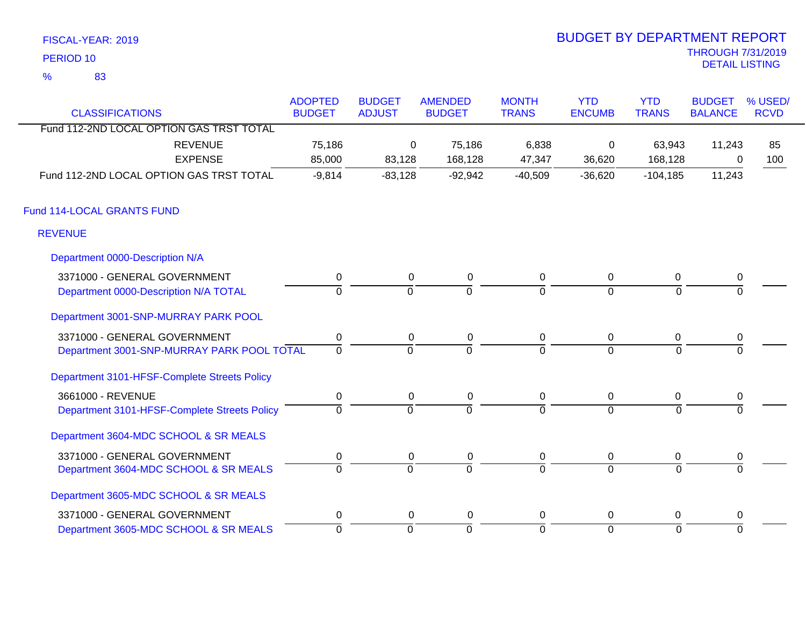| FISCAL-YEAR: 2019   | <b>BUDGET BY DEPARTMENT REPORT</b> |
|---------------------|------------------------------------|
| PERIOD 10           | <b>THROUGH 7/31/201</b>            |
| 83<br>$\frac{1}{2}$ | <b>DETAIL LISTING</b>              |
|                     |                                    |

# THROUGH 7/31/2019<br>DETAIL LISTING BUDGET BY DEPARTMENT REPORT

| <b>CLASSIFICATIONS</b>                       | <b>ADOPTED</b><br><b>BUDGET</b> | <b>BUDGET</b><br><b>ADJUST</b> | <b>AMENDED</b><br><b>BUDGET</b> | <b>MONTH</b><br><b>TRANS</b> | <b>YTD</b><br><b>ENCUMB</b> | <b>YTD</b><br><b>TRANS</b> | <b>BUDGET</b><br><b>BALANCE</b> | % USED/<br><b>RCVD</b> |
|----------------------------------------------|---------------------------------|--------------------------------|---------------------------------|------------------------------|-----------------------------|----------------------------|---------------------------------|------------------------|
| Fund 112-2ND LOCAL OPTION GAS TRST TOTAL     |                                 |                                |                                 |                              |                             |                            |                                 |                        |
| <b>REVENUE</b>                               | 75,186                          | 0                              | 75,186                          | 6,838                        | 0                           | 63,943                     | 11,243                          | 85                     |
| <b>EXPENSE</b>                               | 85,000                          | 83,128                         | 168,128                         | 47,347                       | 36,620                      | 168,128                    | 0                               | 100                    |
| Fund 112-2ND LOCAL OPTION GAS TRST TOTAL     | $-9,814$                        | $-83,128$                      | $-92,942$                       | $-40,509$                    | $-36,620$                   | $-104, 185$                | 11,243                          |                        |
| Fund 114-LOCAL GRANTS FUND                   |                                 |                                |                                 |                              |                             |                            |                                 |                        |
| <b>REVENUE</b>                               |                                 |                                |                                 |                              |                             |                            |                                 |                        |
| Department 0000-Description N/A              |                                 |                                |                                 |                              |                             |                            |                                 |                        |
| 3371000 - GENERAL GOVERNMENT                 | $\pmb{0}$                       | 0                              | $\pmb{0}$                       | 0                            | $\overline{0}$              | 0                          | $\pmb{0}$                       |                        |
| Department 0000-Description N/A TOTAL        | $\Omega$                        | $\Omega$                       | $\Omega$                        | $\overline{0}$               | $\mathbf 0$                 | $\Omega$                   |                                 |                        |
| Department 3001-SNP-MURRAY PARK POOL         |                                 |                                |                                 |                              |                             |                            |                                 |                        |
| 3371000 - GENERAL GOVERNMENT                 | $\pmb{0}$                       | 0                              | 0                               | 0                            | $\mathbf 0$                 | 0                          | $\pmb{0}$                       |                        |
| Department 3001-SNP-MURRAY PARK POOL TOTAL   | $\overline{0}$                  | $\overline{0}$                 | $\overline{0}$                  | $\overline{0}$               | $\overline{0}$              | $\Omega$                   |                                 |                        |
| Department 3101-HFSF-Complete Streets Policy |                                 |                                |                                 |                              |                             |                            |                                 |                        |
| 3661000 - REVENUE                            | $\pmb{0}$                       | 0                              | 0                               | $\pmb{0}$                    | $\overline{0}$              | $\mathbf 0$                | $\pmb{0}$                       |                        |
| Department 3101-HFSF-Complete Streets Policy | $\mathbf 0$                     | $\overline{0}$                 | $\overline{0}$                  | $\overline{0}$               | $\overline{0}$              | $\Omega$                   |                                 |                        |
| Department 3604-MDC SCHOOL & SR MEALS        |                                 |                                |                                 |                              |                             |                            |                                 |                        |
| 3371000 - GENERAL GOVERNMENT                 | 0                               | 0                              | 0                               | 0                            | $\overline{0}$              | 0                          | 0                               |                        |
| Department 3604-MDC SCHOOL & SR MEALS        | $\Omega$                        | $\overline{0}$                 | $\Omega$                        | $\overline{0}$               | $\overline{0}$              | $\Omega$                   |                                 |                        |
| Department 3605-MDC SCHOOL & SR MEALS        |                                 |                                |                                 |                              |                             |                            |                                 |                        |
| 3371000 - GENERAL GOVERNMENT                 | $\pmb{0}$                       | 0                              | $\boldsymbol{0}$                | $\mathbf 0$                  | $\mathbf 0$                 | $\mathbf 0$                | $\pmb{0}$                       |                        |
| Department 3605-MDC SCHOOL & SR MEALS        | $\overline{0}$                  | $\mathbf 0$                    | $\overline{0}$                  | $\overline{0}$               | $\mathbf 0$                 | $\overline{0}$             | $\Omega$                        |                        |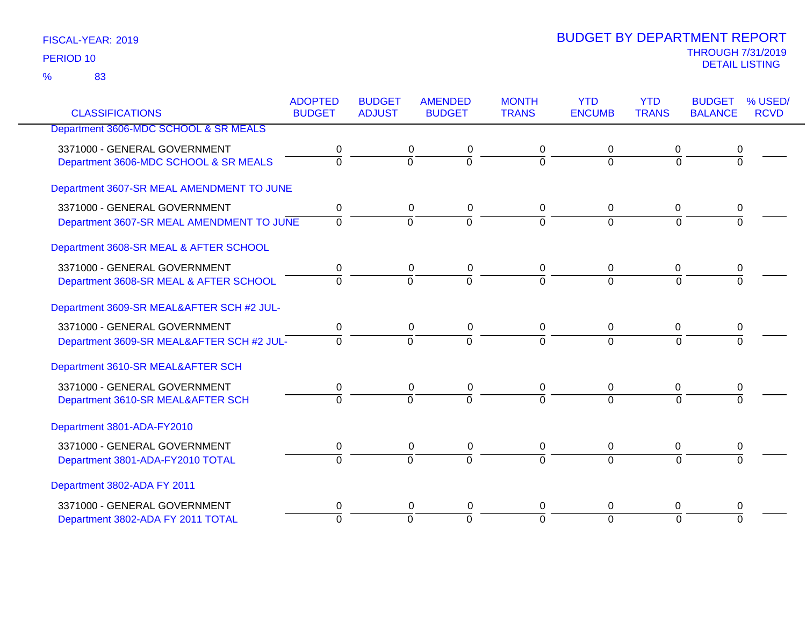|                                           | <b>ADOPTED</b> | <b>BUDGET</b>  | <b>AMENDED</b> | <b>MONTH</b>   | <b>YTD</b>     | <b>YTD</b>     | <b>BUDGET</b>  | % USED/     |
|-------------------------------------------|----------------|----------------|----------------|----------------|----------------|----------------|----------------|-------------|
| <b>CLASSIFICATIONS</b>                    | <b>BUDGET</b>  | <b>ADJUST</b>  | <b>BUDGET</b>  | <b>TRANS</b>   | <b>ENCUMB</b>  | <b>TRANS</b>   | <b>BALANCE</b> | <b>RCVD</b> |
| Department 3606-MDC SCHOOL & SR MEALS     |                |                |                |                |                |                |                |             |
| 3371000 - GENERAL GOVERNMENT              | 0              | 0              | 0              | 0              | 0              | 0              | 0              |             |
| Department 3606-MDC SCHOOL & SR MEALS     | $\Omega$       | 0              | $\overline{0}$ | $\Omega$       | $\Omega$       | $\Omega$       | $\Omega$       |             |
| Department 3607-SR MEAL AMENDMENT TO JUNE |                |                |                |                |                |                |                |             |
| 3371000 - GENERAL GOVERNMENT              | $\pmb{0}$      | $\mathbf 0$    | $\pmb{0}$      | 0              | 0              | $\mathbf 0$    | 0              |             |
| Department 3607-SR MEAL AMENDMENT TO JUNE | $\overline{0}$ | $\overline{0}$ | $\overline{0}$ | $\overline{0}$ | $\overline{0}$ | $\overline{0}$ | $\overline{0}$ |             |
| Department 3608-SR MEAL & AFTER SCHOOL    |                |                |                |                |                |                |                |             |
| 3371000 - GENERAL GOVERNMENT              | 0              | 0              | 0              | 0              | 0              | 0              | 0              |             |
| Department 3608-SR MEAL & AFTER SCHOOL    | $\overline{0}$ | $\overline{0}$ | $\overline{0}$ | $\overline{0}$ | $\overline{0}$ | $\overline{0}$ | $\overline{0}$ |             |
| Department 3609-SR MEAL&AFTER SCH #2 JUL- |                |                |                |                |                |                |                |             |
| 3371000 - GENERAL GOVERNMENT              | $\mathbf 0$    | $\mathbf 0$    | $\pmb{0}$      | $\mathbf 0$    | $\mathbf 0$    | $\mathbf 0$    | 0              |             |
| Department 3609-SR MEAL&AFTER SCH #2 JUL- | $\Omega$       | $\overline{0}$ | $\overline{0}$ | $\Omega$       | $\Omega$       | $\Omega$       | $\Omega$       |             |
| Department 3610-SR MEAL&AFTER SCH         |                |                |                |                |                |                |                |             |
| 3371000 - GENERAL GOVERNMENT              | $\pmb{0}$      | 0              | $\pmb{0}$      | 0              | $\mathbf 0$    | $\mathbf 0$    | 0              |             |
| Department 3610-SR MEAL&AFTER SCH         | $\Omega$       | $\overline{0}$ | $\Omega$       | 7              | $\overline{0}$ | $\Omega$       | $\Omega$       |             |
| Department 3801-ADA-FY2010                |                |                |                |                |                |                |                |             |
| 3371000 - GENERAL GOVERNMENT              | 0              | 0              | $\pmb{0}$      | 0              | 0              | 0              | 0              |             |
| Department 3801-ADA-FY2010 TOTAL          | $\overline{0}$ | $\overline{0}$ | $\overline{0}$ | $\overline{0}$ | $\overline{0}$ | $\Omega$       | $\overline{0}$ |             |
| Department 3802-ADA FY 2011               |                |                |                |                |                |                |                |             |
| 3371000 - GENERAL GOVERNMENT              | 0              | 0              | 0              | 0              | 0              | 0              | 0              |             |
| Department 3802-ADA FY 2011 TOTAL         | $\overline{0}$ | $\overline{0}$ | ō              | $\overline{0}$ | $\Omega$       | $\Omega$       | $\Omega$       |             |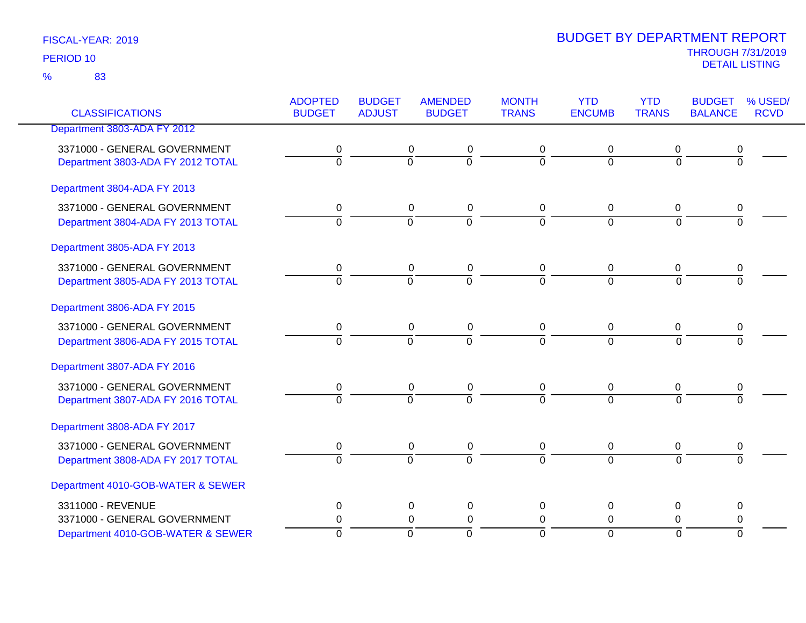| <b>CLASSIFICATIONS</b>            | <b>ADOPTED</b><br><b>BUDGET</b> | <b>BUDGET</b><br><b>ADJUST</b> | <b>AMENDED</b><br><b>BUDGET</b> | <b>MONTH</b><br><b>TRANS</b> | <b>YTD</b><br><b>ENCUMB</b> | <b>YTD</b><br><b>TRANS</b> | <b>BUDGET</b><br><b>BALANCE</b> | % USED/<br><b>RCVD</b> |
|-----------------------------------|---------------------------------|--------------------------------|---------------------------------|------------------------------|-----------------------------|----------------------------|---------------------------------|------------------------|
| Department 3803-ADA FY 2012       |                                 |                                |                                 |                              |                             |                            |                                 |                        |
|                                   |                                 |                                |                                 |                              |                             |                            |                                 |                        |
| 3371000 - GENERAL GOVERNMENT      | 0                               | 0                              | 0                               | 0                            | 0                           | 0                          | 0                               |                        |
| Department 3803-ADA FY 2012 TOTAL | ō                               | $\overline{0}$                 | $\overline{0}$                  | $\overline{0}$               | $\Omega$                    | $\overline{0}$             | $\overline{0}$                  |                        |
| Department 3804-ADA FY 2013       |                                 |                                |                                 |                              |                             |                            |                                 |                        |
| 3371000 - GENERAL GOVERNMENT      | 0                               | 0                              | 0                               | 0                            | 0                           | 0                          | 0                               |                        |
| Department 3804-ADA FY 2013 TOTAL | $\overline{0}$                  | $\overline{0}$                 | $\overline{0}$                  | $\overline{0}$               | $\overline{0}$              | $\overline{0}$             | $\overline{0}$                  |                        |
| Department 3805-ADA FY 2013       |                                 |                                |                                 |                              |                             |                            |                                 |                        |
| 3371000 - GENERAL GOVERNMENT      | 0                               | 0                              | $\pmb{0}$                       | $\pmb{0}$                    | $\mathbf 0$                 | $\mathbf 0$                | $\boldsymbol{0}$                |                        |
| Department 3805-ADA FY 2013 TOTAL | $\overline{0}$                  | $\overline{0}$                 | $\overline{0}$                  | $\overline{0}$               | $\overline{0}$              | $\overline{0}$             | $\overline{0}$                  |                        |
| Department 3806-ADA FY 2015       |                                 |                                |                                 |                              |                             |                            |                                 |                        |
| 3371000 - GENERAL GOVERNMENT      | 0                               | $\mathbf 0$                    | $\pmb{0}$                       | 0                            | 0                           | 0                          | 0                               |                        |
| Department 3806-ADA FY 2015 TOTAL | $\overline{0}$                  | $\overline{0}$                 | $\overline{0}$                  | $\overline{0}$               | $\overline{0}$              | $\overline{0}$             | $\Omega$                        |                        |
| Department 3807-ADA FY 2016       |                                 |                                |                                 |                              |                             |                            |                                 |                        |
| 3371000 - GENERAL GOVERNMENT      | 0                               | 0                              | 0                               | 0                            | 0                           | 0                          | 0                               |                        |
| Department 3807-ADA FY 2016 TOTAL | $\overline{0}$                  | $\overline{0}$                 | $\overline{0}$                  | $\overline{0}$               | $\overline{0}$              | $\overline{0}$             | $\overline{0}$                  |                        |
| Department 3808-ADA FY 2017       |                                 |                                |                                 |                              |                             |                            |                                 |                        |
| 3371000 - GENERAL GOVERNMENT      | 0                               | $\pmb{0}$                      | $\pmb{0}$                       | $\pmb{0}$                    | 0                           | 0                          | 0                               |                        |
| Department 3808-ADA FY 2017 TOTAL | $\overline{0}$                  | $\overline{0}$                 | $\overline{0}$                  | $\overline{0}$               | $\overline{0}$              | $\overline{0}$             | $\overline{0}$                  |                        |
| Department 4010-GOB-WATER & SEWER |                                 |                                |                                 |                              |                             |                            |                                 |                        |
| 3311000 - REVENUE                 | 0                               | $\mathbf 0$                    | 0                               | $\Omega$                     | 0                           | $\Omega$                   | 0                               |                        |
| 3371000 - GENERAL GOVERNMENT      | $\pmb{0}$                       | 0                              | $\pmb{0}$                       | $\mathbf 0$                  | 0                           | 0                          | 0                               |                        |
| Department 4010-GOB-WATER & SEWER | $\Omega$                        | $\Omega$                       | $\overline{0}$                  | $\Omega$                     | $\Omega$                    | $\overline{0}$             | $\Omega$                        |                        |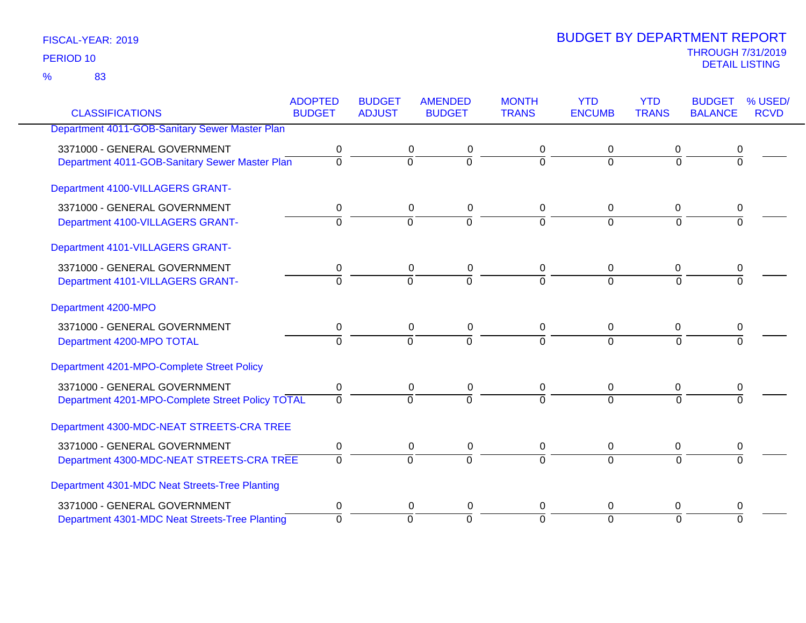83 %

|                                                  | <b>ADOPTED</b> | <b>BUDGET</b>  | <b>AMENDED</b> | <b>MONTH</b>   | <b>YTD</b>     | <b>YTD</b>     | <b>BUDGET</b>  | % USED/     |
|--------------------------------------------------|----------------|----------------|----------------|----------------|----------------|----------------|----------------|-------------|
| <b>CLASSIFICATIONS</b>                           | <b>BUDGET</b>  | <b>ADJUST</b>  | <b>BUDGET</b>  | <b>TRANS</b>   | <b>ENCUMB</b>  | <b>TRANS</b>   | <b>BALANCE</b> | <b>RCVD</b> |
| Department 4011-GOB-Sanitary Sewer Master Plan   |                |                |                |                |                |                |                |             |
| 3371000 - GENERAL GOVERNMENT                     | 0              | 0              | 0              | 0              | 0              | 0              | 0              |             |
| Department 4011-GOB-Sanitary Sewer Master Plan   | $\overline{0}$ | $\overline{0}$ | ō              | $\Omega$       | $\mathbf 0$    | $\overline{0}$ | 0              |             |
| Department 4100-VILLAGERS GRANT-                 |                |                |                |                |                |                |                |             |
| 3371000 - GENERAL GOVERNMENT                     | 0              | 0              | 0              | 0              | 0              | 0              | 0              |             |
| Department 4100-VILLAGERS GRANT-                 | $\Omega$       | $\overline{0}$ | $\overline{0}$ | $\Omega$       | $\overline{0}$ | $\Omega$       | $\Omega$       |             |
| Department 4101-VILLAGERS GRANT-                 |                |                |                |                |                |                |                |             |
| 3371000 - GENERAL GOVERNMENT                     | 0              | 0              | 0              | 0              | 0              | 0              |                |             |
| Department 4101-VILLAGERS GRANT-                 | $\Omega$       | $\Omega$       | $\overline{0}$ | $\Omega$       | $\Omega$       | $\Omega$       | $\Omega$       |             |
| Department 4200-MPO                              |                |                |                |                |                |                |                |             |
| 3371000 - GENERAL GOVERNMENT                     | 0              | 0              | 0              | 0              | 0              | 0              | 0              |             |
| Department 4200-MPO TOTAL                        | $\overline{0}$ | $\overline{0}$ | $\overline{0}$ | $\overline{0}$ | $\Omega$       | $\overline{0}$ | $\overline{0}$ |             |
| Department 4201-MPO-Complete Street Policy       |                |                |                |                |                |                |                |             |
| 3371000 - GENERAL GOVERNMENT                     | 0              | $\mathbf 0$    | $\pmb{0}$      | $\mathbf 0$    | 0              | 0              | 0              |             |
| Department 4201-MPO-Complete Street Policy TOTAL | $\Omega$       | $\Omega$       | $\overline{0}$ | $\Omega$       | $\Omega$       | $\Omega$       | $\Omega$       |             |
| Department 4300-MDC-NEAT STREETS-CRA TREE        |                |                |                |                |                |                |                |             |
| 3371000 - GENERAL GOVERNMENT                     | 0              | $\pmb{0}$      | $\pmb{0}$      | 0              | $\mathbf 0$    | $\pmb{0}$      | 0              |             |
| Department 4300-MDC-NEAT STREETS-CRA TREE        | $\mathbf 0$    | $\overline{0}$ | $\Omega$       | $\Omega$       | $\overline{0}$ | $\Omega$       | $\Omega$       |             |
| Department 4301-MDC Neat Streets-Tree Planting   |                |                |                |                |                |                |                |             |
| 3371000 - GENERAL GOVERNMENT                     | 0              | 0              | 0              | 0              | 0              | 0              | 0              |             |
| Department 4301-MDC Neat Streets-Tree Planting   | $\Omega$       | $\Omega$       | $\Omega$       | $\Omega$       | $\overline{0}$ | $\Omega$       | $\Omega$       |             |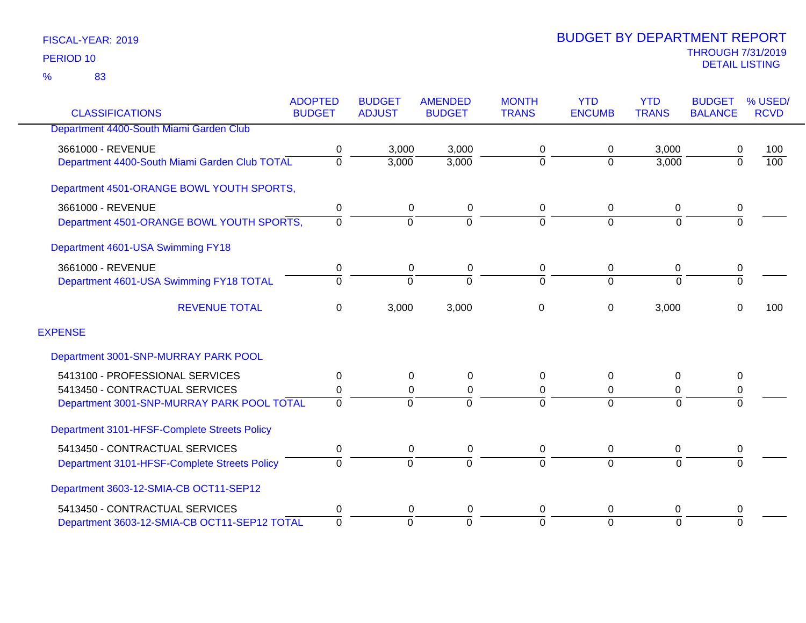|                                               | <b>ADOPTED</b> | <b>BUDGET</b>  | <b>AMENDED</b> | <b>MONTH</b>   | <b>YTD</b>    | <b>YTD</b>     | <b>BUDGET</b>  | % USED/          |
|-----------------------------------------------|----------------|----------------|----------------|----------------|---------------|----------------|----------------|------------------|
| <b>CLASSIFICATIONS</b>                        | <b>BUDGET</b>  | <b>ADJUST</b>  | <b>BUDGET</b>  | <b>TRANS</b>   | <b>ENCUMB</b> | <b>TRANS</b>   | <b>BALANCE</b> | <b>RCVD</b>      |
| Department 4400-South Miami Garden Club       |                |                |                |                |               |                |                |                  |
| 3661000 - REVENUE                             | 0              | 3,000          | 3,000          | 0              | 0             | 3,000          | 0              | 100              |
| Department 4400-South Miami Garden Club TOTAL | 0              | 3,000          | 3,000          | $\mathbf 0$    | $\Omega$      | 3,000          | $\overline{0}$ | $\overline{100}$ |
| Department 4501-ORANGE BOWL YOUTH SPORTS,     |                |                |                |                |               |                |                |                  |
| 3661000 - REVENUE                             | 0              | 0              | 0              | 0              | 0             | 0              | 0              |                  |
| Department 4501-ORANGE BOWL YOUTH SPORTS,     | $\Omega$       | $\overline{0}$ | $\Omega$       | $\overline{0}$ | $\Omega$      | $\overline{0}$ | $\overline{0}$ |                  |
| Department 4601-USA Swimming FY18             |                |                |                |                |               |                |                |                  |
| 3661000 - REVENUE                             | 0              | 0              | 0              | 0              | 0             | 0              | 0              |                  |
| Department 4601-USA Swimming FY18 TOTAL       | $\Omega$       | $\Omega$       | $\Omega$       | $\Omega$       | $\Omega$      | $\Omega$       | $\overline{0}$ |                  |
| <b>REVENUE TOTAL</b>                          | 0              | 3,000          | 3,000          | 0              | 0             | 3,000          | 0              | 100              |
| <b>EXPENSE</b>                                |                |                |                |                |               |                |                |                  |
| Department 3001-SNP-MURRAY PARK POOL          |                |                |                |                |               |                |                |                  |
| 5413100 - PROFESSIONAL SERVICES               | 0              | 0              | 0              | 0              | $\Omega$      | $\Omega$       | 0              |                  |
| 5413450 - CONTRACTUAL SERVICES                | 0              | 0              | 0              | 0              | 0             | 0              | 0              |                  |
| Department 3001-SNP-MURRAY PARK POOL TOTAL    | $\Omega$       | $\Omega$       |                | $\Omega$       | $\Omega$      | $\Omega$       | $\Omega$       |                  |
| Department 3101-HFSF-Complete Streets Policy  |                |                |                |                |               |                |                |                  |
| 5413450 - CONTRACTUAL SERVICES                | 0              | 0              | 0              | 0              | 0             | 0              | 0              |                  |
| Department 3101-HFSF-Complete Streets Policy  | $\Omega$       | $\overline{0}$ | $\Omega$       | 0              | $\Omega$      | $\overline{0}$ | $\Omega$       |                  |
| Department 3603-12-SMIA-CB OCT11-SEP12        |                |                |                |                |               |                |                |                  |
| 5413450 - CONTRACTUAL SERVICES                | 0              | 0              | 0              | 0              | $\Omega$      | 0              | 0              |                  |
| Department 3603-12-SMIA-CB OCT11-SEP12 TOTAL  | $\overline{0}$ | $\Omega$       | $\Omega$       | $\overline{0}$ | $\Omega$      | $\Omega$       | $\Omega$       |                  |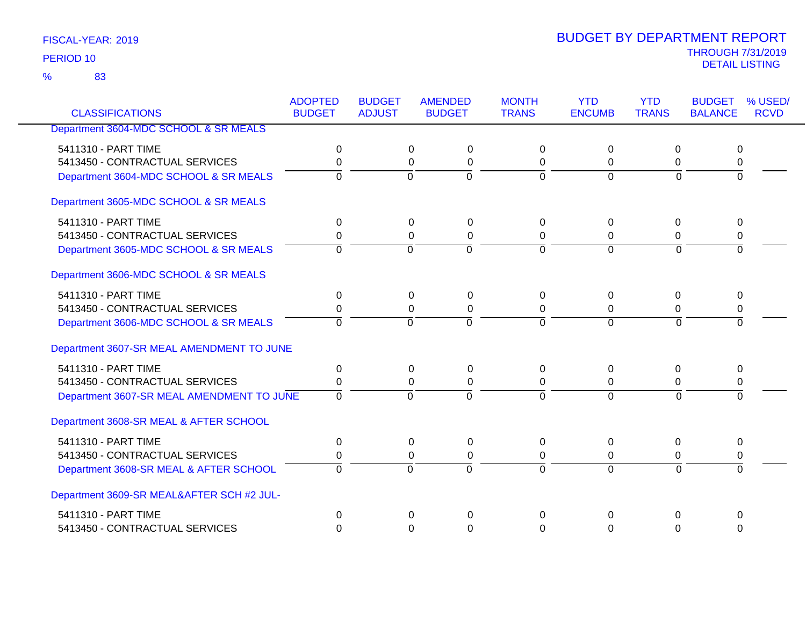83 %

| <b>CLASSIFICATIONS</b>                    | <b>ADOPTED</b><br><b>BUDGET</b> | <b>BUDGET</b><br><b>ADJUST</b> | <b>AMENDED</b><br><b>BUDGET</b> | <b>MONTH</b><br><b>TRANS</b> | <b>YTD</b><br><b>ENCUMB</b> | <b>YTD</b><br><b>TRANS</b> | <b>BUDGET</b><br><b>BALANCE</b> | % USED/<br><b>RCVD</b> |
|-------------------------------------------|---------------------------------|--------------------------------|---------------------------------|------------------------------|-----------------------------|----------------------------|---------------------------------|------------------------|
|                                           |                                 |                                |                                 |                              |                             |                            |                                 |                        |
| Department 3604-MDC SCHOOL & SR MEALS     |                                 |                                |                                 |                              |                             |                            |                                 |                        |
| 5411310 - PART TIME                       | 0                               | 0                              | 0                               | $\Omega$                     | $\mathbf 0$                 | 0                          | 0                               |                        |
| 5413450 - CONTRACTUAL SERVICES            | 0                               | $\mathbf 0$                    | $\mathbf 0$                     | 0                            | 0                           | 0                          | 0                               |                        |
| Department 3604-MDC SCHOOL & SR MEALS     | $\Omega$                        | $\Omega$                       | $\mathbf 0$                     | $\mathbf 0$                  | $\Omega$                    | $\Omega$                   | $\Omega$                        |                        |
| Department 3605-MDC SCHOOL & SR MEALS     |                                 |                                |                                 |                              |                             |                            |                                 |                        |
| 5411310 - PART TIME                       | 0                               | 0                              | 0                               | $\Omega$                     | 0                           | 0                          | 0                               |                        |
| 5413450 - CONTRACTUAL SERVICES            | 0                               | 0                              | $\mathbf 0$                     | 0                            | 0                           | 0                          | 0                               |                        |
| Department 3605-MDC SCHOOL & SR MEALS     | $\overline{0}$                  | $\Omega$                       | $\overline{0}$                  | $\mathbf 0$                  | $\Omega$                    | $\Omega$                   | $\Omega$                        |                        |
| Department 3606-MDC SCHOOL & SR MEALS     |                                 |                                |                                 |                              |                             |                            |                                 |                        |
| 5411310 - PART TIME                       | 0                               | 0                              | 0                               | $\Omega$                     | $\mathbf 0$                 | 0                          | 0                               |                        |
| 5413450 - CONTRACTUAL SERVICES            | 0                               | $\mathbf{0}$                   | $\mathbf 0$                     | $\Omega$                     | 0                           | 0                          | 0                               |                        |
| Department 3606-MDC SCHOOL & SR MEALS     | $\Omega$                        | $\Omega$                       | $\Omega$                        | $\Omega$                     | $\Omega$                    | $\Omega$                   | $\Omega$                        |                        |
| Department 3607-SR MEAL AMENDMENT TO JUNE |                                 |                                |                                 |                              |                             |                            |                                 |                        |
| 5411310 - PART TIME                       | 0                               | 0                              | $\mathbf 0$                     | $\Omega$                     | $\Omega$                    | 0                          | 0                               |                        |
| 5413450 - CONTRACTUAL SERVICES            | 0                               | 0                              | 0                               | 0                            | 0                           | 0                          | 0                               |                        |
| Department 3607-SR MEAL AMENDMENT TO JUNE | $\overline{0}$                  | $\overline{0}$                 | $\overline{0}$                  | $\Omega$                     | $\overline{0}$              | $\Omega$                   | 0                               |                        |
| Department 3608-SR MEAL & AFTER SCHOOL    |                                 |                                |                                 |                              |                             |                            |                                 |                        |
| 5411310 - PART TIME                       | 0                               | 0                              | $\mathbf 0$                     | $\Omega$                     | 0                           | 0                          | 0                               |                        |
| 5413450 - CONTRACTUAL SERVICES            | 0                               |                                | 0<br>0                          | 0                            | 0                           | 0                          | 0                               |                        |
| Department 3608-SR MEAL & AFTER SCHOOL    | $\Omega$                        | $\overline{0}$                 | $\overline{0}$                  | $\Omega$                     | $\overline{0}$              | $\Omega$                   | $\Omega$                        |                        |
| Department 3609-SR MEAL&AFTER SCH #2 JUL- |                                 |                                |                                 |                              |                             |                            |                                 |                        |
| 5411310 - PART TIME                       | 0                               | $\Omega$                       | $\Omega$                        | $\mathbf 0$                  | $\Omega$                    | 0                          | $\mathbf 0$                     |                        |
| 5413450 - CONTRACTUAL SERVICES            | $\Omega$                        |                                | 0<br>$\Omega$                   | $\Omega$                     | $\Omega$                    | $\Omega$                   | $\Omega$                        |                        |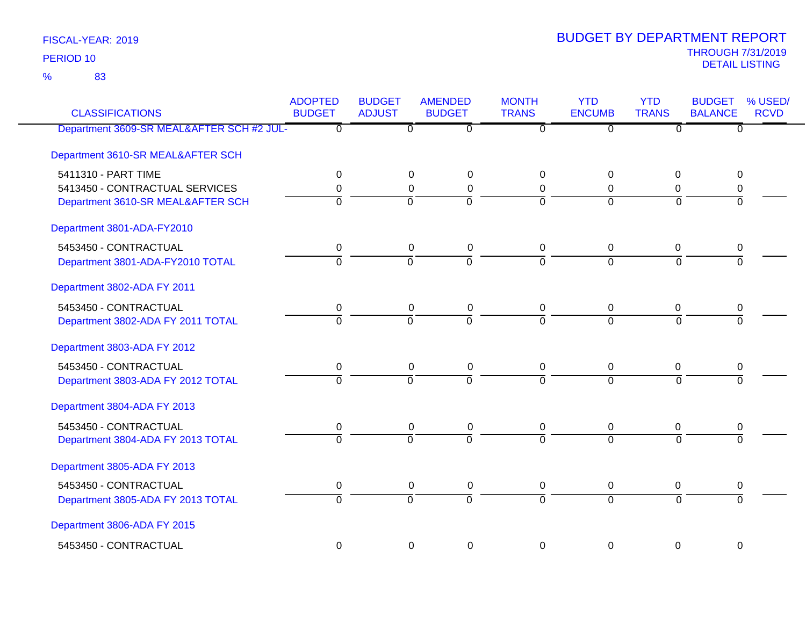83 %

| <b>CLASSIFICATIONS</b>                    | <b>ADOPTED</b><br><b>BUDGET</b> | <b>BUDGET</b><br><b>ADJUST</b> | <b>AMENDED</b><br><b>BUDGET</b> | <b>MONTH</b><br><b>TRANS</b> | <b>YTD</b><br><b>ENCUMB</b> | <b>YTD</b><br><b>TRANS</b> | <b>BUDGET</b><br><b>BALANCE</b> | % USED/<br><b>RCVD</b> |
|-------------------------------------------|---------------------------------|--------------------------------|---------------------------------|------------------------------|-----------------------------|----------------------------|---------------------------------|------------------------|
| Department 3609-SR MEAL&AFTER SCH #2 JUL- | $\overline{\mathfrak{o}}$       | $\overline{0}$                 | $\overline{0}$                  | $\overline{\mathfrak{o}}$    | $\overline{0}$              | $\overline{\mathfrak{o}}$  | $\overline{0}$                  |                        |
| Department 3610-SR MEAL&AFTER SCH         |                                 |                                |                                 |                              |                             |                            |                                 |                        |
| 5411310 - PART TIME                       | 0                               | 0                              | $\mathbf 0$                     | 0                            | $\Omega$                    | $\Omega$                   | 0                               |                        |
| 5413450 - CONTRACTUAL SERVICES            | 0                               | $\Omega$                       | 0                               | 0                            | $\Omega$                    | 0                          | 0                               |                        |
| Department 3610-SR MEAL&AFTER SCH         | $\overline{0}$                  | $\overline{0}$                 | $\overline{0}$                  | $\Omega$                     | $\Omega$                    | $\Omega$                   | $\overline{0}$                  |                        |
| Department 3801-ADA-FY2010                |                                 |                                |                                 |                              |                             |                            |                                 |                        |
| 5453450 - CONTRACTUAL                     | 0                               | 0                              | $\mathbf 0$                     | $\mathbf 0$                  | 0                           | 0                          | 0                               |                        |
| Department 3801-ADA-FY2010 TOTAL          | $\overline{0}$                  | $\overline{0}$                 | $\overline{0}$                  | $\overline{0}$               | $\Omega$                    | $\Omega$                   | $\overline{0}$                  |                        |
| Department 3802-ADA FY 2011               |                                 |                                |                                 |                              |                             |                            |                                 |                        |
| 5453450 - CONTRACTUAL                     | $\pmb{0}$                       | $\pmb{0}$                      | $\pmb{0}$                       | $\mathbf 0$                  | $\boldsymbol{0}$            | $\pmb{0}$                  | 0                               |                        |
| Department 3802-ADA FY 2011 TOTAL         | $\overline{0}$                  | $\overline{0}$                 | $\overline{0}$                  | $\Omega$                     | $\Omega$                    | $\Omega$                   | $\Omega$                        |                        |
| Department 3803-ADA FY 2012               |                                 |                                |                                 |                              |                             |                            |                                 |                        |
| 5453450 - CONTRACTUAL                     | 0                               | 0                              | $\pmb{0}$                       | $\mathbf 0$                  | 0                           | 0                          | 0                               |                        |
| Department 3803-ADA FY 2012 TOTAL         | $\overline{0}$                  | $\overline{0}$                 | $\overline{0}$                  | $\overline{0}$               | $\overline{0}$              | $\overline{0}$             | $\overline{0}$                  |                        |
| Department 3804-ADA FY 2013               |                                 |                                |                                 |                              |                             |                            |                                 |                        |
| 5453450 - CONTRACTUAL                     | 0                               | 0                              | $\boldsymbol{0}$                | 0                            | 0                           | 0                          | 0                               |                        |
| Department 3804-ADA FY 2013 TOTAL         | $\overline{0}$                  | $\overline{0}$                 | $\overline{0}$                  | $\Omega$                     | $\overline{0}$              | $\Omega$                   | $\overline{0}$                  |                        |
| Department 3805-ADA FY 2013               |                                 |                                |                                 |                              |                             |                            |                                 |                        |
| 5453450 - CONTRACTUAL                     | 0                               | 0                              | $\pmb{0}$                       | $\mathbf 0$                  | 0                           | $\boldsymbol{0}$           | 0                               |                        |
| Department 3805-ADA FY 2013 TOTAL         | $\overline{0}$                  | $\overline{0}$                 | $\overline{0}$                  | $\overline{0}$               | $\overline{0}$              | $\overline{0}$             | $\overline{0}$                  |                        |
| Department 3806-ADA FY 2015               |                                 |                                |                                 |                              |                             |                            |                                 |                        |
| 5453450 - CONTRACTUAL                     | 0                               | $\mathbf 0$                    | 0                               | $\mathbf 0$                  | 0                           | $\mathbf 0$                | $\mathbf 0$                     |                        |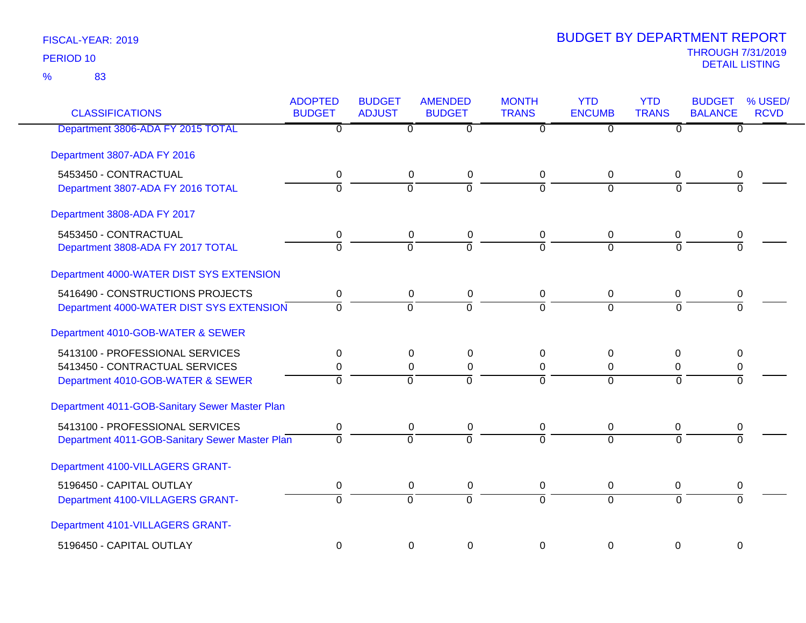| <b>CLASSIFICATIONS</b>                         | <b>ADOPTED</b><br><b>BUDGET</b> | <b>BUDGET</b><br><b>ADJUST</b> | <b>AMENDED</b><br><b>BUDGET</b> | <b>MONTH</b><br><b>TRANS</b> | <b>YTD</b><br><b>ENCUMB</b> | <b>YTD</b><br><b>TRANS</b> | <b>BUDGET</b><br><b>BALANCE</b> | % USED/<br><b>RCVD</b> |
|------------------------------------------------|---------------------------------|--------------------------------|---------------------------------|------------------------------|-----------------------------|----------------------------|---------------------------------|------------------------|
| Department 3806-ADA FY 2015 TOTAL              | $\overline{0}$                  | 0                              | $\overline{0}$                  | 0                            | $\overline{0}$              | $\overline{0}$             | $\overline{0}$                  |                        |
| Department 3807-ADA FY 2016                    |                                 |                                |                                 |                              |                             |                            |                                 |                        |
| 5453450 - CONTRACTUAL                          | 0                               | 0                              | 0                               | 0                            | 0                           | 0                          | 0                               |                        |
| Department 3807-ADA FY 2016 TOTAL              | $\overline{0}$                  | $\overline{0}$                 | $\overline{0}$                  | $\overline{0}$               | $\overline{0}$              | $\overline{0}$             | $\Omega$                        |                        |
| Department 3808-ADA FY 2017                    |                                 |                                |                                 |                              |                             |                            |                                 |                        |
| 5453450 - CONTRACTUAL                          | 0                               | 0                              | $\boldsymbol{0}$                | 0                            | 0                           | 0                          | 0                               |                        |
| Department 3808-ADA FY 2017 TOTAL              | $\overline{0}$                  | $\overline{0}$                 | $\overline{0}$                  | $\Omega$                     | $\Omega$                    | $\Omega$                   | $\Omega$                        |                        |
| Department 4000-WATER DIST SYS EXTENSION       |                                 |                                |                                 |                              |                             |                            |                                 |                        |
| 5416490 - CONSTRUCTIONS PROJECTS               | $\mathbf 0$                     | $\mathsf 0$                    | $\pmb{0}$                       | $\mathbf 0$                  | $\mathbf 0$                 | 0                          | $\boldsymbol{0}$                |                        |
| Department 4000-WATER DIST SYS EXTENSION       | $\Omega$                        | $\Omega$                       | $\Omega$                        | $\Omega$                     | $\Omega$                    | $\Omega$                   | $\Omega$                        |                        |
| Department 4010-GOB-WATER & SEWER              |                                 |                                |                                 |                              |                             |                            |                                 |                        |
| 5413100 - PROFESSIONAL SERVICES                | $\mathbf 0$                     | 0                              | 0                               | 0                            | 0                           | 0                          | 0                               |                        |
| 5413450 - CONTRACTUAL SERVICES                 | 0                               | $\mathbf 0$                    | $\boldsymbol{0}$                | 0                            | 0                           | $\mathbf 0$                | 0                               |                        |
| Department 4010-GOB-WATER & SEWER              | $\overline{0}$                  | $\Omega$                       | $\Omega$                        | $\Omega$                     | $\Omega$                    | $\Omega$                   | $\Omega$                        |                        |
| Department 4011-GOB-Sanitary Sewer Master Plan |                                 |                                |                                 |                              |                             |                            |                                 |                        |
| 5413100 - PROFESSIONAL SERVICES                | 0                               | 0                              | 0                               | 0                            | 0                           | 0                          | 0                               |                        |
| Department 4011-GOB-Sanitary Sewer Master Plan | $\Omega$                        | $\Omega$                       | $\overline{0}$                  | $\overline{0}$               | $\overline{0}$              | $\Omega$                   | $\Omega$                        |                        |
| Department 4100-VILLAGERS GRANT-               |                                 |                                |                                 |                              |                             |                            |                                 |                        |
| 5196450 - CAPITAL OUTLAY                       | 0                               | $\mathbf 0$                    | $\pmb{0}$                       | $\mathbf 0$                  | 0                           | 0                          | 0                               |                        |
| Department 4100-VILLAGERS GRANT-               | $\overline{0}$                  | $\overline{0}$                 | $\overline{0}$                  | $\overline{0}$               | $\overline{0}$              | $\overline{0}$             | $\Omega$                        |                        |
| Department 4101-VILLAGERS GRANT-               |                                 |                                |                                 |                              |                             |                            |                                 |                        |
| 5196450 - CAPITAL OUTLAY                       | $\mathbf 0$                     | 0                              | $\mathbf 0$                     | $\mathbf 0$                  | $\mathbf 0$                 | 0                          | $\mathbf 0$                     |                        |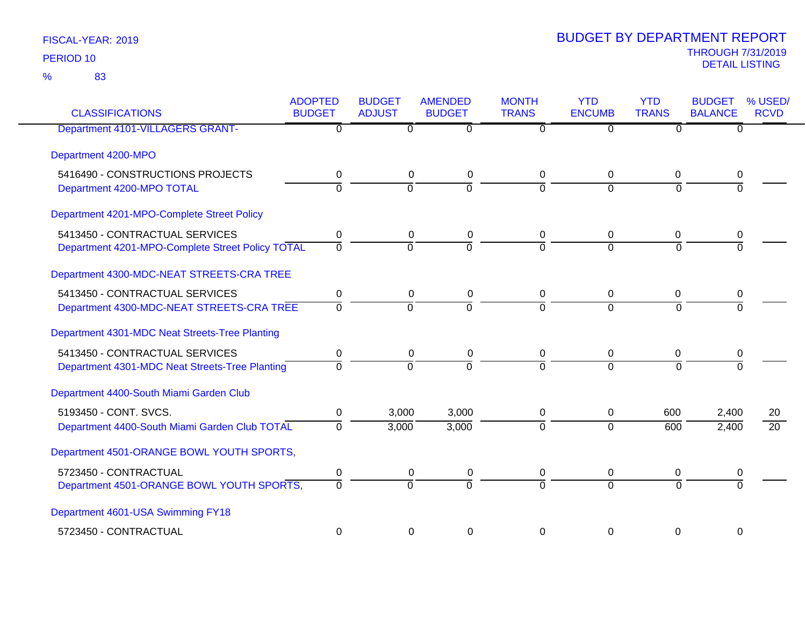| <b>CLASSIFICATIONS</b>                           | <b>ADOPTED</b><br><b>BUDGET</b> | <b>BUDGET</b><br><b>ADJUST</b> | <b>AMENDED</b><br><b>BUDGET</b> | <b>MONTH</b><br><b>TRANS</b> | <b>YTD</b><br><b>ENCUMB</b> | <b>YTD</b><br><b>TRANS</b> | <b>BUDGET</b><br><b>BALANCE</b> | % USED/<br><b>RCVD</b> |
|--------------------------------------------------|---------------------------------|--------------------------------|---------------------------------|------------------------------|-----------------------------|----------------------------|---------------------------------|------------------------|
| Department 4101-VILLAGERS GRANT-                 | 0                               | $\Omega$                       | $\Omega$                        | $\Omega$                     | $\overline{0}$              | $\Omega$                   | $\Omega$                        |                        |
| Department 4200-MPO                              |                                 |                                |                                 |                              |                             |                            |                                 |                        |
| 5416490 - CONSTRUCTIONS PROJECTS                 | $\mathbf 0$                     | $\mathbf 0$                    | $\mathbf 0$                     | 0                            | 0                           | $\mathbf 0$                | 0                               |                        |
| Department 4200-MPO TOTAL                        | $\overline{0}$                  | $\overline{0}$                 | $\overline{0}$                  | $\overline{0}$               | $\mathbf 0$                 | $\mathbf 0$                | $\overline{0}$                  |                        |
| Department 4201-MPO-Complete Street Policy       |                                 |                                |                                 |                              |                             |                            |                                 |                        |
| 5413450 - CONTRACTUAL SERVICES                   | 0                               | $\mathbf 0$                    | $\mathbf 0$                     | 0                            | 0                           | 0                          | 0                               |                        |
| Department 4201-MPO-Complete Street Policy TOTAL | $\mathbf 0$                     | $\overline{0}$                 | $\overline{0}$                  | $\Omega$                     | $\mathbf 0$                 | $\Omega$                   | $\Omega$                        |                        |
| Department 4300-MDC-NEAT STREETS-CRA TREE        |                                 |                                |                                 |                              |                             |                            |                                 |                        |
| 5413450 - CONTRACTUAL SERVICES                   | 0                               | $\mathbf 0$                    | $\mathbf 0$                     | 0                            | 0                           | 0                          | 0                               |                        |
| Department 4300-MDC-NEAT STREETS-CRA TREE        | $\mathbf 0$                     | $\overline{0}$                 | $\overline{0}$                  | $\overline{0}$               | $\mathbf 0$                 | $\Omega$                   | $\Omega$                        |                        |
| Department 4301-MDC Neat Streets-Tree Planting   |                                 |                                |                                 |                              |                             |                            |                                 |                        |
| 5413450 - CONTRACTUAL SERVICES                   | 0                               | 0                              | 0                               | 0                            | 0                           | 0                          | 0                               |                        |
| Department 4301-MDC Neat Streets-Tree Planting   | $\mathbf 0$                     | 0                              | $\overline{0}$                  | $\overline{0}$               | $\Omega$                    | $\Omega$                   | $\overline{0}$                  |                        |
| Department 4400-South Miami Garden Club          |                                 |                                |                                 |                              |                             |                            |                                 |                        |
| 5193450 - CONT. SVCS.                            | 0                               | 3,000                          | 3,000                           | 0                            | 0                           | 600                        | 2,400                           | 20                     |
| Department 4400-South Miami Garden Club TOTAL    | $\overline{0}$                  | 3,000                          | 3,000                           | $\overline{0}$               | $\overline{0}$              | 600                        | 2,400                           | $\overline{20}$        |
| Department 4501-ORANGE BOWL YOUTH SPORTS,        |                                 |                                |                                 |                              |                             |                            |                                 |                        |
| 5723450 - CONTRACTUAL                            | 0                               | 0                              | $\boldsymbol{0}$                | 0                            | 0                           | 0                          | 0                               |                        |
| Department 4501-ORANGE BOWL YOUTH SPORTS,        | 0                               | $\overline{0}$                 | $\overline{0}$                  | 70                           | $\overline{0}$              | $\Omega$                   | $\Omega$                        |                        |
| Department 4601-USA Swimming FY18                |                                 |                                |                                 |                              |                             |                            |                                 |                        |
| 5723450 - CONTRACTUAL                            | 0                               |                                | 0<br>0                          | $\Omega$                     | 0                           | 0                          | 0                               |                        |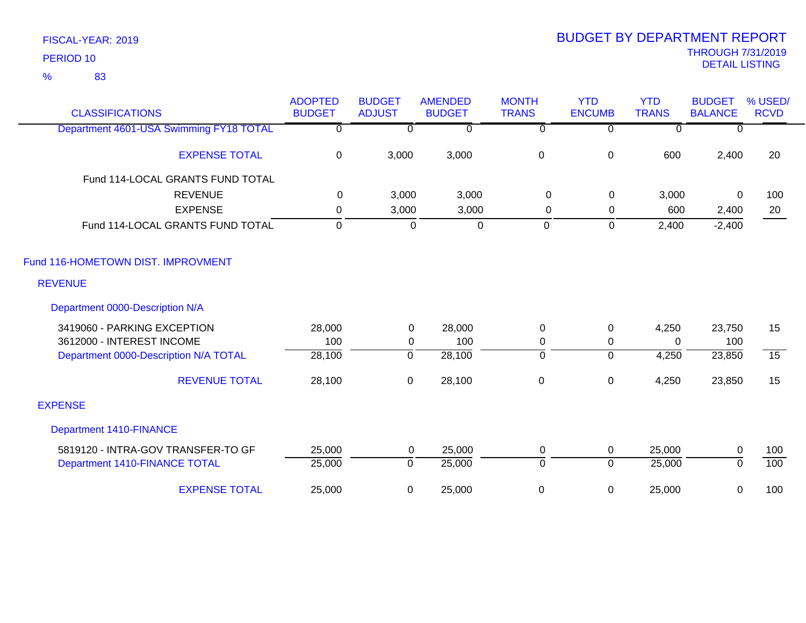83 %

| <b>CLASSIFICATIONS</b>                  | <b>ADOPTED</b><br><b>BUDGET</b> | <b>BUDGET</b><br><b>ADJUST</b> | <b>AMENDED</b><br><b>BUDGET</b> | <b>MONTH</b><br><b>TRANS</b> | <b>YTD</b><br><b>ENCUMB</b> | <b>YTD</b><br><b>TRANS</b> | <b>BUDGET</b><br><b>BALANCE</b> | % USED/<br><b>RCVD</b> |
|-----------------------------------------|---------------------------------|--------------------------------|---------------------------------|------------------------------|-----------------------------|----------------------------|---------------------------------|------------------------|
| Department 4601-USA Swimming FY18 TOTAL | 0                               | $\Omega$                       | $\Omega$                        | $\overline{0}$               | $\Omega$                    | $\overline{0}$             | $\Omega$                        |                        |
| <b>EXPENSE TOTAL</b>                    | $\mathbf 0$                     | 3,000                          | 3,000                           | $\pmb{0}$                    | $\pmb{0}$                   | 600                        | 2,400                           | 20                     |
| Fund 114-LOCAL GRANTS FUND TOTAL        |                                 |                                |                                 |                              |                             |                            |                                 |                        |
| <b>REVENUE</b>                          | 0                               | 3,000                          | 3,000                           | 0                            | 0                           | 3,000                      | 0                               | 100                    |
| <b>EXPENSE</b>                          | $\mathbf 0$                     | 3,000                          | 3,000                           | 0                            | 0                           | 600                        | 2,400                           | 20                     |
| Fund 114-LOCAL GRANTS FUND TOTAL        | $\mathbf 0$                     | $\mathbf 0$                    | $\overline{0}$                  | $\overline{0}$               | $\overline{0}$              | 2,400                      | $-2,400$                        |                        |
| Fund 116-HOMETOWN DIST. IMPROVMENT      |                                 |                                |                                 |                              |                             |                            |                                 |                        |
| <b>REVENUE</b>                          |                                 |                                |                                 |                              |                             |                            |                                 |                        |
| Department 0000-Description N/A         |                                 |                                |                                 |                              |                             |                            |                                 |                        |
| 3419060 - PARKING EXCEPTION             | 28,000                          | $\mathbf 0$                    | 28,000                          | $\mathbf 0$                  | $\pmb{0}$                   | 4,250                      | 23,750                          | 15                     |
| 3612000 - INTEREST INCOME               | 100                             | $\mathbf 0$                    | 100                             | $\mathbf 0$                  | $\mathbf 0$                 | $\Omega$                   | 100                             |                        |
| Department 0000-Description N/A TOTAL   | 28,100                          | $\overline{0}$                 | 28,100                          | $\overline{0}$               | $\overline{0}$              | 4,250                      | 23,850                          | $\overline{15}$        |
| <b>REVENUE TOTAL</b>                    | 28,100                          | $\mathbf 0$                    | 28,100                          | $\pmb{0}$                    | $\pmb{0}$                   | 4,250                      | 23,850                          | 15                     |
| <b>EXPENSE</b>                          |                                 |                                |                                 |                              |                             |                            |                                 |                        |
| <b>Department 1410-FINANCE</b>          |                                 |                                |                                 |                              |                             |                            |                                 |                        |
| 5819120 - INTRA-GOV TRANSFER-TO GF      | 25,000                          | $\mathbf 0$                    | 25,000                          | $\mathbf 0$                  | $\mathbf 0$                 | 25,000                     | $\mathbf 0$                     | 100                    |
| Department 1410-FINANCE TOTAL           | 25,000                          | $\mathbf 0$                    | 25,000                          | $\mathbf 0$                  | $\overline{0}$              | 25,000                     | $\Omega$                        | 100                    |
| <b>EXPENSE TOTAL</b>                    | 25,000                          | 0                              | 25,000                          | $\boldsymbol{0}$             | $\mathbf 0$                 | 25,000                     | 0                               | 100                    |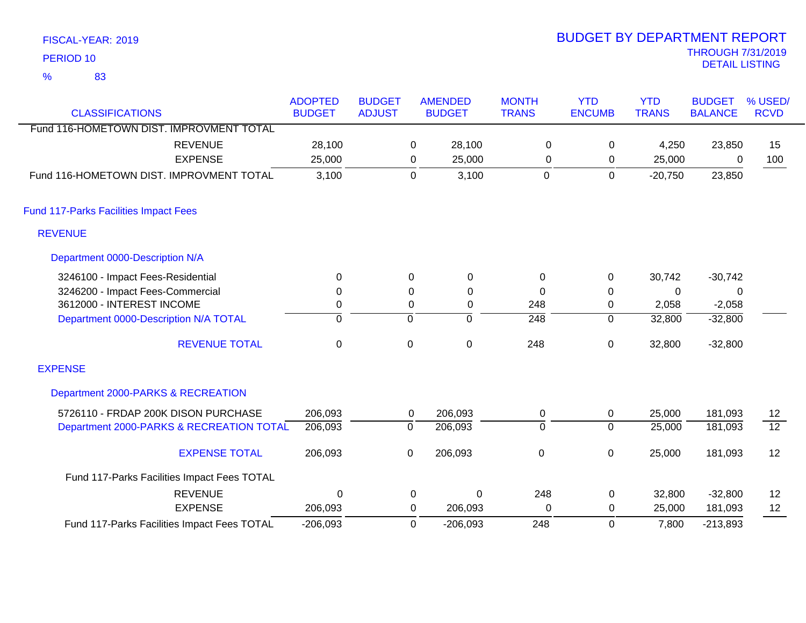| PERIOD <sub>10</sub>                         |                                 |                                |             |                                 |                              |                             |                            | <b>THROUGH 7/31/2019</b><br><b>DETAIL LISTING</b> |                        |
|----------------------------------------------|---------------------------------|--------------------------------|-------------|---------------------------------|------------------------------|-----------------------------|----------------------------|---------------------------------------------------|------------------------|
| $\frac{9}{6}$<br>83                          |                                 |                                |             |                                 |                              |                             |                            |                                                   |                        |
| <b>CLASSIFICATIONS</b>                       | <b>ADOPTED</b><br><b>BUDGET</b> | <b>BUDGET</b><br><b>ADJUST</b> |             | <b>AMENDED</b><br><b>BUDGET</b> | <b>MONTH</b><br><b>TRANS</b> | <b>YTD</b><br><b>ENCUMB</b> | <b>YTD</b><br><b>TRANS</b> | <b>BUDGET</b><br><b>BALANCE</b>                   | % USED/<br><b>RCVD</b> |
| Fund 116-HOMETOWN DIST. IMPROVMENT TOTAL     |                                 |                                |             |                                 |                              |                             |                            |                                                   |                        |
| <b>REVENUE</b>                               | 28,100                          |                                | $\pmb{0}$   | 28,100                          | $\mathbf 0$                  | 0                           | 4,250                      | 23,850                                            | 15                     |
| <b>EXPENSE</b>                               | 25,000                          |                                | 0           | 25,000                          | 0                            | 0                           | 25,000                     | 0                                                 | 100                    |
| Fund 116-HOMETOWN DIST, IMPROVMENT TOTAL     | 3,100                           |                                | $\mathbf 0$ | 3,100                           | $\mathbf 0$                  | $\mathbf 0$                 | $-20,750$                  | 23,850                                            |                        |
| <b>Fund 117-Parks Facilities Impact Fees</b> |                                 |                                |             |                                 |                              |                             |                            |                                                   |                        |
| <b>REVENUE</b>                               |                                 |                                |             |                                 |                              |                             |                            |                                                   |                        |
| Department 0000-Description N/A              |                                 |                                |             |                                 |                              |                             |                            |                                                   |                        |
| 3246100 - Impact Fees-Residential            | $\Omega$                        |                                | 0           | 0                               | 0                            | $\mathbf 0$                 | 30,742                     | $-30,742$                                         |                        |
| 3246200 - Impact Fees-Commercial             | 0                               |                                | 0           | 0                               | $\Omega$                     | 0                           | $\mathbf{0}$               | $\mathbf{0}$                                      |                        |
| 3612000 - INTEREST INCOME                    | 0                               |                                | 0           | 0                               | 248                          | 0                           | 2,058                      | $-2,058$                                          |                        |
| Department 0000-Description N/A TOTAL        | $\overline{0}$                  |                                | 0           | $\overline{0}$                  | $\overline{248}$             | $\overline{0}$              | 32,800                     | $-32,800$                                         |                        |
| <b>REVENUE TOTAL</b>                         | $\mathbf 0$                     |                                | 0           | $\mathbf 0$                     | 248                          | 0                           | 32,800                     | $-32,800$                                         |                        |
| <b>EXPENSE</b>                               |                                 |                                |             |                                 |                              |                             |                            |                                                   |                        |
| Department 2000-PARKS & RECREATION           |                                 |                                |             |                                 |                              |                             |                            |                                                   |                        |
| 5726110 - FRDAP 200K DISON PURCHASE          | 206,093                         |                                | 0           | 206,093                         | 0                            | 0                           | 25,000                     | 181,093                                           | 12                     |
| Department 2000-PARKS & RECREATION TOTAL     | 206,093                         |                                | 0           | 206,093                         | $\overline{0}$               | $\overline{0}$              | 25,000                     | 181,093                                           | $\overline{12}$        |
| <b>EVOEMOE TOTAL</b>                         | 200000                          |                                | $\sim$      | 2000,002                        | $\sim$                       | $\sim$                      | 25.000                     | 101.002                                           | $\sqrt{2}$             |

| <b>EXPENSE TOTAL</b>                        | 206.093    | 206.093    |     | 25.000 | 181.093    | 12 |
|---------------------------------------------|------------|------------|-----|--------|------------|----|
| Fund 117-Parks Facilities Impact Fees TOTAL |            |            |     |        |            |    |
| <b>REVENUE</b>                              |            |            | 248 | 32,800 | $-32.800$  | 12 |
| <b>EXPENSE</b>                              | 206.093    | 206.093    |     | 25,000 | 181.093    | 12 |
| Fund 117-Parks Facilities Impact Fees TOTAL | $-206,093$ | $-206.093$ | 248 | 7,800  | $-213,893$ |    |

# )19<br>G BUDGET BY DEPARTMENT REPORT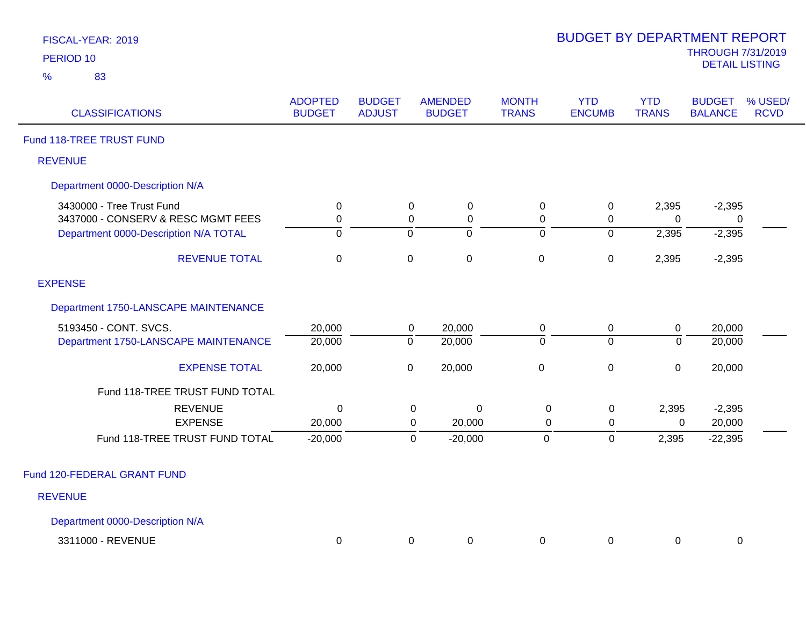| FISCAL-YEAR: 2019 |  |
|-------------------|--|
| <b>PERIOD 10</b>  |  |

| <b>CLASSIFICATIONS</b>                | <b>ADOPTED</b><br><b>BUDGET</b> | <b>BUDGET</b><br><b>ADJUST</b> | <b>AMENDED</b><br><b>BUDGET</b> | <b>MONTH</b><br><b>TRANS</b> | <b>YTD</b><br><b>ENCUMB</b> | <b>YTD</b><br><b>TRANS</b> | <b>BUDGET</b><br><b>BALANCE</b> | % USED/<br><b>RCVD</b> |
|---------------------------------------|---------------------------------|--------------------------------|---------------------------------|------------------------------|-----------------------------|----------------------------|---------------------------------|------------------------|
| Fund 118-TREE TRUST FUND              |                                 |                                |                                 |                              |                             |                            |                                 |                        |
| <b>REVENUE</b>                        |                                 |                                |                                 |                              |                             |                            |                                 |                        |
| Department 0000-Description N/A       |                                 |                                |                                 |                              |                             |                            |                                 |                        |
| 3430000 - Tree Trust Fund             | $\mathbf 0$                     |                                | $\mathbf 0$<br>$\mathbf 0$      | $\pmb{0}$                    | $\pmb{0}$                   | 2,395                      | $-2,395$                        |                        |
| 3437000 - CONSERV & RESC MGMT FEES    | 0                               |                                | 0<br>0                          | 0                            | 0                           | $\Omega$                   | 0                               |                        |
| Department 0000-Description N/A TOTAL | $\mathbf 0$                     | $\mathbf 0$                    | ō                               | $\overline{0}$               | $\mathbf 0$                 | 2,395                      | $-2,395$                        |                        |
| <b>REVENUE TOTAL</b>                  | $\mathbf 0$                     | $\boldsymbol{0}$               | $\pmb{0}$                       | $\pmb{0}$                    | $\pmb{0}$                   | 2,395                      | $-2,395$                        |                        |
| <b>EXPENSE</b>                        |                                 |                                |                                 |                              |                             |                            |                                 |                        |
| Department 1750-LANSCAPE MAINTENANCE  |                                 |                                |                                 |                              |                             |                            |                                 |                        |
| 5193450 - CONT. SVCS.                 | 20,000                          |                                | 20,000<br>$\overline{0}$        | $\mathbf 0$                  | $\mathbf 0$                 | $\pmb{0}$                  | 20,000                          |                        |
| Department 1750-LANSCAPE MAINTENANCE  | 20,000                          | $\overline{0}$                 | 20,000                          | $\overline{0}$               | $\overline{0}$              | $\Omega$                   | 20,000                          |                        |
| <b>EXPENSE TOTAL</b>                  | 20,000                          | $\pmb{0}$                      | 20,000                          | $\mathbf 0$                  | $\pmb{0}$                   | $\mathbf 0$                | 20,000                          |                        |
| Fund 118-TREE TRUST FUND TOTAL        |                                 |                                |                                 |                              |                             |                            |                                 |                        |
| <b>REVENUE</b>                        | 0                               |                                | 0<br>0                          | $\mathbf 0$                  | $\mathbf 0$                 | 2,395                      | $-2,395$                        |                        |
| <b>EXPENSE</b>                        | 20,000                          |                                | 20,000<br>0                     | $\mathbf 0$                  | 0                           | 0                          | 20,000                          |                        |
| Fund 118-TREE TRUST FUND TOTAL        | $-20,000$                       |                                | $-20,000$<br>$\mathbf 0$        | $\mathbf 0$                  | $\pmb{0}$                   | 2,395                      | $-22,395$                       |                        |
| Fund 120-FEDERAL GRANT FUND           |                                 |                                |                                 |                              |                             |                            |                                 |                        |
| <b>REVENUE</b>                        |                                 |                                |                                 |                              |                             |                            |                                 |                        |
| Department 0000-Description N/A       |                                 |                                |                                 |                              |                             |                            |                                 |                        |
| 3311000 - REVENUE                     |                                 |                                | 0                               |                              |                             |                            |                                 |                        |
|                                       | 0                               |                                | 0                               | 0                            | 0                           | 0                          | 0                               |                        |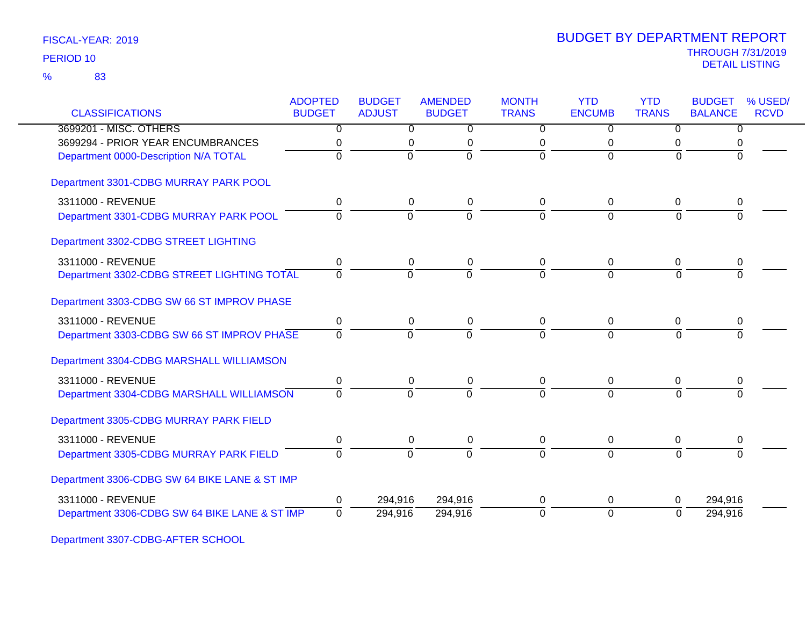| <b>CLASSIFICATIONS</b>                        | <b>ADOPTED</b><br><b>BUDGET</b> | <b>BUDGET</b><br><b>ADJUST</b> | <b>AMENDED</b><br><b>BUDGET</b> | <b>MONTH</b><br><b>TRANS</b> | <b>YTD</b><br><b>ENCUMB</b> | <b>YTD</b><br><b>TRANS</b> | <b>BUDGET</b><br><b>BALANCE</b> | % USED/<br><b>RCVD</b> |
|-----------------------------------------------|---------------------------------|--------------------------------|---------------------------------|------------------------------|-----------------------------|----------------------------|---------------------------------|------------------------|
| 3699201 - MISC. OTHERS                        | $\overline{0}$                  | $\overline{0}$                 | $\overline{0}$                  | $\overline{0}$               | $\mathbf{0}$                | 0                          | $\Omega$                        |                        |
| 3699294 - PRIOR YEAR ENCUMBRANCES             | 0                               | 0                              | 0                               | 0                            | 0                           | 0                          |                                 |                        |
| Department 0000-Description N/A TOTAL         | $\Omega$                        | $\Omega$                       | $\Omega$                        | $\Omega$                     | $\Omega$                    | $\Omega$                   |                                 |                        |
| Department 3301-CDBG MURRAY PARK POOL         |                                 |                                |                                 |                              |                             |                            |                                 |                        |
| 3311000 - REVENUE                             | 0                               | 0                              | 0                               | 0                            | 0                           | 0                          | 0                               |                        |
| Department 3301-CDBG MURRAY PARK POOL         | $\Omega$                        | $\overline{0}$                 | $\overline{0}$                  | $\overline{0}$               | $\Omega$                    | $\Omega$                   |                                 |                        |
| Department 3302-CDBG STREET LIGHTING          |                                 |                                |                                 |                              |                             |                            |                                 |                        |
| 3311000 - REVENUE                             | 0                               | 0                              | 0                               | $\Omega$                     | 0                           | 0                          | 0                               |                        |
| Department 3302-CDBG STREET LIGHTING TOTAL    | $\Omega$                        | $\overline{0}$                 | $\overline{0}$                  | $\Omega$                     | $\Omega$                    | $\Omega$                   | $\Omega$                        |                        |
| Department 3303-CDBG SW 66 ST IMPROV PHASE    |                                 |                                |                                 |                              |                             |                            |                                 |                        |
| 3311000 - REVENUE                             | $\pmb{0}$                       | $\pmb{0}$                      | 0                               | 0                            | $\boldsymbol{0}$            | 0                          | 0                               |                        |
| Department 3303-CDBG SW 66 ST IMPROV PHASE    | $\overline{0}$                  | $\overline{0}$                 | $\overline{0}$                  | $\Omega$                     | $\overline{0}$              | $\Omega$                   | $\Omega$                        |                        |
| Department 3304-CDBG MARSHALL WILLIAMSON      |                                 |                                |                                 |                              |                             |                            |                                 |                        |
| 3311000 - REVENUE                             | 0                               | 0                              | 0                               | 0                            | 0                           | 0                          | 0                               |                        |
| Department 3304-CDBG MARSHALL WILLIAMSON      | $\Omega$                        | $\Omega$                       | $\Omega$                        | $\Omega$                     | $\overline{0}$              | $\Omega$                   | $\Omega$                        |                        |
| Department 3305-CDBG MURRAY PARK FIELD        |                                 |                                |                                 |                              |                             |                            |                                 |                        |
| 3311000 - REVENUE                             | $\pmb{0}$                       | 0                              | 0                               | 0                            | $\mathbf 0$                 | 0                          | 0                               |                        |
| Department 3305-CDBG MURRAY PARK FIELD        | $\Omega$                        | $\Omega$                       | $\Omega$                        | $\overline{0}$               | $\Omega$                    | $\Omega$                   |                                 |                        |
| Department 3306-CDBG SW 64 BIKE LANE & ST IMP |                                 |                                |                                 |                              |                             |                            |                                 |                        |
| 3311000 - REVENUE                             | 0                               | 294,916                        | 294,916                         | 0                            | $\mathbf 0$                 | 0                          | 294,916                         |                        |
| Department 3306-CDBG SW 64 BIKE LANE & ST IMP | $\Omega$                        | 294,916                        | 294,916                         | $\Omega$                     | $\overline{0}$              | $\Omega$                   | 294,916                         |                        |

Department 3307-CDBG-AFTER SCHOOL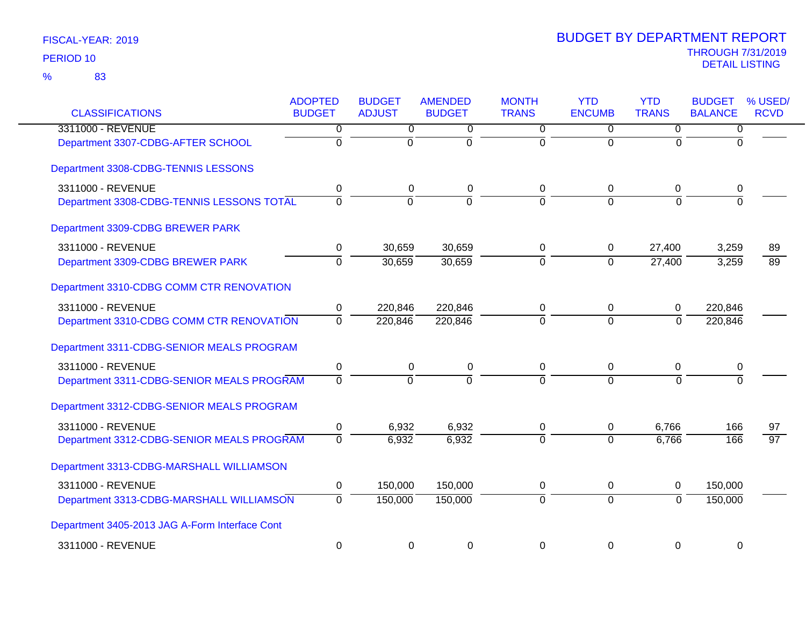| <b>CLASSIFICATIONS</b>                         | <b>ADOPTED</b><br><b>BUDGET</b> | <b>BUDGET</b><br><b>ADJUST</b> | <b>AMENDED</b><br><b>BUDGET</b> | <b>MONTH</b><br><b>TRANS</b> | <b>YTD</b><br><b>ENCUMB</b> | <b>YTD</b><br><b>TRANS</b> | <b>BUDGET</b><br><b>BALANCE</b> | % USED/<br><b>RCVD</b> |
|------------------------------------------------|---------------------------------|--------------------------------|---------------------------------|------------------------------|-----------------------------|----------------------------|---------------------------------|------------------------|
| 3311000 - REVENUE                              | $\overline{0}$                  | $\overline{0}$                 | $\overline{0}$                  | $\overline{0}$               | $\overline{0}$              | $\overline{0}$             | 0                               |                        |
| Department 3307-CDBG-AFTER SCHOOL              | $\overline{0}$                  | $\overline{0}$                 | $\overline{0}$                  | $\overline{0}$               | $\overline{0}$              | $\mathbf 0$                | $\Omega$                        |                        |
| Department 3308-CDBG-TENNIS LESSONS            |                                 |                                |                                 |                              |                             |                            |                                 |                        |
| 3311000 - REVENUE                              | 0                               | 0                              | 0                               | 0                            | $\mathbf 0$                 | 0                          | 0                               |                        |
| Department 3308-CDBG-TENNIS LESSONS TOTAL      | $\overline{0}$                  | $\Omega$                       | ō                               | $\Omega$                     | $\Omega$                    | $\Omega$                   | $\Omega$                        |                        |
| Department 3309-CDBG BREWER PARK               |                                 |                                |                                 |                              |                             |                            |                                 |                        |
| 3311000 - REVENUE                              | 0                               | 30,659                         | 30,659                          | 0                            | $\mathbf 0$                 | 27,400                     | 3,259                           | 89                     |
| Department 3309-CDBG BREWER PARK               | $\overline{0}$                  | 30,659                         | 30,659                          | $\overline{0}$               | $\overline{0}$              | 27,400                     | 3,259                           | $\overline{89}$        |
| Department 3310-CDBG COMM CTR RENOVATION       |                                 |                                |                                 |                              |                             |                            |                                 |                        |
| 3311000 - REVENUE                              | 0                               | 220,846                        | 220,846                         | 0                            | $\pmb{0}$                   | 0                          | 220,846                         |                        |
| Department 3310-CDBG COMM CTR RENOVATION       | $\mathbf 0$                     | 220,846                        | 220,846                         | $\Omega$                     | $\overline{0}$              | $\mathbf{0}$               | 220,846                         |                        |
| Department 3311-CDBG-SENIOR MEALS PROGRAM      |                                 |                                |                                 |                              |                             |                            |                                 |                        |
| 3311000 - REVENUE                              | $\pmb{0}$                       | 0                              | 0                               | $\mathbf 0$                  | $\mathbf 0$                 | 0                          | 0                               |                        |
| Department 3311-CDBG-SENIOR MEALS PROGRAM      | $\mathbf 0$                     | $\overline{0}$                 | $\overline{0}$                  | $\Omega$                     | $\overline{0}$              | $\Omega$                   | $\Omega$                        |                        |
| Department 3312-CDBG-SENIOR MEALS PROGRAM      |                                 |                                |                                 |                              |                             |                            |                                 |                        |
| 3311000 - REVENUE                              | $\mathbf 0$                     | 6,932                          | 6,932                           | 0                            | $\pmb{0}$                   | 6,766                      | 166                             | 97                     |
| Department 3312-CDBG-SENIOR MEALS PROGRAM      | $\Omega$                        | 6,932                          | 6,932                           | $\Omega$                     | $\Omega$                    | 6,766                      | 166                             | $\overline{97}$        |
| Department 3313-CDBG-MARSHALL WILLIAMSON       |                                 |                                |                                 |                              |                             |                            |                                 |                        |
| 3311000 - REVENUE                              | $\pmb{0}$                       | 150,000                        | 150,000                         | 0                            | $\pmb{0}$                   | 0                          | 150,000                         |                        |
| Department 3313-CDBG-MARSHALL WILLIAMSON       | $\mathbf 0$                     | 150,000                        | 150,000                         | $\mathbf 0$                  | $\mathbf 0$                 | $\mathbf 0$                | 150,000                         |                        |
| Department 3405-2013 JAG A-Form Interface Cont |                                 |                                |                                 |                              |                             |                            |                                 |                        |
| 3311000 - REVENUE                              | $\mathbf 0$                     | $\mathbf 0$                    | 0                               | 0                            | 0                           | 0                          | $\mathbf 0$                     |                        |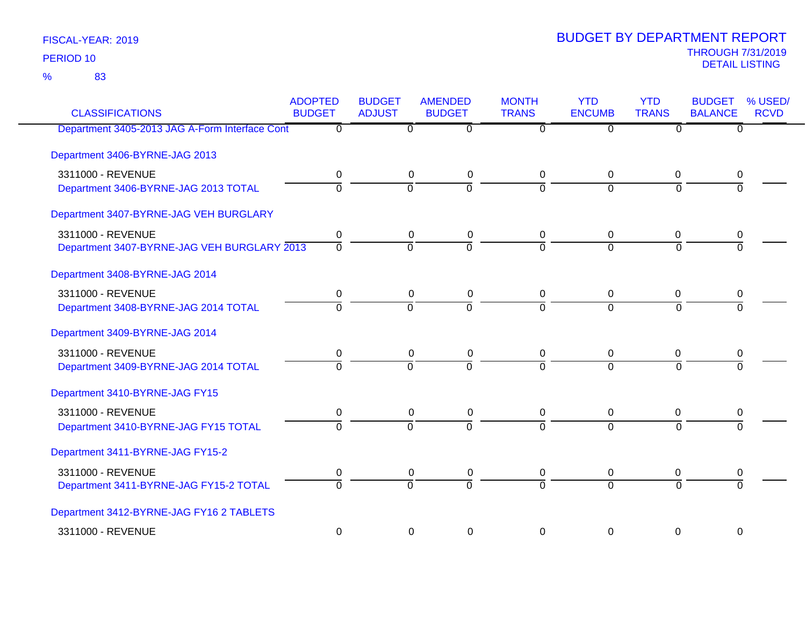83 %

| <b>CLASSIFICATIONS</b>                         | <b>ADOPTED</b><br><b>BUDGET</b> | <b>BUDGET</b><br><b>ADJUST</b> | <b>AMENDED</b><br><b>BUDGET</b> | <b>MONTH</b><br><b>TRANS</b> | <b>YTD</b><br><b>ENCUMB</b> | <b>YTD</b><br><b>TRANS</b> | <b>BUDGET</b><br><b>BALANCE</b> | % USED/<br><b>RCVD</b> |
|------------------------------------------------|---------------------------------|--------------------------------|---------------------------------|------------------------------|-----------------------------|----------------------------|---------------------------------|------------------------|
| Department 3405-2013 JAG A-Form Interface Cont | $\Omega$                        | $\Omega$                       | $\overline{0}$                  | $\Omega$                     | $\Omega$                    | $\overline{0}$             | $\overline{0}$                  |                        |
| Department 3406-BYRNE-JAG 2013                 |                                 |                                |                                 |                              |                             |                            |                                 |                        |
| 3311000 - REVENUE                              | 0                               | $\mathbf 0$                    | 0                               | $\mathbf 0$                  | 0                           | 0                          | 0                               |                        |
| Department 3406-BYRNE-JAG 2013 TOTAL           | $\Omega$                        | $\overline{0}$                 | $\overline{0}$                  | $\Omega$                     | $\overline{0}$              | $\Omega$                   | $\overline{0}$                  |                        |
| Department 3407-BYRNE-JAG VEH BURGLARY         |                                 |                                |                                 |                              |                             |                            |                                 |                        |
| 3311000 - REVENUE                              | 0                               | $\mathbf 0$                    | 0                               | $\mathbf 0$                  | 0                           | 0                          | 0                               |                        |
| Department 3407-BYRNE-JAG VEH BURGLARY 2013    | $\overline{0}$                  | $\overline{0}$                 | ō                               | $\Omega$                     | $\Omega$                    | $\Omega$                   | $\overline{0}$                  |                        |
| Department 3408-BYRNE-JAG 2014                 |                                 |                                |                                 |                              |                             |                            |                                 |                        |
| 3311000 - REVENUE                              | 0                               | 0                              | 0                               | 0                            | 0                           | 0                          | 0                               |                        |
| Department 3408-BYRNE-JAG 2014 TOTAL           | $\overline{0}$                  | $\overline{0}$                 | $\overline{0}$                  | $\overline{0}$               | $\overline{0}$              | $\overline{0}$             | $\overline{0}$                  |                        |
| Department 3409-BYRNE-JAG 2014                 |                                 |                                |                                 |                              |                             |                            |                                 |                        |
| 3311000 - REVENUE                              | 0                               | 0                              | 0                               | 0                            | 0                           | 0                          | 0                               |                        |
| Department 3409-BYRNE-JAG 2014 TOTAL           | 0                               | $\overline{0}$                 | 0                               | $\overline{0}$               | $\overline{0}$              | $\Omega$                   | ō                               |                        |
| Department 3410-BYRNE-JAG FY15                 |                                 |                                |                                 |                              |                             |                            |                                 |                        |
| 3311000 - REVENUE                              | 0                               | 0                              | 0                               | 0                            | 0                           | 0                          | 0                               |                        |
| Department 3410-BYRNE-JAG FY15 TOTAL           | $\overline{0}$                  | $\overline{0}$                 | $\overline{0}$                  | $\overline{0}$               | $\overline{0}$              | $\overline{0}$             | $\overline{0}$                  |                        |
| Department 3411-BYRNE-JAG FY15-2               |                                 |                                |                                 |                              |                             |                            |                                 |                        |
| 3311000 - REVENUE                              | 0                               | 0                              | 0                               | $\mathbf 0$                  | 0                           | 0                          | 0                               |                        |
| Department 3411-BYRNE-JAG FY15-2 TOTAL         | $\overline{0}$                  | $\Omega$                       | $\overline{0}$                  | $\Omega$                     | $\Omega$                    | $\Omega$                   | $\overline{0}$                  |                        |
| Department 3412-BYRNE-JAG FY16 2 TABLETS       |                                 |                                |                                 |                              |                             |                            |                                 |                        |
| 3311000 - REVENUE                              | $\pmb{0}$                       | 0                              | $\boldsymbol{0}$                | 0                            | 0                           | 0                          | $\mathbf 0$                     |                        |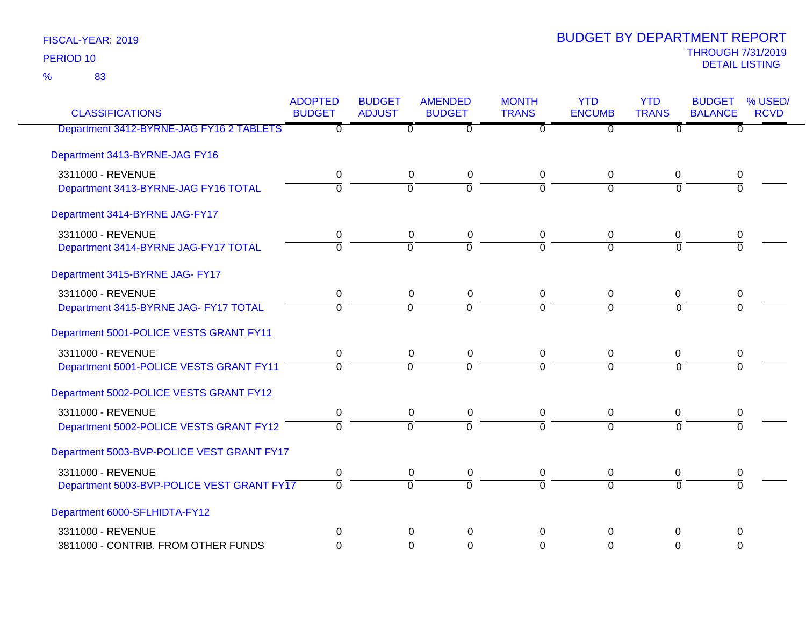83 %

| <b>CLASSIFICATIONS</b>                     | <b>ADOPTED</b><br><b>BUDGET</b> | <b>BUDGET</b><br><b>ADJUST</b> | <b>AMENDED</b><br><b>BUDGET</b> | <b>MONTH</b><br><b>TRANS</b> | <b>YTD</b><br><b>ENCUMB</b> | <b>YTD</b><br><b>TRANS</b> | <b>BUDGET</b><br><b>BALANCE</b> | % USED/<br><b>RCVD</b> |
|--------------------------------------------|---------------------------------|--------------------------------|---------------------------------|------------------------------|-----------------------------|----------------------------|---------------------------------|------------------------|
| Department 3412-BYRNE-JAG FY16 2 TABLETS   | $\overline{0}$                  | $\overline{0}$                 | $\overline{0}$                  | $\overline{0}$               | $\overline{0}$              | $\overline{0}$             | $\overline{0}$                  |                        |
| Department 3413-BYRNE-JAG FY16             |                                 |                                |                                 |                              |                             |                            |                                 |                        |
| 3311000 - REVENUE                          | 0                               | 0                              | 0                               | 0                            | $\overline{0}$              | 0                          | 0                               |                        |
| Department 3413-BYRNE-JAG FY16 TOTAL       | $\overline{0}$                  | $\overline{0}$                 | $\overline{0}$                  | $\Omega$                     | $\Omega$                    | $\Omega$                   | $\Omega$                        |                        |
| Department 3414-BYRNE JAG-FY17             |                                 |                                |                                 |                              |                             |                            |                                 |                        |
| 3311000 - REVENUE                          | 0                               | $\mathbf 0$                    | $\pmb{0}$                       | $\mathbf 0$                  | 0                           | $\mathbf 0$                | 0                               |                        |
| Department 3414-BYRNE JAG-FY17 TOTAL       | $\Omega$                        | $\Omega$                       | $\overline{0}$                  | $\Omega$                     | $\overline{0}$              | $\Omega$                   | $\Omega$                        |                        |
| Department 3415-BYRNE JAG- FY17            |                                 |                                |                                 |                              |                             |                            |                                 |                        |
| 3311000 - REVENUE                          | $\mathbf 0$                     | $\mathbf 0$                    | $\pmb{0}$                       | $\mathbf 0$                  | $\mathbf 0$                 | $\mathbf 0$                | 0                               |                        |
| Department 3415-BYRNE JAG- FY17 TOTAL      | $\Omega$                        | $\Omega$                       | $\overline{0}$                  | $\Omega$                     | $\Omega$                    | $\Omega$                   | $\Omega$                        |                        |
| Department 5001-POLICE VESTS GRANT FY11    |                                 |                                |                                 |                              |                             |                            |                                 |                        |
| 3311000 - REVENUE                          | 0                               | 0                              | 0                               | 0                            | 0                           | 0                          | 0                               |                        |
| Department 5001-POLICE VESTS GRANT FY11    | $\Omega$                        | $\Omega$                       | $\overline{0}$                  | $\Omega$                     | $\Omega$                    | $\Omega$                   | $\Omega$                        |                        |
| Department 5002-POLICE VESTS GRANT FY12    |                                 |                                |                                 |                              |                             |                            |                                 |                        |
| 3311000 - REVENUE                          | $\pmb{0}$                       | 0                              | 0                               | 0                            | 0                           | 0                          | 0                               |                        |
| Department 5002-POLICE VESTS GRANT FY12    | $\overline{0}$                  | $\overline{0}$                 | $\overline{0}$                  | $\overline{0}$               | $\Omega$                    | $\overline{0}$             | $\Omega$                        |                        |
| Department 5003-BVP-POLICE VEST GRANT FY17 |                                 |                                |                                 |                              |                             |                            |                                 |                        |
| 3311000 - REVENUE                          | 0                               | 0                              | $\pmb{0}$                       | 0                            | 0                           | 0                          | 0                               |                        |
| Department 5003-BVP-POLICE VEST GRANT FY17 | $\Omega$                        | $\overline{0}$                 | $\overline{0}$                  | $\overline{0}$               | $\Omega$                    | $\Omega$                   | $\Omega$                        |                        |
| Department 6000-SFLHIDTA-FY12              |                                 |                                |                                 |                              |                             |                            |                                 |                        |
| 3311000 - REVENUE                          | $\Omega$                        | $\Omega$                       | $\Omega$                        | $\Omega$                     | $\Omega$                    | $\Omega$                   | $\Omega$                        |                        |
| 3811000 - CONTRIB. FROM OTHER FUNDS        | $\Omega$                        | $\Omega$                       | $\mathbf 0$                     | $\Omega$                     | $\Omega$                    | $\mathbf 0$                | $\Omega$                        |                        |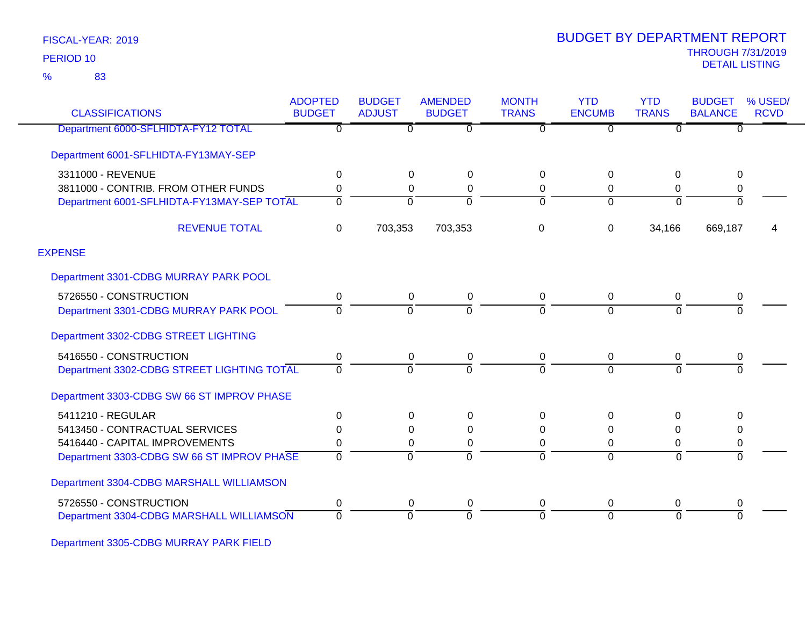83 %

| <b>CLASSIFICATIONS</b>                     | <b>ADOPTED</b><br><b>BUDGET</b> | <b>BUDGET</b><br><b>ADJUST</b> | <b>AMENDED</b><br><b>BUDGET</b> | <b>MONTH</b><br><b>TRANS</b> | <b>YTD</b><br><b>ENCUMB</b> | <b>YTD</b><br><b>TRANS</b> | <b>BUDGET</b><br><b>BALANCE</b> | % USED/<br><b>RCVD</b> |
|--------------------------------------------|---------------------------------|--------------------------------|---------------------------------|------------------------------|-----------------------------|----------------------------|---------------------------------|------------------------|
| Department 6000-SFLHIDTA-FY12 TOTAL        | $\overline{0}$                  | $\overline{0}$                 | $\overline{0}$                  | $\overline{0}$               | $\overline{0}$              | $\overline{0}$             | $\overline{0}$                  |                        |
| Department 6001-SFLHIDTA-FY13MAY-SEP       |                                 |                                |                                 |                              |                             |                            |                                 |                        |
| 3311000 - REVENUE                          | 0                               | 0                              | 0                               | 0                            | 0                           | 0                          | 0                               |                        |
| 3811000 - CONTRIB. FROM OTHER FUNDS        | 0                               | 0                              | $\Omega$                        | 0                            | 0                           | $\mathbf 0$                | 0                               |                        |
| Department 6001-SFLHIDTA-FY13MAY-SEP TOTAL | $\Omega$                        | $\Omega$                       | $\Omega$                        | $\Omega$                     | $\Omega$                    | $\Omega$                   | $\overline{0}$                  |                        |
| <b>REVENUE TOTAL</b>                       | 0                               | 703,353                        | 703,353                         | 0                            | $\Omega$                    | 34,166                     | 669,187                         | 4                      |
| <b>EXPENSE</b>                             |                                 |                                |                                 |                              |                             |                            |                                 |                        |
| Department 3301-CDBG MURRAY PARK POOL      |                                 |                                |                                 |                              |                             |                            |                                 |                        |
| 5726550 - CONSTRUCTION                     | 0                               | $\mathbf 0$                    | 0                               | 0                            | $\mathbf 0$                 | $\mathbf 0$                | 0                               |                        |
| Department 3301-CDBG MURRAY PARK POOL      | $\Omega$                        | 0                              | $\Omega$                        | $\Omega$                     | $\Omega$                    | $\Omega$                   | 0                               |                        |
| Department 3302-CDBG STREET LIGHTING       |                                 |                                |                                 |                              |                             |                            |                                 |                        |
| 5416550 - CONSTRUCTION                     | 0                               | 0                              | 0                               | 0                            | $\Omega$                    | $\mathbf 0$                | 0                               |                        |
| Department 3302-CDBG STREET LIGHTING TOTAL | $\Omega$                        | $\Omega$                       | $\Omega$                        | $\Omega$                     | $\Omega$                    | $\Omega$                   | $\Omega$                        |                        |
| Department 3303-CDBG SW 66 ST IMPROV PHASE |                                 |                                |                                 |                              |                             |                            |                                 |                        |
| 5411210 - REGULAR                          | 0                               | 0                              | $\Omega$                        | 0                            | $\Omega$                    | $\Omega$                   | $\Omega$                        |                        |
| 5413450 - CONTRACTUAL SERVICES             | 0                               | 0                              | 0                               | 0                            | $\Omega$                    | 0                          | 0                               |                        |
| 5416440 - CAPITAL IMPROVEMENTS             | 0                               | 0                              | $\Omega$                        | 0                            | $\Omega$                    | 0                          | 0                               |                        |
| Department 3303-CDBG SW 66 ST IMPROV PHASE | $\Omega$                        | $\Omega$                       | $\Omega$                        | $\Omega$                     | $\Omega$                    | $\Omega$                   | $\Omega$                        |                        |
| Department 3304-CDBG MARSHALL WILLIAMSON   |                                 |                                |                                 |                              |                             |                            |                                 |                        |
| 5726550 - CONSTRUCTION                     | 0                               | $\mathbf 0$                    | 0                               | 0                            | $\mathbf 0$                 | 0                          | 0                               |                        |
| Department 3304-CDBG MARSHALL WILLIAMSON   | 0                               | $\Omega$                       | $\Omega$                        | $\Omega$                     | $\Omega$                    | $\Omega$                   | $\Omega$                        |                        |

Department 3305-CDBG MURRAY PARK FIELD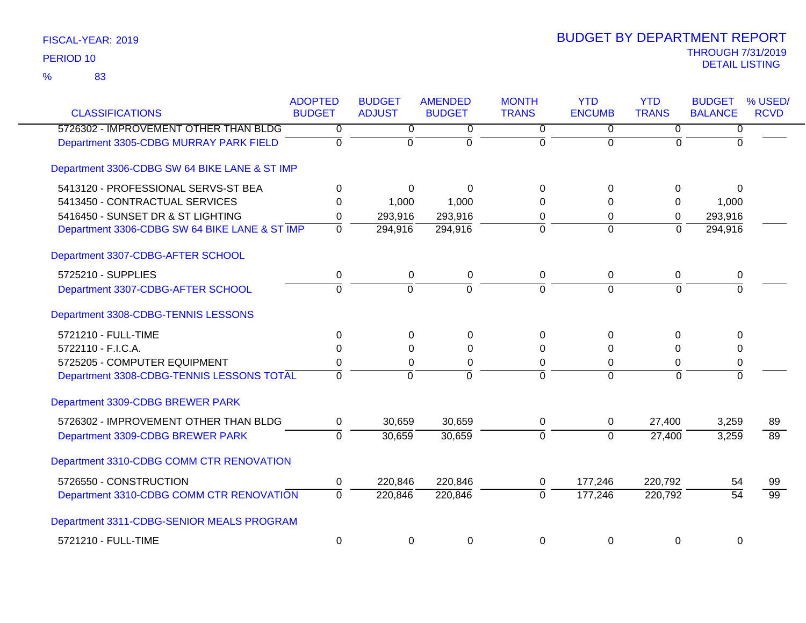| <b>CLASSIFICATIONS</b>                        | <b>ADOPTED</b><br><b>BUDGET</b> | <b>BUDGET</b><br><b>ADJUST</b> | <b>AMENDED</b><br><b>BUDGET</b> | <b>MONTH</b><br><b>TRANS</b> | <b>YTD</b><br><b>ENCUMB</b> | <b>YTD</b><br><b>TRANS</b> | <b>BUDGET</b><br><b>BALANCE</b> | % USED/<br><b>RCVD</b> |
|-----------------------------------------------|---------------------------------|--------------------------------|---------------------------------|------------------------------|-----------------------------|----------------------------|---------------------------------|------------------------|
| 5726302 - IMPROVEMENT OTHER THAN BLDG         | 0                               | 0                              | 0                               | 0                            | 0                           | $\overline{0}$             | 0                               |                        |
| Department 3305-CDBG MURRAY PARK FIELD        | $\overline{0}$                  | $\overline{0}$                 | $\overline{0}$                  | $\overline{0}$               | $\overline{0}$              | $\Omega$                   | $\Omega$                        |                        |
| Department 3306-CDBG SW 64 BIKE LANE & ST IMP |                                 |                                |                                 |                              |                             |                            |                                 |                        |
| 5413120 - PROFESSIONAL SERVS-ST BEA           | 0                               | $\Omega$                       | $\Omega$                        | $\Omega$                     | $\Omega$                    | 0                          | $\Omega$                        |                        |
| 5413450 - CONTRACTUAL SERVICES                | $\Omega$                        | 1,000                          | 1,000                           | 0                            | $\Omega$                    | 0                          | 1,000                           |                        |
| 5416450 - SUNSET DR & ST LIGHTING             | 0                               | 293,916                        | 293,916                         | 0                            | 0                           | 0                          | 293,916                         |                        |
| Department 3306-CDBG SW 64 BIKE LANE & ST IMP | $\Omega$                        | 294,916                        | 294,916                         | $\overline{0}$               | $\overline{0}$              | $\Omega$                   | 294,916                         |                        |
| Department 3307-CDBG-AFTER SCHOOL             |                                 |                                |                                 |                              |                             |                            |                                 |                        |
| 5725210 - SUPPLIES                            | 0                               | 0                              | 0                               | 0                            | 0                           | 0                          | 0                               |                        |
| Department 3307-CDBG-AFTER SCHOOL             | $\overline{0}$                  | $\overline{0}$                 | $\overline{0}$                  | $\overline{0}$               | $\overline{0}$              | $\Omega$                   | $\overline{0}$                  |                        |
| Department 3308-CDBG-TENNIS LESSONS           |                                 |                                |                                 |                              |                             |                            |                                 |                        |
| 5721210 - FULL-TIME                           | $\Omega$                        | $\Omega$                       | 0                               | $\Omega$                     | $\Omega$                    | 0                          | $\Omega$                        |                        |
| 5722110 - F.I.C.A.                            | $\Omega$                        | $\Omega$                       | 0                               | $\Omega$                     | $\Omega$                    | $\Omega$                   | 0                               |                        |
| 5725205 - COMPUTER EQUIPMENT                  | 0                               | 0                              | 0                               | $\Omega$                     | 0                           | 0                          | 0                               |                        |
| Department 3308-CDBG-TENNIS LESSONS TOTAL     | $\Omega$                        | $\Omega$                       | $\Omega$                        | $\Omega$                     | $\Omega$                    | $\Omega$                   | $\overline{0}$                  |                        |
| Department 3309-CDBG BREWER PARK              |                                 |                                |                                 |                              |                             |                            |                                 |                        |
| 5726302 - IMPROVEMENT OTHER THAN BLDG         | 0                               | 30,659                         | 30,659                          | 0                            | 0                           | 27,400                     | 3,259                           | 89                     |
| Department 3309-CDBG BREWER PARK              | $\overline{0}$                  | 30,659                         | 30,659                          | $\overline{0}$               | $\Omega$                    | 27,400                     | 3,259                           | $\overline{89}$        |
| Department 3310-CDBG COMM CTR RENOVATION      |                                 |                                |                                 |                              |                             |                            |                                 |                        |
| 5726550 - CONSTRUCTION                        | 0                               | 220,846                        | 220,846                         | 0                            | 177,246                     | 220,792                    | 54                              | 99                     |
| Department 3310-CDBG COMM CTR RENOVATION      | $\overline{0}$                  | 220,846                        | 220,846                         | ō                            | 177,246                     | 220,792                    | $\overline{54}$                 | $\overline{99}$        |
| Department 3311-CDBG-SENIOR MEALS PROGRAM     |                                 |                                |                                 |                              |                             |                            |                                 |                        |
| 5721210 - FULL-TIME                           | 0                               | 0                              | 0                               | 0                            | 0                           | 0                          | 0                               |                        |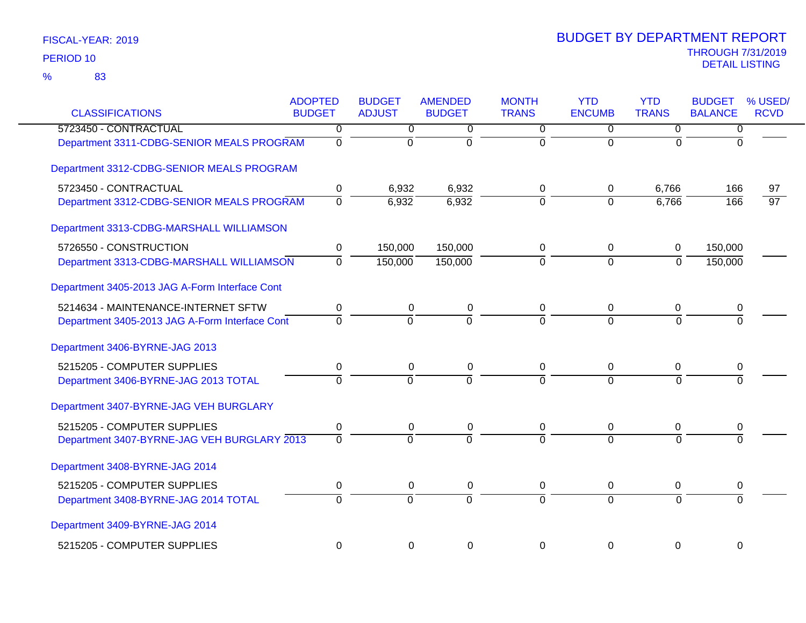| <b>CLASSIFICATIONS</b>                         | <b>ADOPTED</b><br><b>BUDGET</b> | <b>BUDGET</b><br><b>ADJUST</b> | <b>AMENDED</b><br><b>BUDGET</b> | <b>MONTH</b><br><b>TRANS</b> | <b>YTD</b><br><b>ENCUMB</b> | <b>YTD</b><br><b>TRANS</b> | <b>BUDGET</b><br><b>BALANCE</b> | % USED/<br><b>RCVD</b> |
|------------------------------------------------|---------------------------------|--------------------------------|---------------------------------|------------------------------|-----------------------------|----------------------------|---------------------------------|------------------------|
| 5723450 - CONTRACTUAL                          | 0                               | $\overline{0}$                 | 0                               | $\overline{0}$               | 0                           | $\overline{0}$             | 0                               |                        |
| Department 3311-CDBG-SENIOR MEALS PROGRAM      | $\overline{0}$                  | $\overline{0}$                 | $\overline{0}$                  | $\overline{0}$               | $\overline{0}$              | $\overline{0}$             | $\Omega$                        |                        |
| Department 3312-CDBG-SENIOR MEALS PROGRAM      |                                 |                                |                                 |                              |                             |                            |                                 |                        |
| 5723450 - CONTRACTUAL                          | 0                               | 6,932                          | 6,932                           | 0                            | 0                           | 6,766                      | 166                             | 97                     |
| Department 3312-CDBG-SENIOR MEALS PROGRAM      | $\overline{0}$                  | 6,932                          | 6,932                           | $\overline{0}$               | $\Omega$                    | 6,766                      | 166                             | $\overline{97}$        |
| Department 3313-CDBG-MARSHALL WILLIAMSON       |                                 |                                |                                 |                              |                             |                            |                                 |                        |
| 5726550 - CONSTRUCTION                         | 0                               | 150,000                        | 150,000                         | 0                            | 0                           | 0                          | 150,000                         |                        |
| Department 3313-CDBG-MARSHALL WILLIAMSON       | $\overline{0}$                  | 150,000                        | 150,000                         | $\overline{0}$               | $\overline{0}$              | $\overline{0}$             | 150,000                         |                        |
| Department 3405-2013 JAG A-Form Interface Cont |                                 |                                |                                 |                              |                             |                            |                                 |                        |
| 5214634 - MAINTENANCE-INTERNET SFTW            | $\mathbf 0$                     | $\pmb{0}$                      | $\pmb{0}$                       | $\mathbf 0$                  | $\mathbf 0$                 | $\mathbf 0$                | 0                               |                        |
| Department 3405-2013 JAG A-Form Interface Cont | $\mathbf 0$                     | $\Omega$                       | $\Omega$                        | $\Omega$                     | $\Omega$                    | $\Omega$                   |                                 |                        |
| Department 3406-BYRNE-JAG 2013                 |                                 |                                |                                 |                              |                             |                            |                                 |                        |
| 5215205 - COMPUTER SUPPLIES                    | $\pmb{0}$                       | 0                              | 0                               | 0                            | 0                           | 0                          | 0                               |                        |
| Department 3406-BYRNE-JAG 2013 TOTAL           | $\overline{0}$                  | $\overline{0}$                 | $\overline{0}$                  | $\Omega$                     | $\Omega$                    | $\Omega$                   |                                 |                        |
| Department 3407-BYRNE-JAG VEH BURGLARY         |                                 |                                |                                 |                              |                             |                            |                                 |                        |
| 5215205 - COMPUTER SUPPLIES                    | $\pmb{0}$                       | 0                              | 0                               | 0                            | 0                           | 0                          | 0                               |                        |
| Department 3407-BYRNE-JAG VEH BURGLARY 2013    | $\overline{0}$                  | $\Omega$                       | $\overline{0}$                  | $\overline{0}$               | $\overline{0}$              | $\Omega$                   |                                 |                        |
| Department 3408-BYRNE-JAG 2014                 |                                 |                                |                                 |                              |                             |                            |                                 |                        |
| 5215205 - COMPUTER SUPPLIES                    | $\pmb{0}$                       | 0                              | 0                               | 0                            | 0                           | 0                          | 0                               |                        |
| Department 3408-BYRNE-JAG 2014 TOTAL           | $\overline{0}$                  | $\overline{0}$                 | $\overline{0}$                  | $\overline{0}$               | $\Omega$                    | $\Omega$                   | $\Omega$                        |                        |
| Department 3409-BYRNE-JAG 2014                 |                                 |                                |                                 |                              |                             |                            |                                 |                        |
| 5215205 - COMPUTER SUPPLIES                    | $\mathbf 0$                     | $\mathbf 0$                    | 0                               | $\mathbf 0$                  | $\mathbf 0$                 | $\mathbf 0$                | 0                               |                        |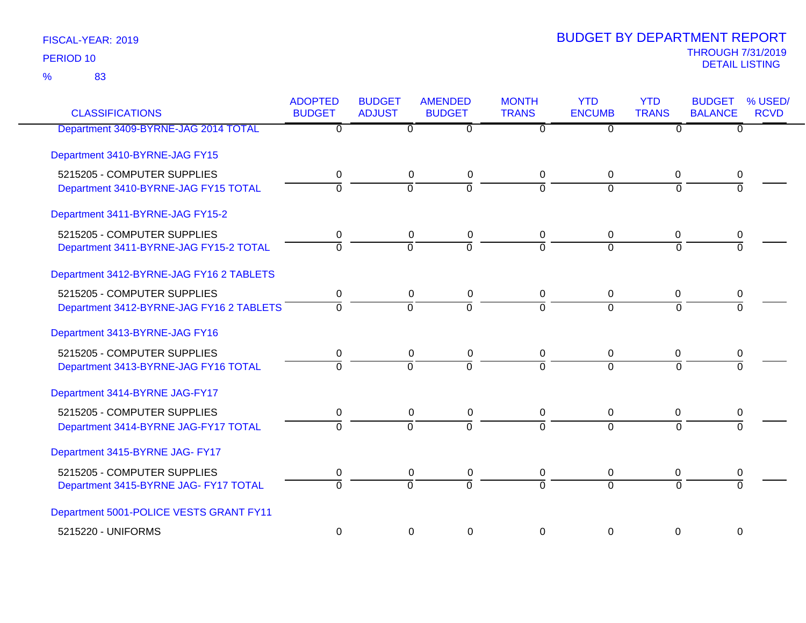83 %

| <b>CLASSIFICATIONS</b>                   | <b>ADOPTED</b><br><b>BUDGET</b> | <b>BUDGET</b><br><b>ADJUST</b> | <b>AMENDED</b><br><b>BUDGET</b> | <b>MONTH</b><br><b>TRANS</b> | <b>YTD</b><br><b>ENCUMB</b> | <b>YTD</b><br><b>TRANS</b> | <b>BUDGET</b><br><b>BALANCE</b> | % USED/<br><b>RCVD</b> |
|------------------------------------------|---------------------------------|--------------------------------|---------------------------------|------------------------------|-----------------------------|----------------------------|---------------------------------|------------------------|
| Department 3409-BYRNE-JAG 2014 TOTAL     | $\overline{0}$                  | $\overline{0}$                 | $\overline{0}$                  | $\overline{0}$               | $\overline{0}$              | $\overline{0}$             | $\overline{0}$                  |                        |
| Department 3410-BYRNE-JAG FY15           |                                 |                                |                                 |                              |                             |                            |                                 |                        |
| 5215205 - COMPUTER SUPPLIES              | 0                               | 0                              | $\pmb{0}$                       | 0                            | $\Omega$                    | 0                          | 0                               |                        |
| Department 3410-BYRNE-JAG FY15 TOTAL     | 0                               | $\overline{0}$                 | ō                               | $\Omega$                     | $\overline{0}$              | $\overline{0}$             | $\overline{0}$                  |                        |
| Department 3411-BYRNE-JAG FY15-2         |                                 |                                |                                 |                              |                             |                            |                                 |                        |
| 5215205 - COMPUTER SUPPLIES              | 0                               | $\pmb{0}$                      | $\pmb{0}$                       | $\mathbf 0$                  | 0                           | 0                          | 0                               |                        |
| Department 3411-BYRNE-JAG FY15-2 TOTAL   | $\overline{0}$                  | $\overline{0}$                 | $\overline{0}$                  | $\Omega$                     | $\Omega$                    | $\Omega$                   | $\overline{0}$                  |                        |
| Department 3412-BYRNE-JAG FY16 2 TABLETS |                                 |                                |                                 |                              |                             |                            |                                 |                        |
| 5215205 - COMPUTER SUPPLIES              | 0                               | 0                              | 0                               | $\mathbf 0$                  | 0                           | 0                          | 0                               |                        |
| Department 3412-BYRNE-JAG FY16 2 TABLETS | $\Omega$                        | $\overline{0}$                 | ō                               | $\overline{0}$               | $\overline{0}$              | $\overline{0}$             | $\Omega$                        |                        |
| Department 3413-BYRNE-JAG FY16           |                                 |                                |                                 |                              |                             |                            |                                 |                        |
| 5215205 - COMPUTER SUPPLIES              | 0                               | 0                              | 0                               | $\mathbf 0$                  | 0                           | 0                          | 0                               |                        |
| Department 3413-BYRNE-JAG FY16 TOTAL     | 0                               | $\overline{0}$                 | $\overline{0}$                  | $\overline{0}$               | $\overline{0}$              | $\Omega$                   | $\overline{0}$                  |                        |
| Department 3414-BYRNE JAG-FY17           |                                 |                                |                                 |                              |                             |                            |                                 |                        |
| 5215205 - COMPUTER SUPPLIES              | 0                               | $\pmb{0}$                      | $\pmb{0}$                       | $\mathbf 0$                  | 0                           | 0                          | 0                               |                        |
| Department 3414-BYRNE JAG-FY17 TOTAL     | $\mathbf 0$                     | $\overline{0}$                 | $\overline{0}$                  | $\Omega$                     | $\Omega$                    | $\overline{0}$             | $\Omega$                        |                        |
| Department 3415-BYRNE JAG- FY17          |                                 |                                |                                 |                              |                             |                            |                                 |                        |
| 5215205 - COMPUTER SUPPLIES              | 0                               | 0                              | 0                               | 0                            | 0                           | 0                          | 0                               |                        |
| Department 3415-BYRNE JAG- FY17 TOTAL    | $\overline{0}$                  | $\overline{0}$                 | $\overline{0}$                  | $\overline{0}$               | $\overline{0}$              | $\overline{0}$             | $\overline{0}$                  |                        |
| Department 5001-POLICE VESTS GRANT FY11  |                                 |                                |                                 |                              |                             |                            |                                 |                        |
| 5215220 - UNIFORMS                       | $\mathbf 0$                     | 0                              | 0                               | $\Omega$                     | 0                           | 0                          | 0                               |                        |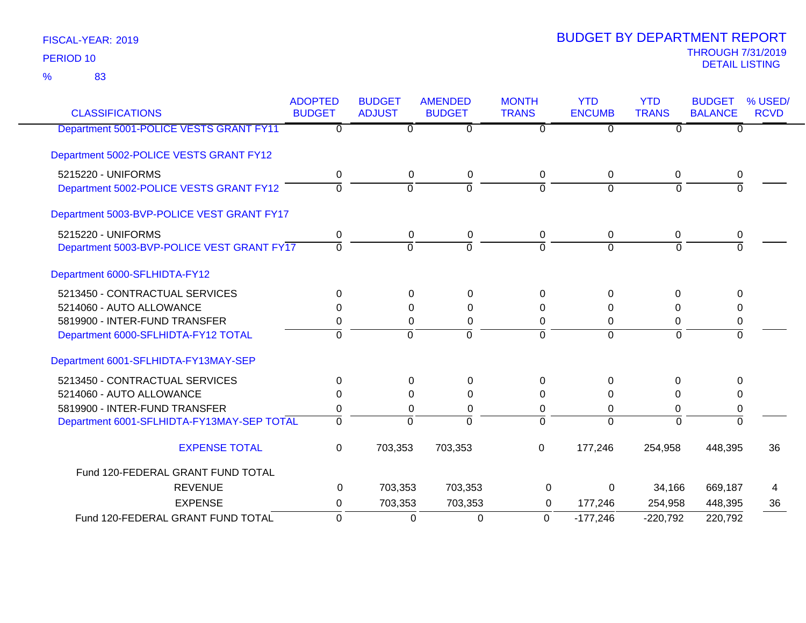| <b>CLASSIFICATIONS</b>                     | <b>ADOPTED</b><br><b>BUDGET</b> | <b>BUDGET</b><br><b>ADJUST</b> | <b>AMENDED</b><br><b>BUDGET</b> | <b>MONTH</b><br><b>TRANS</b> | <b>YTD</b><br><b>ENCUMB</b> | <b>YTD</b><br><b>TRANS</b> | <b>BUDGET</b><br><b>BALANCE</b> | % USED/<br><b>RCVD</b> |
|--------------------------------------------|---------------------------------|--------------------------------|---------------------------------|------------------------------|-----------------------------|----------------------------|---------------------------------|------------------------|
| Department 5001-POLICE VESTS GRANT FY11    | $\overline{0}$                  | $\overline{0}$                 | $\overline{0}$                  | $\overline{0}$               | $\overline{0}$              | $\overline{0}$             | $\overline{0}$                  |                        |
| Department 5002-POLICE VESTS GRANT FY12    |                                 |                                |                                 |                              |                             |                            |                                 |                        |
| 5215220 - UNIFORMS                         | 0                               | $\mathbf 0$                    | $\pmb{0}$                       | $\mathbf 0$                  | $\mathbf 0$                 | $\mathbf 0$                | $\boldsymbol{0}$                |                        |
| Department 5002-POLICE VESTS GRANT FY12    | $\Omega$                        | $\overline{0}$                 | $\overline{0}$                  | $\overline{0}$               | $\Omega$                    | $\overline{0}$             | $\overline{0}$                  |                        |
| Department 5003-BVP-POLICE VEST GRANT FY17 |                                 |                                |                                 |                              |                             |                            |                                 |                        |
| 5215220 - UNIFORMS                         | 0                               | $\mathbf 0$                    | $\mathbf 0$                     | 0                            | $\mathbf 0$                 | $\mathbf 0$                | 0                               |                        |
| Department 5003-BVP-POLICE VEST GRANT FY17 | $\Omega$                        | $\Omega$                       | $\Omega$                        | $\Omega$                     | $\Omega$                    | $\Omega$                   | $\Omega$                        |                        |
| Department 6000-SFLHIDTA-FY12              |                                 |                                |                                 |                              |                             |                            |                                 |                        |
| 5213450 - CONTRACTUAL SERVICES             | $\Omega$                        | $\mathbf 0$                    | $\mathbf 0$                     | $\Omega$                     | $\Omega$                    | $\mathbf 0$                | $\mathbf 0$                     |                        |
| 5214060 - AUTO ALLOWANCE                   | 0                               | 0                              | 0                               | 0                            | 0                           | 0                          | 0                               |                        |
| 5819900 - INTER-FUND TRANSFER              | 0                               | 0                              | $\mathbf 0$                     | 0                            | 0                           | 0                          | 0                               |                        |
| Department 6000-SFLHIDTA-FY12 TOTAL        | 0                               | $\overline{0}$                 | $\overline{0}$                  | $\overline{0}$               | $\overline{0}$              | $\overline{0}$             | ō                               |                        |
| Department 6001-SFLHIDTA-FY13MAY-SEP       |                                 |                                |                                 |                              |                             |                            |                                 |                        |
| 5213450 - CONTRACTUAL SERVICES             | $\Omega$                        | 0                              | 0                               | 0                            | $\Omega$                    | 0                          | 0                               |                        |
| 5214060 - AUTO ALLOWANCE                   | 0                               | 0                              | 0                               | 0                            | 0                           | $\Omega$                   | 0                               |                        |
| 5819900 - INTER-FUND TRANSFER              | 0                               | 0                              | 0                               | 0                            | 0                           | 0                          | 0                               |                        |
| Department 6001-SFLHIDTA-FY13MAY-SEP TOTAL | $\Omega$                        | $\mathbf{0}$                   | $\overline{0}$                  | $\overline{0}$               | $\overline{0}$              | $\Omega$                   | $\Omega$                        |                        |
| <b>EXPENSE TOTAL</b>                       | 0                               | 703,353                        | 703,353                         | $\mathbf 0$                  | 177,246                     | 254,958                    | 448,395                         | 36                     |
| Fund 120-FEDERAL GRANT FUND TOTAL          |                                 |                                |                                 |                              |                             |                            |                                 |                        |
| <b>REVENUE</b>                             | 0                               | 703,353                        | 703,353                         | 0                            | 0                           | 34,166                     | 669,187                         | 4                      |
| <b>EXPENSE</b>                             | 0                               | 703,353                        | 703,353                         | 0                            | 177,246                     | 254,958                    | 448,395                         | 36                     |
| Fund 120-FEDERAL GRANT FUND TOTAL          | $\Omega$                        | 0                              | $\mathbf 0$                     | $\Omega$                     | $-177,246$                  | $-220,792$                 | 220,792                         |                        |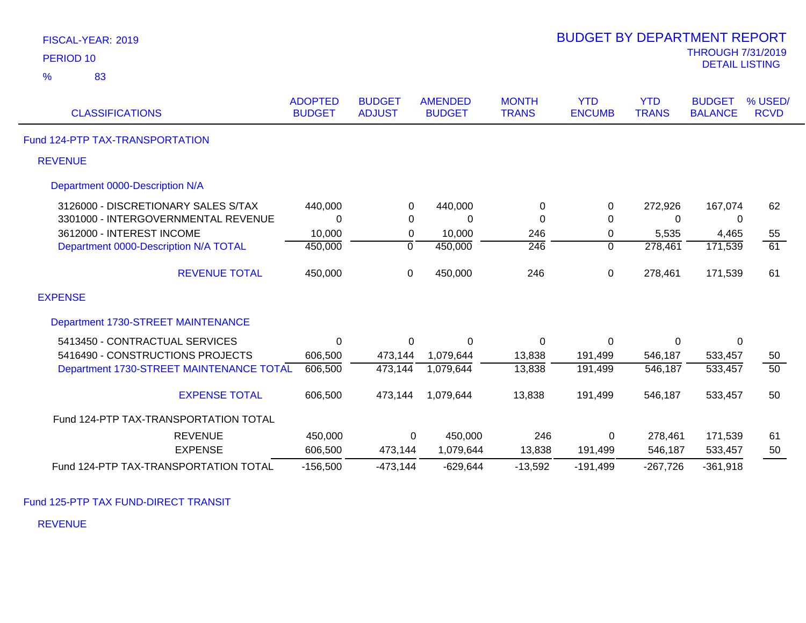| PERIOD <sub>10</sub>                     |                                 |                                |                                 |                              |                             |                            | <b>THROUGH 7/31/2019</b><br><b>DETAIL LISTING</b> |                        |
|------------------------------------------|---------------------------------|--------------------------------|---------------------------------|------------------------------|-----------------------------|----------------------------|---------------------------------------------------|------------------------|
| 83<br>$\frac{9}{6}$                      |                                 |                                |                                 |                              |                             |                            |                                                   |                        |
| <b>CLASSIFICATIONS</b>                   | <b>ADOPTED</b><br><b>BUDGET</b> | <b>BUDGET</b><br><b>ADJUST</b> | <b>AMENDED</b><br><b>BUDGET</b> | <b>MONTH</b><br><b>TRANS</b> | <b>YTD</b><br><b>ENCUMB</b> | <b>YTD</b><br><b>TRANS</b> | <b>BUDGET</b><br><b>BALANCE</b>                   | % USED/<br><b>RCVD</b> |
| Fund 124-PTP TAX-TRANSPORTATION          |                                 |                                |                                 |                              |                             |                            |                                                   |                        |
| <b>REVENUE</b>                           |                                 |                                |                                 |                              |                             |                            |                                                   |                        |
| Department 0000-Description N/A          |                                 |                                |                                 |                              |                             |                            |                                                   |                        |
| 3126000 - DISCRETIONARY SALES S/TAX      | 440,000                         | 0                              | 440,000                         | 0                            | 0                           | 272,926                    | 167,074                                           | 62                     |
| 3301000 - INTERGOVERNMENTAL REVENUE      | $\Omega$                        | $\Omega$                       | $\Omega$                        | $\Omega$                     | $\Omega$                    | $\Omega$                   | 0                                                 |                        |
| 3612000 - INTEREST INCOME                | 10,000                          | 0                              | 10,000                          | 246                          | $\boldsymbol{0}$            | 5,535                      | 4,465                                             | 55                     |
| Department 0000-Description N/A TOTAL    | 450,000                         | 0                              | 450,000                         | $\overline{246}$             | 0                           | 278,461                    | 171,539                                           | 61                     |
| <b>REVENUE TOTAL</b>                     | 450,000                         | 0                              | 450,000                         | 246                          | $\boldsymbol{0}$            | 278,461                    | 171,539                                           | 61                     |
| <b>EXPENSE</b>                           |                                 |                                |                                 |                              |                             |                            |                                                   |                        |
| Department 1730-STREET MAINTENANCE       |                                 |                                |                                 |                              |                             |                            |                                                   |                        |
| 5413450 - CONTRACTUAL SERVICES           | 0                               | 0                              | $\mathbf 0$                     | 0                            | $\mathbf 0$                 | 0                          | $\mathbf 0$                                       |                        |
| 5416490 - CONSTRUCTIONS PROJECTS         | 606,500                         | 473,144                        | 1,079,644                       | 13,838                       | 191,499                     | 546,187                    | 533,457                                           | 50                     |
| Department 1730-STREET MAINTENANCE TOTAL | 606,500                         | 473,144                        | 1,079,644                       | 13,838                       | 191,499                     | 546,187                    | 533,457                                           | $\overline{50}$        |
| <b>EXPENSE TOTAL</b>                     | 606,500                         | 473,144                        | 1,079,644                       | 13,838                       | 191,499                     | 546,187                    | 533,457                                           | 50                     |
| Fund 124-PTP TAX-TRANSPORTATION TOTAL    |                                 |                                |                                 |                              |                             |                            |                                                   |                        |
| <b>REVENUE</b>                           | 450,000                         | 0                              | 450,000                         | 246                          | 0                           | 278,461                    | 171,539                                           | 61                     |
| <b>EXPENSE</b>                           | 606,500                         | 473,144                        | 1,079,644                       | 13,838                       | 191,499                     | 546,187                    | 533,457                                           | 50                     |
| Fund 124-PTP TAX-TRANSPORTATION TOTAL    | $-156,500$                      | $-473,144$                     | $-629,644$                      | $-13,592$                    | $-191,499$                  | $-267,726$                 | $-361,918$                                        |                        |

BUDGET BY DEPARTMENT REPORT

Fund 125-PTP TAX FUND-DIRECT TRANSIT

REVENUE

FISCAL-YEAR: 2019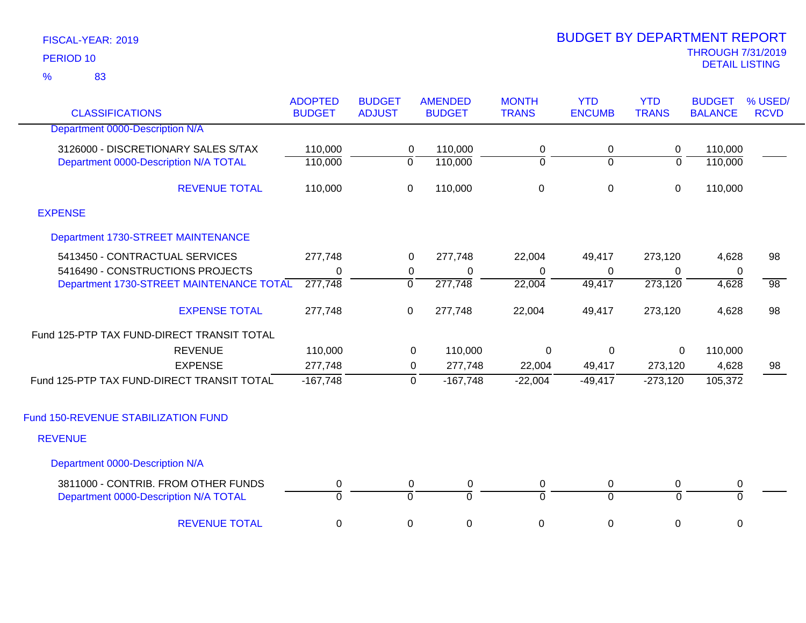83 %

|                                                                              | <b>ADOPTED</b>      | <b>BUDGET</b>               | <b>AMENDED</b> |                     | <b>MONTH</b>        | <b>YTD</b>     | <b>YTD</b>                  | <b>BUDGET</b>       | % USED/         |
|------------------------------------------------------------------------------|---------------------|-----------------------------|----------------|---------------------|---------------------|----------------|-----------------------------|---------------------|-----------------|
| <b>CLASSIFICATIONS</b>                                                       | <b>BUDGET</b>       | <b>ADJUST</b>               | <b>BUDGET</b>  |                     | <b>TRANS</b>        | <b>ENCUMB</b>  | <b>TRANS</b>                | <b>BALANCE</b>      | <b>RCVD</b>     |
| Department 0000-Description N/A                                              |                     |                             |                |                     |                     |                |                             |                     |                 |
| 3126000 - DISCRETIONARY SALES S/TAX                                          | 110,000             | $\mathbf 0$                 | 110,000        |                     | 0                   | 0              | 0                           | 110,000             |                 |
| Department 0000-Description N/A TOTAL                                        | 110,000             | $\overline{0}$              | 110,000        |                     | $\overline{0}$      | $\overline{0}$ | $\overline{0}$              | 110,000             |                 |
| <b>REVENUE TOTAL</b>                                                         | 110,000             | $\mathsf 0$                 | 110,000        |                     | $\pmb{0}$           | 0              | $\mathbf 0$                 | 110,000             |                 |
| <b>EXPENSE</b>                                                               |                     |                             |                |                     |                     |                |                             |                     |                 |
| Department 1730-STREET MAINTENANCE                                           |                     |                             |                |                     |                     |                |                             |                     |                 |
| 5413450 - CONTRACTUAL SERVICES                                               | 277,748             | 0                           | 277,748        |                     | 22,004              | 49,417         | 273,120                     | 4,628               | 98              |
| 5416490 - CONSTRUCTIONS PROJECTS                                             | $\Omega$            | 0                           |                | 0                   | 0                   | 0              | $\Omega$                    | $\mathbf 0$         |                 |
| Department 1730-STREET MAINTENANCE TOTAL                                     | 277,748             | $\overline{0}$              | 277,748        |                     | 22,004              | 49,417         | 273,120                     | 4,628               | $\overline{98}$ |
| <b>EXPENSE TOTAL</b>                                                         | 277,748             | $\mathbf 0$                 | 277,748        |                     | 22,004              | 49,417         | 273,120                     | 4,628               | 98              |
| Fund 125-PTP TAX FUND-DIRECT TRANSIT TOTAL                                   |                     |                             |                |                     |                     |                |                             |                     |                 |
| <b>REVENUE</b>                                                               | 110,000             |                             | 0              | 110,000             | 0                   | $\pmb{0}$      | 0                           | 110,000             |                 |
| <b>EXPENSE</b>                                                               | 277,748             |                             | $\overline{0}$ | 277,748             | 22,004              | 49,417         | 273,120                     | 4,628               | 98              |
| Fund 125-PTP TAX FUND-DIRECT TRANSIT TOTAL                                   | $-167,748$          |                             | 0              | $-167,748$          | $-22,004$           | $-49,417$      | $-273,120$                  | 105,372             |                 |
| Fund 150-REVENUE STABILIZATION FUND                                          |                     |                             |                |                     |                     |                |                             |                     |                 |
| <b>REVENUE</b>                                                               |                     |                             |                |                     |                     |                |                             |                     |                 |
| Department 0000-Description N/A                                              |                     |                             |                |                     |                     |                |                             |                     |                 |
| 3811000 - CONTRIB. FROM OTHER FUNDS<br>Department 0000-Description N/A TOTAL | 0<br>$\overline{0}$ | $\pmb{0}$<br>$\overline{0}$ |                | 0<br>$\overline{0}$ | 0<br>$\overline{0}$ | 0<br>$\Omega$  | $\pmb{0}$<br>$\overline{0}$ | 0<br>$\overline{0}$ |                 |
| <b>REVENUE TOTAL</b>                                                         | 0                   | 0                           |                | $\pmb{0}$           | $\mathbf 0$         | 0              | 0                           | 0                   |                 |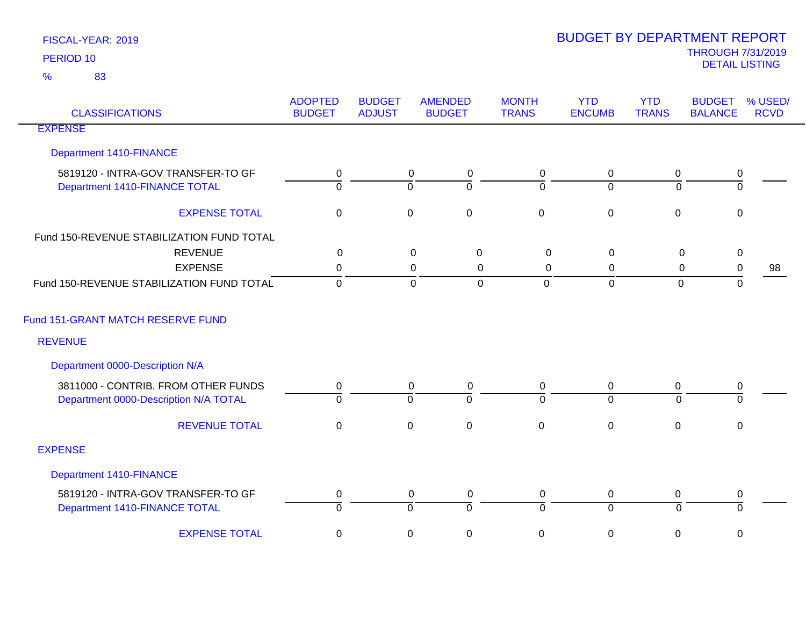| <b>CLASSIFICATIONS</b>                                              | <b>ADOPTED</b><br><b>BUDGET</b> | <b>BUDGET</b><br><b>ADJUST</b> | <b>AMENDED</b><br><b>BUDGET</b>                        | <b>MONTH</b><br><b>TRANS</b> | <b>YTD</b><br><b>ENCUMB</b> | <b>YTD</b><br><b>TRANS</b> | <b>BUDGET</b><br><b>BALANCE</b> | % USED/<br><b>RCVD</b> |
|---------------------------------------------------------------------|---------------------------------|--------------------------------|--------------------------------------------------------|------------------------------|-----------------------------|----------------------------|---------------------------------|------------------------|
| <b>EXPENSE</b>                                                      |                                 |                                |                                                        |                              |                             |                            |                                 |                        |
| Department 1410-FINANCE                                             |                                 |                                |                                                        |                              |                             |                            |                                 |                        |
| 5819120 - INTRA-GOV TRANSFER-TO GF<br>Department 1410-FINANCE TOTAL | 0<br>$\overline{0}$             |                                | $\mathbf 0$<br>$\boldsymbol{0}$<br>ō<br>$\overline{0}$ | 0<br>ō                       | 0<br>$\overline{0}$         | 0<br>$\Omega$              | 0<br>$\overline{0}$             |                        |
| <b>EXPENSE TOTAL</b>                                                | $\mathbf 0$                     |                                | $\mathbf 0$<br>$\pmb{0}$                               | $\pmb{0}$                    | $\mathbf 0$                 | $\overline{0}$             | $\mathbf 0$                     |                        |
| Fund 150-REVENUE STABILIZATION FUND TOTAL                           |                                 |                                |                                                        |                              |                             |                            |                                 |                        |
| <b>REVENUE</b>                                                      | $\mathbf 0$                     |                                | $\mathsf 0$<br>$\pmb{0}$                               | $\pmb{0}$                    | $\mathbf 0$                 | $\mathbf 0$                | $\pmb{0}$                       |                        |
| <b>EXPENSE</b>                                                      | 0                               |                                | $\mathbf 0$<br>$\mathbf 0$                             | $\mathbf 0$                  | 0                           | $\mathbf 0$                | $\pmb{0}$                       | 98                     |
| Fund 150-REVENUE STABILIZATION FUND TOTAL                           | $\mathbf 0$                     |                                | $\mathbf 0$<br>$\mathbf 0$                             | $\overline{0}$               | $\mathbf 0$                 | $\mathbf 0$                | $\mathsf 0$                     |                        |
| Fund 151-GRANT MATCH RESERVE FUND                                   |                                 |                                |                                                        |                              |                             |                            |                                 |                        |
| <b>REVENUE</b>                                                      |                                 |                                |                                                        |                              |                             |                            |                                 |                        |
| Department 0000-Description N/A                                     |                                 |                                |                                                        |                              |                             |                            |                                 |                        |
| 3811000 - CONTRIB. FROM OTHER FUNDS                                 | 0                               |                                | $\mathbf 0$<br>$\mathbf 0$                             | 0                            | $\mathbf 0$                 | 0                          | 0                               |                        |
| Department 0000-Description N/A TOTAL                               | $\overline{0}$                  |                                | $\overline{0}$<br>$\overline{0}$                       | $\overline{0}$               | $\overline{0}$              | $\Omega$                   | $\overline{0}$                  |                        |
| <b>REVENUE TOTAL</b>                                                | $\boldsymbol{0}$                |                                | $\pmb{0}$<br>$\pmb{0}$                                 | $\pmb{0}$                    | $\mathbf 0$                 | $\mathbf 0$                | $\mathbf 0$                     |                        |
| <b>EXPENSE</b>                                                      |                                 |                                |                                                        |                              |                             |                            |                                 |                        |
| Department 1410-FINANCE                                             |                                 |                                |                                                        |                              |                             |                            |                                 |                        |
| 5819120 - INTRA-GOV TRANSFER-TO GF                                  | $\boldsymbol{0}$                |                                | $\overline{0}$<br>$\mathbf 0$                          | 0                            | $\mathbf 0$                 | 0                          | $\pmb{0}$                       |                        |
| Department 1410-FINANCE TOTAL                                       | $\overline{0}$                  |                                | $\overline{0}$<br>$\overline{0}$                       | $\overline{0}$               | $\overline{0}$              | $\mathbf 0$                | ō                               |                        |
| <b>EXPENSE TOTAL</b>                                                | $\pmb{0}$                       |                                | $\pmb{0}$<br>$\pmb{0}$                                 | $\mathbf 0$                  | $\mathbf 0$                 | 0                          | 0                               |                        |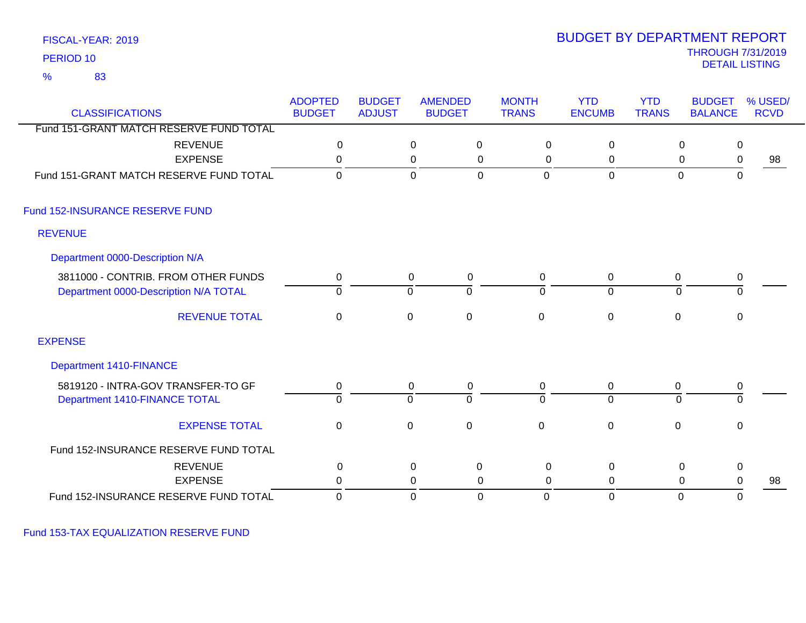83 %

# THROUGH 7/31/2019<br>DETAIL LISTING DETAIL LISTING PERIOD <sup>10</sup> BUDGET BY DEPARTMENT REPORT

|                                         | <b>ADOPTED</b> | <b>BUDGET</b> |             | <b>AMENDED</b> | <b>MONTH</b> | <b>YTD</b>     | <b>YTD</b>   | <b>BUDGET</b>  | % USED/        |
|-----------------------------------------|----------------|---------------|-------------|----------------|--------------|----------------|--------------|----------------|----------------|
| <b>CLASSIFICATIONS</b>                  | <b>BUDGET</b>  | <b>ADJUST</b> |             | <b>BUDGET</b>  | <b>TRANS</b> | <b>ENCUMB</b>  | <b>TRANS</b> | <b>BALANCE</b> | <b>RCVD</b>    |
| Fund 151-GRANT MATCH RESERVE FUND TOTAL |                |               |             |                |              |                |              |                |                |
| <b>REVENUE</b><br><b>EXPENSE</b>        | 0              |               | $\mathbf 0$ | 0              | 0            | 0              |              | $\mathbf 0$    | 0              |
|                                         | $\Omega$       |               | $\pmb{0}$   | 0              | 0            | 0              |              | $\mathbf 0$    | 0<br>98        |
| Fund 151-GRANT MATCH RESERVE FUND TOTAL | $\Omega$       |               | $\mathbf 0$ | $\mathbf 0$    | $\mathbf 0$  | $\mathbf 0$    |              | $\mathbf 0$    | $\mathbf 0$    |
| Fund 152-INSURANCE RESERVE FUND         |                |               |             |                |              |                |              |                |                |
| <b>REVENUE</b>                          |                |               |             |                |              |                |              |                |                |
| Department 0000-Description N/A         |                |               |             |                |              |                |              |                |                |
| 3811000 - CONTRIB. FROM OTHER FUNDS     | 0              |               | 0           | $\mathbf 0$    | 0            | 0              |              | 0              | 0              |
| Department 0000-Description N/A TOTAL   | $\overline{0}$ |               | 0           | ō              | $\Omega$     | $\overline{0}$ |              | $\Omega$       | $\mathbf 0$    |
| <b>REVENUE TOTAL</b>                    | $\mathbf 0$    |               | $\mathbf 0$ | $\mathbf 0$    | $\mathbf 0$  | $\pmb{0}$      | $\mathbf 0$  |                | $\mathbf 0$    |
| <b>EXPENSE</b>                          |                |               |             |                |              |                |              |                |                |
| <b>Department 1410-FINANCE</b>          |                |               |             |                |              |                |              |                |                |
| 5819120 - INTRA-GOV TRANSFER-TO GF      | 0              |               | 0           | $\mathbf 0$    | 0            | 0              |              | 0              | 0              |
| Department 1410-FINANCE TOTAL           | $\overline{0}$ |               | 0           | $\overline{0}$ | $\Omega$     | $\overline{0}$ |              | 0              | $\overline{0}$ |
| <b>EXPENSE TOTAL</b>                    | $\mathbf 0$    |               | $\mathbf 0$ | $\mathbf 0$    | $\mathbf 0$  | $\mathbf 0$    | $\mathbf 0$  |                | $\mathbf 0$    |
| Fund 152-INSURANCE RESERVE FUND TOTAL   |                |               |             |                |              |                |              |                |                |
| <b>REVENUE</b>                          | $\pmb{0}$      |               | $\pmb{0}$   | $\pmb{0}$      | $\mathsf 0$  | $\mathbf 0$    |              | $\mathbf 0$    | 0              |
| <b>EXPENSE</b>                          | 0              |               | 0           | 0              | 0            | $\Omega$       |              | $\mathbf 0$    | 0<br>98        |
| Fund 152-INSURANCE RESERVE FUND TOTAL   | 0              |               | 0           | 0              | 0            | $\mathbf 0$    |              | $\mathbf 0$    | 0              |

Fund 153-TAX EQUALIZATION RESERVE FUND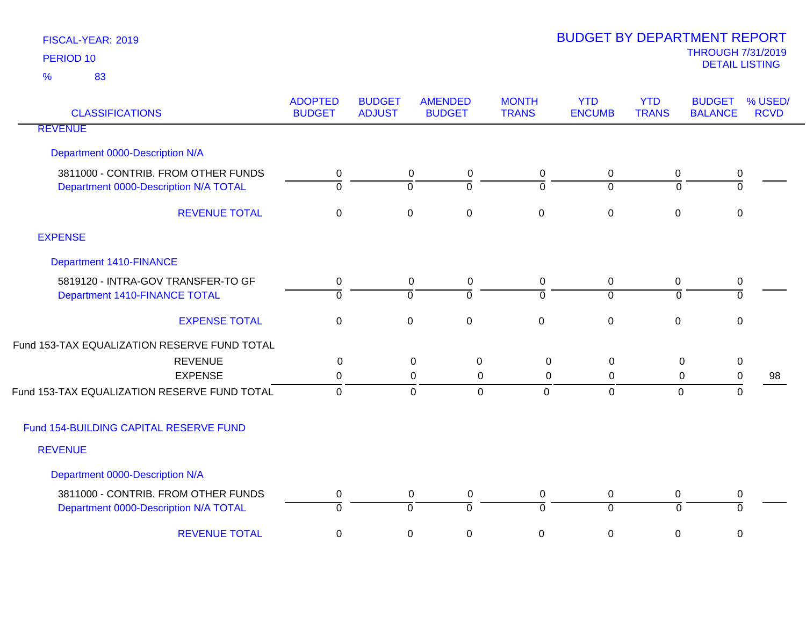| <b>CLASSIFICATIONS</b>                                                       | <b>ADOPTED</b><br><b>BUDGET</b>          | <b>BUDGET</b><br><b>ADJUST</b> | <b>AMENDED</b><br><b>BUDGET</b>       | <b>MONTH</b><br><b>TRANS</b> | <b>YTD</b><br><b>ENCUMB</b>   | <b>YTD</b><br><b>TRANS</b> | <b>BUDGET</b><br><b>BALANCE</b> | % USED/<br><b>RCVD</b> |
|------------------------------------------------------------------------------|------------------------------------------|--------------------------------|---------------------------------------|------------------------------|-------------------------------|----------------------------|---------------------------------|------------------------|
| <b>REVENUE</b>                                                               |                                          |                                |                                       |                              |                               |                            |                                 |                        |
| Department 0000-Description N/A                                              |                                          |                                |                                       |                              |                               |                            |                                 |                        |
| 3811000 - CONTRIB. FROM OTHER FUNDS<br>Department 0000-Description N/A TOTAL | $\mathbf 0$<br>$\overline{\mathfrak{o}}$ |                                | 0<br>0<br>$\overline{0}$<br>$\Omega$  | 0<br>$\Omega$                | $\mathbf 0$<br>$\overline{0}$ | 0<br>$\Omega$              | $\pmb{0}$<br>$\overline{0}$     |                        |
| <b>REVENUE TOTAL</b>                                                         | $\mathbf 0$                              |                                | $\mathsf 0$<br>$\mathbf 0$            | $\mathbf 0$                  | $\mathbf 0$                   | $\mathbf 0$                | $\mathbf 0$                     |                        |
| <b>EXPENSE</b>                                                               |                                          |                                |                                       |                              |                               |                            |                                 |                        |
| <b>Department 1410-FINANCE</b>                                               |                                          |                                |                                       |                              |                               |                            |                                 |                        |
| 5819120 - INTRA-GOV TRANSFER-TO GF<br>Department 1410-FINANCE TOTAL          | $\mathbf 0$<br>$\overline{0}$            |                                | $\pmb{0}$<br>0<br>$\overline{0}$<br>0 | $\pmb{0}$<br>0               | $\mathbf 0$<br>$\overline{0}$ | 0<br>$\overline{0}$        | $\pmb{0}$<br>$\mathbf 0$        |                        |
| <b>EXPENSE TOTAL</b>                                                         | $\mathbf 0$                              |                                | $\mathsf 0$<br>$\mathbf 0$            | $\mathbf 0$                  | $\mathbf 0$                   | $\mathbf 0$                | $\mathbf 0$                     |                        |
| Fund 153-TAX EQUALIZATION RESERVE FUND TOTAL                                 |                                          |                                |                                       |                              |                               |                            |                                 |                        |
| <b>REVENUE</b>                                                               | 0                                        |                                | 0<br>0                                | 0                            | 0                             | 0                          | $\mathbf 0$                     |                        |
| <b>EXPENSE</b>                                                               | 0                                        |                                | 0                                     | $\Omega$<br>0                | 0                             | 0                          | 0                               | 98                     |
| Fund 153-TAX EQUALIZATION RESERVE FUND TOTAL                                 | $\mathbf 0$                              |                                | $\mathbf 0$                           | $\mathbf 0$<br>$\mathbf 0$   | $\mathbf 0$                   | $\mathbf 0$                | 0                               |                        |
| Fund 154-BUILDING CAPITAL RESERVE FUND                                       |                                          |                                |                                       |                              |                               |                            |                                 |                        |
| <b>REVENUE</b>                                                               |                                          |                                |                                       |                              |                               |                            |                                 |                        |
| Department 0000-Description N/A                                              |                                          |                                |                                       |                              |                               |                            |                                 |                        |
| 3811000 - CONTRIB. FROM OTHER FUNDS                                          | 0                                        |                                | $\pmb{0}$<br>0                        | $\mathbf 0$                  | $\mathbf 0$                   | 0                          | $\pmb{0}$                       |                        |
| Department 0000-Description N/A TOTAL                                        | $\overline{0}$                           |                                | $\overline{0}$<br>$\overline{0}$      | $\overline{0}$               | $\overline{0}$                | ō                          | $\overline{0}$                  |                        |
| <b>REVENUE TOTAL</b>                                                         | 0                                        |                                | $\pmb{0}$<br>$\mathbf 0$              | 0                            | $\pmb{0}$                     | 0                          | 0                               |                        |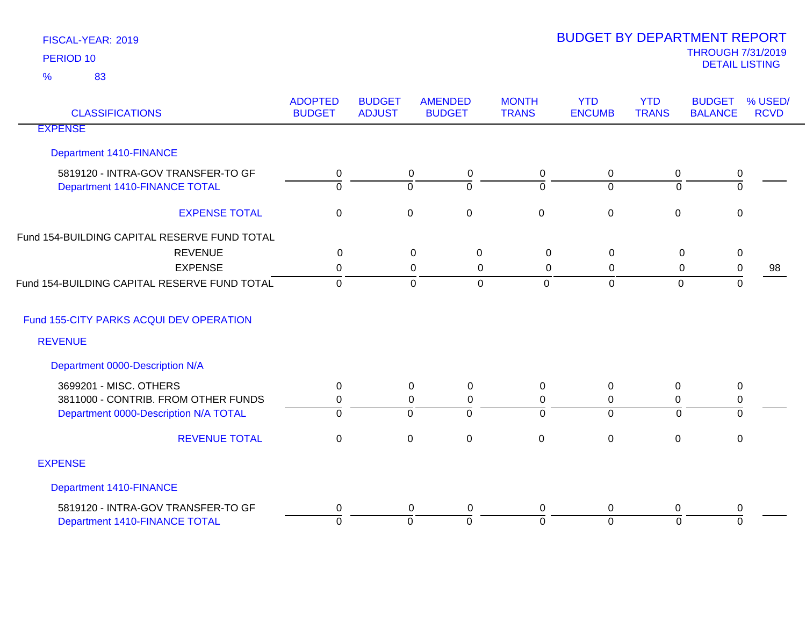| <b>CLASSIFICATIONS</b>                       | <b>ADOPTED</b><br><b>BUDGET</b> | <b>BUDGET</b><br><b>ADJUST</b> | <b>AMENDED</b><br><b>BUDGET</b> | <b>MONTH</b><br><b>TRANS</b> | <b>YTD</b><br><b>ENCUMB</b> | <b>YTD</b><br><b>TRANS</b> | <b>BUDGET</b><br><b>BALANCE</b> | % USED/<br><b>RCVD</b> |
|----------------------------------------------|---------------------------------|--------------------------------|---------------------------------|------------------------------|-----------------------------|----------------------------|---------------------------------|------------------------|
| <b>EXPENSE</b>                               |                                 |                                |                                 |                              |                             |                            |                                 |                        |
| Department 1410-FINANCE                      |                                 |                                |                                 |                              |                             |                            |                                 |                        |
| 5819120 - INTRA-GOV TRANSFER-TO GF           | 0                               |                                | $\pmb{0}$<br>$\mathbf 0$        | 0                            | $\mathbf 0$                 | $\mathbf 0$                | $\pmb{0}$                       |                        |
| Department 1410-FINANCE TOTAL                | $\overline{0}$                  |                                | $\overline{0}$<br>$\Omega$      | $\Omega$                     | $\overline{0}$              | $\overline{0}$             | $\overline{0}$                  |                        |
| <b>EXPENSE TOTAL</b>                         | $\boldsymbol{0}$                |                                | $\pmb{0}$<br>$\pmb{0}$          | $\mathbf 0$                  | $\boldsymbol{0}$            | $\mathbf 0$                | $\pmb{0}$                       |                        |
| Fund 154-BUILDING CAPITAL RESERVE FUND TOTAL |                                 |                                |                                 |                              |                             |                            |                                 |                        |
| <b>REVENUE</b>                               | $\mathbf 0$                     |                                | $\mathbf 0$<br>$\mathbf 0$      | $\mathbf 0$                  | 0                           | 0                          | $\pmb{0}$                       |                        |
| <b>EXPENSE</b>                               | 0                               |                                | $\mathbf 0$<br>$\mathbf 0$      | $\mathbf 0$                  | 0                           | 0                          | $\,0\,$                         | 98                     |
| Fund 154-BUILDING CAPITAL RESERVE FUND TOTAL | $\overline{0}$                  |                                | $\mathbf 0$<br>$\Omega$         | $\overline{0}$               | $\overline{0}$              | $\mathbf{0}$               | $\overline{0}$                  |                        |
| Fund 155-CITY PARKS ACQUI DEV OPERATION      |                                 |                                |                                 |                              |                             |                            |                                 |                        |
| <b>REVENUE</b>                               |                                 |                                |                                 |                              |                             |                            |                                 |                        |
| Department 0000-Description N/A              |                                 |                                |                                 |                              |                             |                            |                                 |                        |
| 3699201 - MISC. OTHERS                       | $\mathbf 0$                     |                                | $\mathsf 0$<br>0                | 0                            | 0                           | 0                          | $\pmb{0}$                       |                        |
| 3811000 - CONTRIB. FROM OTHER FUNDS          | 0                               |                                | $\mathsf 0$<br>0                | 0                            | $\mathbf 0$                 | 0                          | $\,0\,$                         |                        |
| Department 0000-Description N/A TOTAL        | $\Omega$                        |                                | 0<br>$\Omega$                   | $\Omega$                     | $\Omega$                    | $\Omega$                   | $\Omega$                        |                        |
| <b>REVENUE TOTAL</b>                         | $\mathbf 0$                     |                                | $\pmb{0}$<br>$\mathbf 0$        | $\mathbf 0$                  | $\mathbf 0$                 | $\mathbf 0$                | $\mathbf 0$                     |                        |
| <b>EXPENSE</b>                               |                                 |                                |                                 |                              |                             |                            |                                 |                        |
| Department 1410-FINANCE                      |                                 |                                |                                 |                              |                             |                            |                                 |                        |
| 5819120 - INTRA-GOV TRANSFER-TO GF           | 0                               |                                | 0<br>0                          | 0                            | 0                           | 0                          | 0                               |                        |
| Department 1410-FINANCE TOTAL                | $\overline{0}$                  |                                | $\overline{0}$<br>$\mathbf 0$   | $\Omega$                     | $\overline{0}$              | $\overline{0}$             | $\mathbf 0$                     |                        |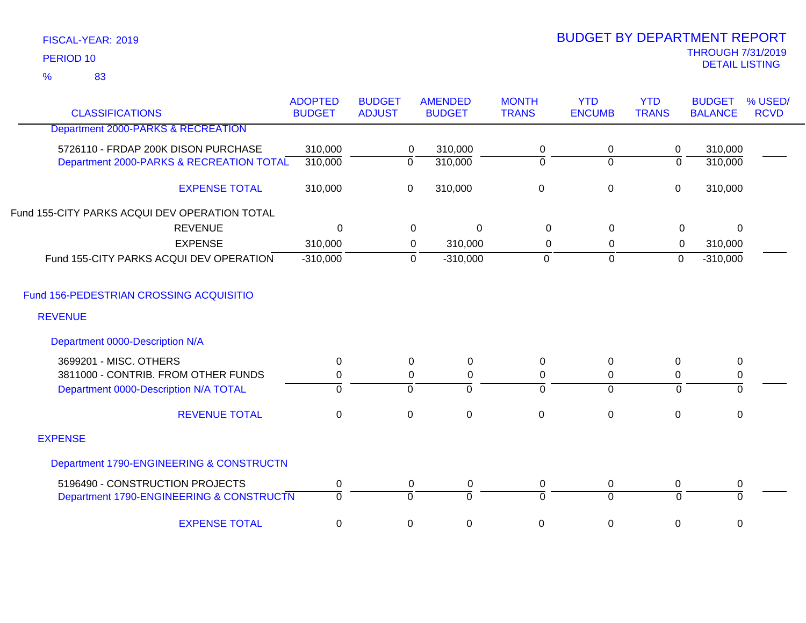83 %

| <b>CLASSIFICATIONS</b>                        | <b>ADOPTED</b><br><b>BUDGET</b> | <b>BUDGET</b><br><b>ADJUST</b> | <b>AMENDED</b><br><b>BUDGET</b> | <b>MONTH</b><br><b>TRANS</b> | <b>YTD</b><br><b>ENCUMB</b> | <b>YTD</b><br><b>TRANS</b> | <b>BUDGET</b><br><b>BALANCE</b> | % USED<br><b>RCVD</b> |
|-----------------------------------------------|---------------------------------|--------------------------------|---------------------------------|------------------------------|-----------------------------|----------------------------|---------------------------------|-----------------------|
| Department 2000-PARKS & RECREATION            |                                 |                                |                                 |                              |                             |                            |                                 |                       |
| 5726110 - FRDAP 200K DISON PURCHASE           | 310,000                         |                                | 310,000<br>0                    | 0                            | 0                           | 0                          | 310,000                         |                       |
| Department 2000-PARKS & RECREATION TOTAL      | 310,000                         |                                | $\overline{0}$<br>310,000       | 0                            | $\overline{0}$              | $\overline{0}$             | 310,000                         |                       |
| <b>EXPENSE TOTAL</b>                          | 310,000                         |                                | 310,000<br>0                    | 0                            | $\pmb{0}$                   | $\mathbf 0$                | 310,000                         |                       |
| Fund 155-CITY PARKS ACQUI DEV OPERATION TOTAL |                                 |                                |                                 |                              |                             |                            |                                 |                       |
| <b>REVENUE</b>                                | $\Omega$                        |                                | 0<br>$\Omega$                   | $\Omega$                     | $\mathbf 0$                 | 0                          | $\Omega$                        |                       |
| <b>EXPENSE</b>                                | 310,000                         |                                | 310,000<br>0                    | 0                            | 0                           | 0                          | 310,000                         |                       |
| Fund 155-CITY PARKS ACQUI DEV OPERATION       | $-310,000$                      |                                | $\mathbf 0$<br>$-310,000$       | $\overline{0}$               | $\mathbf 0$                 | $\mathbf 0$                | $-310,000$                      |                       |
| Fund 156-PEDESTRIAN CROSSING ACQUISITIO       |                                 |                                |                                 |                              |                             |                            |                                 |                       |
| <b>REVENUE</b>                                |                                 |                                |                                 |                              |                             |                            |                                 |                       |
| Department 0000-Description N/A               |                                 |                                |                                 |                              |                             |                            |                                 |                       |
| 3699201 - MISC. OTHERS                        | $\mathbf 0$                     |                                | $\mathbf 0$<br>$\mathbf 0$      | 0                            | 0                           | $\mathbf 0$                | $\pmb{0}$                       |                       |
| 3811000 - CONTRIB. FROM OTHER FUNDS           | 0                               |                                | $\boldsymbol{0}$<br>$\mathbf 0$ | 0                            | 0                           | 0                          | 0                               |                       |
| Department 0000-Description N/A TOTAL         | $\mathbf 0$                     | $\overline{0}$                 | $\Omega$                        | $\Omega$                     | $\overline{0}$              | $\Omega$                   | 0                               |                       |
| <b>REVENUE TOTAL</b>                          | $\mathbf 0$                     | $\pmb{0}$                      | $\mathbf 0$                     | $\mathbf 0$                  | $\mathbf 0$                 | 0                          | $\mathbf 0$                     |                       |
| <b>EXPENSE</b>                                |                                 |                                |                                 |                              |                             |                            |                                 |                       |
| Department 1790-ENGINEERING & CONSTRUCTN      |                                 |                                |                                 |                              |                             |                            |                                 |                       |
| 5196490 - CONSTRUCTION PROJECTS               | $\pmb{0}$                       |                                | 0<br>0                          | 0                            | 0                           | 0                          | $\pmb{0}$                       |                       |
| Department 1790-ENGINEERING & CONSTRUCTN      | $\overline{0}$                  | $\overline{0}$                 | $\Omega$                        | $\Omega$                     | $\overline{0}$              | $\overline{0}$             | $\overline{0}$                  |                       |
| <b>EXPENSE TOTAL</b>                          | $\mathbf 0$                     | $\pmb{0}$                      | 0                               | 0                            | 0                           | 0                          | 0                               |                       |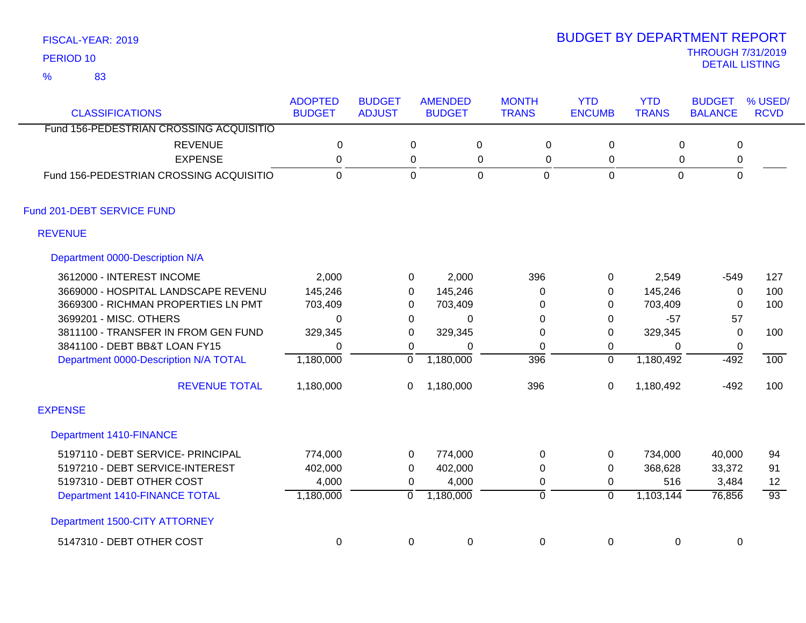83 %

| <b>CLASSIFICATIONS</b>                  | <b>ADOPTED</b><br><b>BUDGET</b> | <b>BUDGET</b><br><b>ADJUST</b> |                | <b>AMENDED</b><br><b>BUDGET</b> | <b>MONTH</b><br><b>TRANS</b> | <b>YTD</b><br><b>ENCUMB</b> | <b>YTD</b><br><b>TRANS</b> | <b>BUDGET</b><br><b>BALANCE</b> | % USED/<br><b>RCVD</b> |
|-----------------------------------------|---------------------------------|--------------------------------|----------------|---------------------------------|------------------------------|-----------------------------|----------------------------|---------------------------------|------------------------|
| Fund 156-PEDESTRIAN CROSSING ACQUISITIO |                                 |                                |                |                                 |                              |                             |                            |                                 |                        |
| <b>REVENUE</b>                          | $\mathbf 0$                     |                                | 0              | 0                               | 0                            | 0                           | 0                          | $\mathbf 0$                     |                        |
| <b>EXPENSE</b>                          | $\mathbf 0$                     |                                | 0              | $\pmb{0}$                       | 0                            | $\mathbf 0$                 | 0                          | 0                               |                        |
| Fund 156-PEDESTRIAN CROSSING ACQUISITIO | $\mathbf 0$                     |                                | $\mathbf 0$    | $\mathbf 0$                     | $\mathbf 0$                  | $\overline{0}$              | $\overline{0}$             | $\mathbf 0$                     |                        |
| Fund 201-DEBT SERVICE FUND              |                                 |                                |                |                                 |                              |                             |                            |                                 |                        |
| <b>REVENUE</b>                          |                                 |                                |                |                                 |                              |                             |                            |                                 |                        |
| Department 0000-Description N/A         |                                 |                                |                |                                 |                              |                             |                            |                                 |                        |
| 3612000 - INTEREST INCOME               | 2,000                           |                                | 0              | 2,000                           | 396                          | 0                           | 2,549                      | $-549$                          | 127                    |
| 3669000 - HOSPITAL LANDSCAPE REVENU     | 145,246                         |                                | 0              | 145,246                         | 0                            | 0                           | 145,246                    | $\mathbf 0$                     | 100                    |
| 3669300 - RICHMAN PROPERTIES LN PMT     | 703,409                         |                                | 0              | 703,409                         | 0                            | 0                           | 703,409                    | $\Omega$                        | 100                    |
| 3699201 - MISC. OTHERS                  | $\Omega$                        |                                | $\mathbf 0$    | 0                               | 0                            | 0                           | $-57$                      | 57                              |                        |
| 3811100 - TRANSFER IN FROM GEN FUND     | 329,345                         |                                | 0              | 329,345                         | 0                            | 0                           | 329,345                    | $\Omega$                        | 100                    |
| 3841100 - DEBT BB&T LOAN FY15           | $\Omega$                        |                                | 0              | $\Omega$                        | 0                            | 0                           | $\mathbf{0}$               | 0                               |                        |
| Department 0000-Description N/A TOTAL   | 1,180,000                       |                                | $\overline{0}$ | 1,180,000                       | 396                          | $\overline{0}$              | 1,180,492                  | $-492$                          | 100                    |
| <b>REVENUE TOTAL</b>                    | 1,180,000                       |                                | 0              | 1,180,000                       | 396                          | 0                           | 1,180,492                  | $-492$                          | 100                    |
| <b>EXPENSE</b>                          |                                 |                                |                |                                 |                              |                             |                            |                                 |                        |
| <b>Department 1410-FINANCE</b>          |                                 |                                |                |                                 |                              |                             |                            |                                 |                        |
| 5197110 - DEBT SERVICE- PRINCIPAL       | 774,000                         |                                | 0              | 774,000                         | 0                            | 0                           | 734,000                    | 40,000                          | 94                     |
| 5197210 - DEBT SERVICE-INTEREST         | 402,000                         |                                | 0              | 402,000                         | 0                            | 0                           | 368,628                    | 33,372                          | 91                     |
| 5197310 - DEBT OTHER COST               | 4,000                           |                                | 0              | 4,000                           | $\mathbf 0$                  | 0                           | 516                        | 3,484                           | 12                     |
| Department 1410-FINANCE TOTAL           | 1,180,000                       | $\overline{0}$                 |                | 1,180,000                       | 0                            | $\overline{0}$              | 1,103,144                  | 76,856                          | $\overline{93}$        |
| Department 1500-CITY ATTORNEY           |                                 |                                |                |                                 |                              |                             |                            |                                 |                        |
| 5147310 - DEBT OTHER COST               | 0                               |                                | $\mathbf 0$    | $\pmb{0}$                       | 0                            | 0                           | $\mathbf 0$                | 0                               |                        |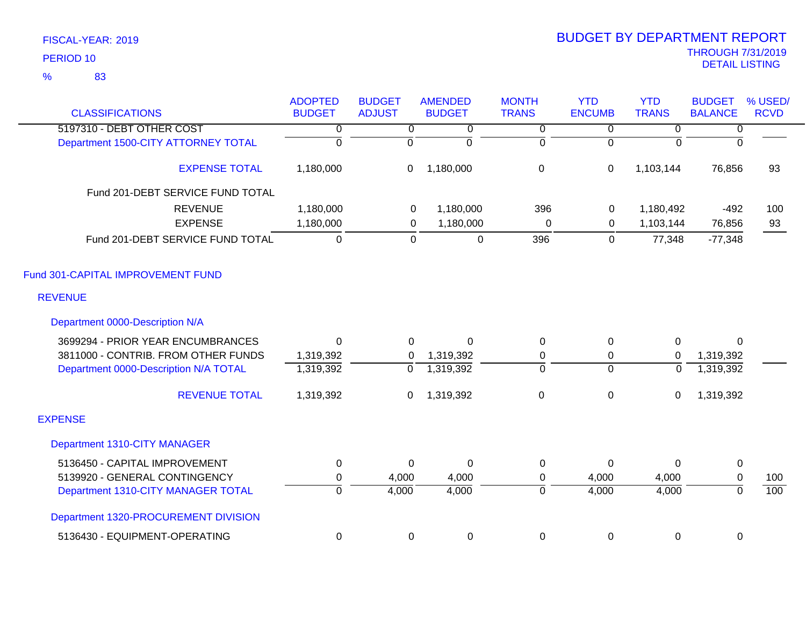| <b>CLASSIFICATIONS</b>                | <b>ADOPTED</b><br><b>BUDGET</b> | <b>BUDGET</b><br><b>ADJUST</b> | <b>AMENDED</b><br><b>BUDGET</b> | <b>MONTH</b><br><b>TRANS</b> | <b>YTD</b><br><b>ENCUMB</b> | <b>YTD</b><br><b>TRANS</b> | <b>BUDGET</b><br><b>BALANCE</b> | % USED/<br><b>RCVD</b> |
|---------------------------------------|---------------------------------|--------------------------------|---------------------------------|------------------------------|-----------------------------|----------------------------|---------------------------------|------------------------|
| 5197310 - DEBT OTHER COST             | 0                               | $\overline{0}$                 | 0                               | $\overline{0}$               | $\overline{0}$              | 0                          | $\overline{0}$                  |                        |
| Department 1500-CITY ATTORNEY TOTAL   | $\overline{0}$                  | $\overline{0}$                 | $\mathbf 0$                     | $\mathbf 0$                  | $\Omega$                    | $\Omega$                   | $\overline{0}$                  |                        |
| <b>EXPENSE TOTAL</b>                  | 1,180,000                       | $\boldsymbol{0}$               | 1,180,000                       | $\mathbf 0$                  | 0                           | 1,103,144                  | 76,856                          | 93                     |
| Fund 201-DEBT SERVICE FUND TOTAL      |                                 |                                |                                 |                              |                             |                            |                                 |                        |
| <b>REVENUE</b>                        | 1,180,000                       | $\mathbf 0$                    | 1,180,000                       | 396                          | 0                           | 1,180,492                  | $-492$                          | 100                    |
| <b>EXPENSE</b>                        | 1,180,000                       | $\mathbf 0$                    | 1,180,000                       | $\pmb{0}$                    | 0                           | 1,103,144                  | 76,856                          | 93                     |
| Fund 201-DEBT SERVICE FUND TOTAL      | $\mathbf 0$                     | $\mathbf 0$                    | $\pmb{0}$                       | 396                          | $\mathbf 0$                 | 77,348                     | $-77,348$                       |                        |
| Fund 301-CAPITAL IMPROVEMENT FUND     |                                 |                                |                                 |                              |                             |                            |                                 |                        |
| <b>REVENUE</b>                        |                                 |                                |                                 |                              |                             |                            |                                 |                        |
| Department 0000-Description N/A       |                                 |                                |                                 |                              |                             |                            |                                 |                        |
| 3699294 - PRIOR YEAR ENCUMBRANCES     | $\Omega$                        | 0                              | $\Omega$                        | 0                            | 0                           | 0                          | $\Omega$                        |                        |
| 3811000 - CONTRIB. FROM OTHER FUNDS   | 1,319,392                       | 0                              | 1,319,392                       | 0                            | 0                           | $\mathbf 0$                | 1,319,392                       |                        |
| Department 0000-Description N/A TOTAL | 1,319,392                       | $\overline{0}$                 | 1,319,392                       | $\overline{0}$               | $\overline{0}$              | $\overline{0}$             | 1,319,392                       |                        |
| <b>REVENUE TOTAL</b>                  | 1,319,392                       | 0                              | 1,319,392                       | $\pmb{0}$                    | 0                           | 0                          | 1,319,392                       |                        |
| <b>EXPENSE</b>                        |                                 |                                |                                 |                              |                             |                            |                                 |                        |
| Department 1310-CITY MANAGER          |                                 |                                |                                 |                              |                             |                            |                                 |                        |
| 5136450 - CAPITAL IMPROVEMENT         | $\mathbf 0$                     | 0                              | $\mathbf 0$                     | 0                            | 0                           | $\Omega$                   | $\pmb{0}$                       |                        |
| 5139920 - GENERAL CONTINGENCY         | 0                               | 4,000                          | 4,000                           | 0                            | 4,000                       | 4,000                      | $\mathbf 0$                     | 100                    |
| Department 1310-CITY MANAGER TOTAL    | $\overline{0}$                  | 4,000                          | 4,000                           | 0                            | 4,000                       | 4,000                      | $\overline{0}$                  | 100                    |
| Department 1320-PROCUREMENT DIVISION  |                                 |                                |                                 |                              |                             |                            |                                 |                        |
| 5136430 - EQUIPMENT-OPERATING         | 0                               | $\mathbf 0$                    | $\pmb{0}$                       | 0                            | 0                           | 0                          | 0                               |                        |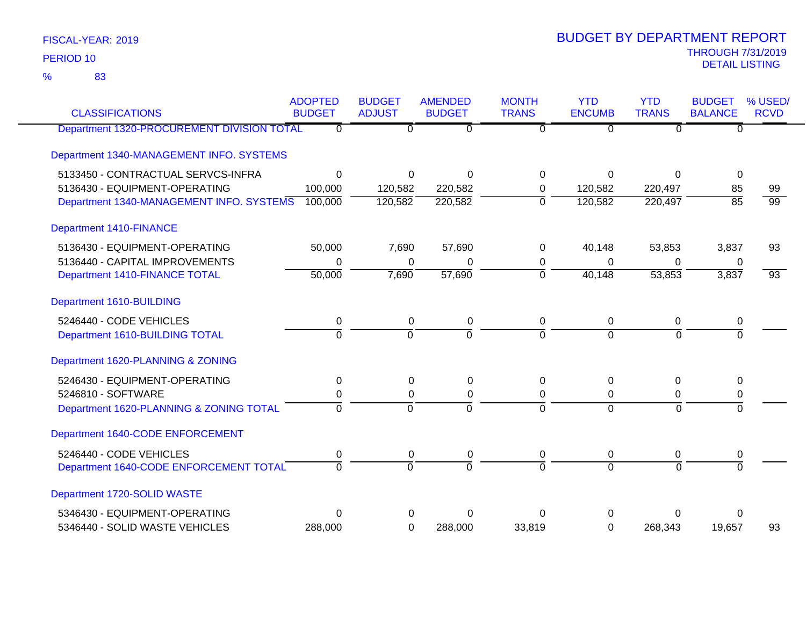83 %

| <b>CLASSIFICATIONS</b>                     | <b>ADOPTED</b><br><b>BUDGET</b> | <b>BUDGET</b><br><b>ADJUST</b> | <b>AMENDED</b><br><b>BUDGET</b> | <b>MONTH</b><br><b>TRANS</b> | <b>YTD</b><br><b>ENCUMB</b> | <b>YTD</b><br><b>TRANS</b> | <b>BUDGET</b><br><b>BALANCE</b> | % USED/<br><b>RCVD</b> |
|--------------------------------------------|---------------------------------|--------------------------------|---------------------------------|------------------------------|-----------------------------|----------------------------|---------------------------------|------------------------|
| Department 1320-PROCUREMENT DIVISION TOTAL | $\overline{0}$                  | $\overline{0}$                 | $\overline{0}$                  | $\overline{0}$               | $\Omega$                    | $\overline{0}$             | $\Omega$                        |                        |
| Department 1340-MANAGEMENT INFO. SYSTEMS   |                                 |                                |                                 |                              |                             |                            |                                 |                        |
| 5133450 - CONTRACTUAL SERVCS-INFRA         | $\overline{0}$                  | $\Omega$                       | $\Omega$                        | $\Omega$                     | $\Omega$                    | $\Omega$                   | $\Omega$                        |                        |
| 5136430 - EQUIPMENT-OPERATING              | 100,000                         | 120,582                        | 220,582                         | 0                            | 120,582                     | 220,497                    | 85                              | 99                     |
| Department 1340-MANAGEMENT INFO. SYSTEMS   | 100,000                         | 120,582                        | 220,582                         | $\overline{0}$               | 120,582                     | 220,497                    | $\overline{85}$                 | $\overline{99}$        |
| <b>Department 1410-FINANCE</b>             |                                 |                                |                                 |                              |                             |                            |                                 |                        |
| 5136430 - EQUIPMENT-OPERATING              | 50,000                          | 7,690                          | 57,690                          | $\Omega$                     | 40,148                      | 53,853                     | 3,837                           | 93                     |
| 5136440 - CAPITAL IMPROVEMENTS             | 0                               | 0                              | $\Omega$                        | 0                            | $\Omega$                    | $\Omega$                   | 0                               |                        |
| Department 1410-FINANCE TOTAL              | 50,000                          | 7,690                          | 57,690                          | $\mathbf 0$                  | 40,148                      | 53,853                     | 3,837                           | $\overline{93}$        |
| Department 1610-BUILDING                   |                                 |                                |                                 |                              |                             |                            |                                 |                        |
| 5246440 - CODE VEHICLES                    | $\pmb{0}$                       | $\mathbf 0$                    | $\pmb{0}$                       | $\mathbf 0$                  | $\mathbf 0$                 | 0                          | $\boldsymbol{0}$                |                        |
| Department 1610-BUILDING TOTAL             | $\Omega$                        | $\overline{0}$                 | $\overline{0}$                  | $\Omega$                     | $\overline{0}$              | $\Omega$                   | $\Omega$                        |                        |
| Department 1620-PLANNING & ZONING          |                                 |                                |                                 |                              |                             |                            |                                 |                        |
| 5246430 - EQUIPMENT-OPERATING              | $\mathbf 0$                     | 0                              | $\pmb{0}$                       | 0                            | $\Omega$                    | 0                          | $\mathbf{0}$                    |                        |
| 5246810 - SOFTWARE                         | 0                               | 0                              | $\pmb{0}$                       | $\Omega$                     | 0                           | 0                          | 0                               |                        |
| Department 1620-PLANNING & ZONING TOTAL    | $\overline{0}$                  | $\overline{0}$                 | $\overline{0}$                  | $\overline{0}$               | $\overline{0}$              | $\overline{0}$             | $\overline{0}$                  |                        |
| Department 1640-CODE ENFORCEMENT           |                                 |                                |                                 |                              |                             |                            |                                 |                        |
| 5246440 - CODE VEHICLES                    | 0                               | 0                              | $\pmb{0}$                       | $\mathbf 0$                  | $\overline{0}$              | 0                          | 0                               |                        |
| Department 1640-CODE ENFORCEMENT TOTAL     | $\overline{0}$                  | $\Omega$                       | $\overline{0}$                  | $\Omega$                     | $\Omega$                    | $\Omega$                   | $\overline{0}$                  |                        |
| Department 1720-SOLID WASTE                |                                 |                                |                                 |                              |                             |                            |                                 |                        |
| 5346430 - EQUIPMENT-OPERATING              | $\Omega$                        | 0                              | $\Omega$                        | ∩                            | O                           | U                          | 0                               |                        |
| 5346440 - SOLID WASTE VEHICLES             | 288,000                         | $\Omega$                       | 288,000                         | 33,819                       | $\Omega$                    | 268,343                    | 19,657                          | 93                     |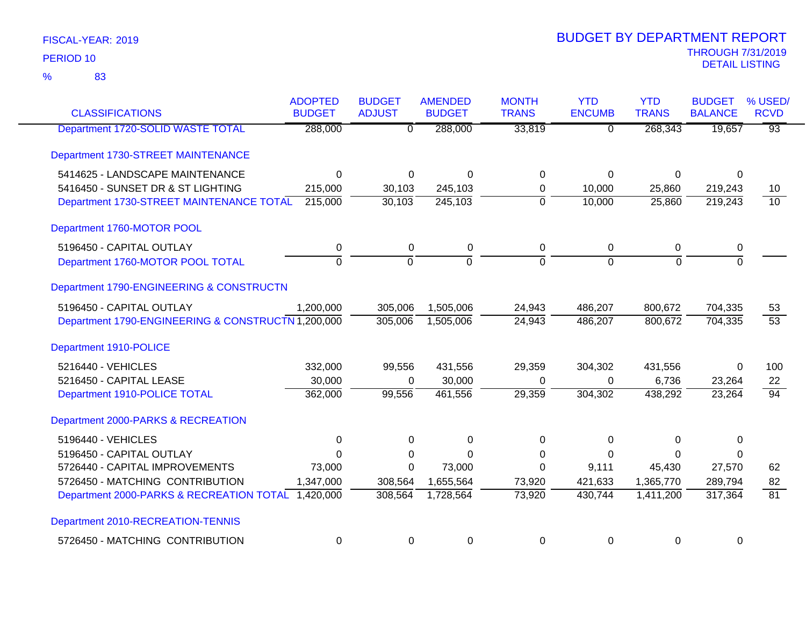83 %

| <b>CLASSIFICATIONS</b>                             | <b>ADOPTED</b><br><b>BUDGET</b> | <b>BUDGET</b><br><b>ADJUST</b> | <b>AMENDED</b><br><b>BUDGET</b> | <b>MONTH</b><br><b>TRANS</b> | <b>YTD</b><br><b>ENCUMB</b> | <b>YTD</b><br><b>TRANS</b> | <b>BUDGET</b><br><b>BALANCE</b> | % USED/<br><b>RCVD</b> |
|----------------------------------------------------|---------------------------------|--------------------------------|---------------------------------|------------------------------|-----------------------------|----------------------------|---------------------------------|------------------------|
| Department 1720-SOLID WASTE TOTAL                  | 288,000                         | $\overline{\mathfrak{o}}$      | 288,000                         | 33,819                       | $\overline{0}$              | 268,343                    | 19,657                          | $\overline{93}$        |
| Department 1730-STREET MAINTENANCE                 |                                 |                                |                                 |                              |                             |                            |                                 |                        |
| 5414625 - LANDSCAPE MAINTENANCE                    | $\Omega$                        | $\Omega$                       | $\Omega$                        | $\Omega$                     | $\Omega$                    | $\Omega$                   | $\Omega$                        |                        |
| 5416450 - SUNSET DR & ST LIGHTING                  | 215,000                         | 30,103                         | 245,103                         | $\mathbf 0$                  | 10,000                      | 25,860                     | 219,243                         | 10 <sup>°</sup>        |
| Department 1730-STREET MAINTENANCE TOTAL           | 215,000                         | 30,103                         | 245,103                         | $\overline{0}$               | 10,000                      | 25,860                     | 219,243                         | $\overline{10}$        |
| Department 1760-MOTOR POOL                         |                                 |                                |                                 |                              |                             |                            |                                 |                        |
| 5196450 - CAPITAL OUTLAY                           | 0                               | 0                              | 0                               | 0                            | 0                           | 0                          | 0                               |                        |
| Department 1760-MOTOR POOL TOTAL                   | $\overline{0}$                  | $\overline{0}$                 | $\overline{0}$                  | $\Omega$                     | $\Omega$                    | $\Omega$                   | $\overline{0}$                  |                        |
| Department 1790-ENGINEERING & CONSTRUCTN           |                                 |                                |                                 |                              |                             |                            |                                 |                        |
| 5196450 - CAPITAL OUTLAY                           | 1,200,000                       | 305,006                        | 1,505,006                       | 24,943                       | 486,207                     | 800,672                    | 704,335                         | 53                     |
| Department 1790-ENGINEERING & CONSTRUCTN 1,200,000 |                                 | 305,006                        | 1,505,006                       | 24,943                       | 486,207                     | 800,672                    | 704,335                         | $\overline{53}$        |
| Department 1910-POLICE                             |                                 |                                |                                 |                              |                             |                            |                                 |                        |
| 5216440 - VEHICLES                                 | 332,000                         | 99,556                         | 431,556                         | 29,359                       | 304,302                     | 431,556                    | 0                               | 100                    |
| 5216450 - CAPITAL LEASE                            | 30,000                          | $\Omega$                       | 30,000                          | $\Omega$                     | 0                           | 6,736                      | 23,264                          | 22                     |
| Department 1910-POLICE TOTAL                       | 362,000                         | 99,556                         | 461,556                         | 29,359                       | 304,302                     | 438,292                    | 23,264                          | $\overline{94}$        |
| Department 2000-PARKS & RECREATION                 |                                 |                                |                                 |                              |                             |                            |                                 |                        |
| 5196440 - VEHICLES                                 | $\Omega$                        | $\Omega$                       | 0                               | $\Omega$                     | $\Omega$                    | $\Omega$                   | 0                               |                        |
| 5196450 - CAPITAL OUTLAY                           | $\Omega$                        | 0                              | $\Omega$                        | 0                            | 0                           | $\Omega$                   | 0                               |                        |
| 5726440 - CAPITAL IMPROVEMENTS                     | 73,000                          | $\Omega$                       | 73,000                          | $\Omega$                     | 9,111                       | 45,430                     | 27,570                          | 62                     |
| 5726450 - MATCHING CONTRIBUTION                    | 1,347,000                       | 308,564                        | 1,655,564                       | 73,920                       | 421,633                     | 1,365,770                  | 289,794                         | 82                     |
| Department 2000-PARKS & RECREATION TOTAL           | 1,420,000                       | 308,564                        | 1,728,564                       | 73,920                       | 430,744                     | 1,411,200                  | 317,364                         | $\overline{81}$        |
| Department 2010-RECREATION-TENNIS                  |                                 |                                |                                 |                              |                             |                            |                                 |                        |
| 5726450 - MATCHING CONTRIBUTION                    | 0                               | 0                              | 0                               | 0                            | 0                           | 0                          | 0                               |                        |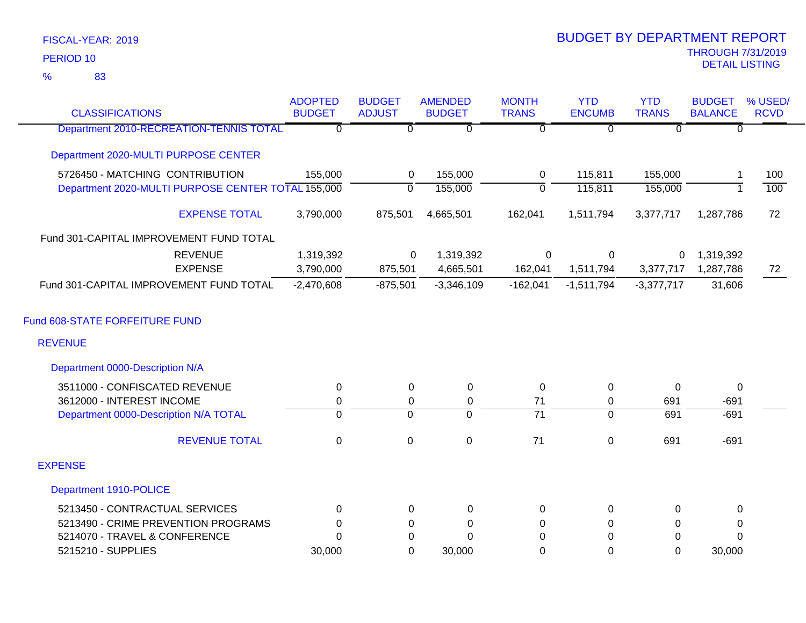83 %

| <b>CLASSIFICATIONS</b>                             | <b>ADOPTED</b><br><b>BUDGET</b> | <b>BUDGET</b><br><b>ADJUST</b> | <b>AMENDED</b><br><b>BUDGET</b> | <b>MONTH</b><br><b>TRANS</b> | <b>YTD</b><br><b>ENCUMB</b> | <b>YTD</b><br><b>TRANS</b> | <b>BUDGET</b><br><b>BALANCE</b> | % USED/<br><b>RCVD</b> |
|----------------------------------------------------|---------------------------------|--------------------------------|---------------------------------|------------------------------|-----------------------------|----------------------------|---------------------------------|------------------------|
| Department 2010-RECREATION-TENNIS TOTAL            | $\overline{0}$                  | $\overline{0}$                 | $\overline{0}$                  | $\overline{0}$               | $\overline{0}$              | $\Omega$                   | 0                               |                        |
| Department 2020-MULTI PURPOSE CENTER               |                                 |                                |                                 |                              |                             |                            |                                 |                        |
| 5726450 - MATCHING CONTRIBUTION                    | 155,000                         | 0                              | 155,000                         | 0                            | 115,811                     | 155,000                    | -1                              | 100                    |
| Department 2020-MULTI PURPOSE CENTER TOTAL 155,000 |                                 | $\mathbf 0$                    | 155,000                         | $\mathbf 0$                  | 115,811                     | 155,000                    | $\overline{1}$                  | 100                    |
| <b>EXPENSE TOTAL</b>                               | 3,790,000                       | 875,501                        | 4,665,501                       | 162,041                      | 1,511,794                   | 3,377,717                  | 1,287,786                       | 72                     |
| Fund 301-CAPITAL IMPROVEMENT FUND TOTAL            |                                 |                                |                                 |                              |                             |                            |                                 |                        |
| <b>REVENUE</b>                                     | 1,319,392                       | 0                              | 1,319,392                       | $\mathbf 0$                  | 0                           | 0                          | 1,319,392                       |                        |
| <b>EXPENSE</b>                                     | 3,790,000                       | 875,501                        | 4,665,501                       | 162,041                      | 1,511,794                   | 3,377,717                  | 1,287,786                       | 72                     |
| Fund 301-CAPITAL IMPROVEMENT FUND TOTAL            | $-2,470,608$                    | $-875,501$                     | $-3,346,109$                    | $-162,041$                   | $-1,511,794$                | $-3,377,717$               | 31,606                          |                        |
| Fund 608-STATE FORFEITURE FUND                     |                                 |                                |                                 |                              |                             |                            |                                 |                        |
| <b>REVENUE</b>                                     |                                 |                                |                                 |                              |                             |                            |                                 |                        |
| Department 0000-Description N/A                    |                                 |                                |                                 |                              |                             |                            |                                 |                        |
| 3511000 - CONFISCATED REVENUE                      | 0                               | $\Omega$                       | 0                               | 0                            | 0                           | $\Omega$                   | 0                               |                        |
| 3612000 - INTEREST INCOME                          | $\mathbf 0$                     | 0                              | $\pmb{0}$                       | 71                           | 0                           | 691                        | $-691$                          |                        |
| Department 0000-Description N/A TOTAL              | $\overline{0}$                  | $\overline{0}$                 | $\overline{0}$                  | $\overline{71}$              | $\overline{0}$              | 691                        | $-691$                          |                        |
| <b>REVENUE TOTAL</b>                               | $\mathbf 0$                     | 0                              | $\boldsymbol{0}$                | 71                           | $\pmb{0}$                   | 691                        | $-691$                          |                        |
| <b>EXPENSE</b>                                     |                                 |                                |                                 |                              |                             |                            |                                 |                        |
| Department 1910-POLICE                             |                                 |                                |                                 |                              |                             |                            |                                 |                        |
| 5213450 - CONTRACTUAL SERVICES                     | 0                               | 0                              | $\mathbf 0$                     | 0                            | 0                           | 0                          | 0                               |                        |
| 5213490 - CRIME PREVENTION PROGRAMS                | 0                               | 0                              | 0                               | 0                            | 0                           | 0                          | 0                               |                        |
| 5214070 - TRAVEL & CONFERENCE                      | $\Omega$                        | 0                              | $\Omega$                        | 0                            | 0                           | 0                          | 0                               |                        |
| 5215210 - SUPPLIES                                 | 30,000                          | $\overline{0}$                 | 30,000                          | 0                            | $\overline{0}$              | $\mathbf 0$                | 30,000                          |                        |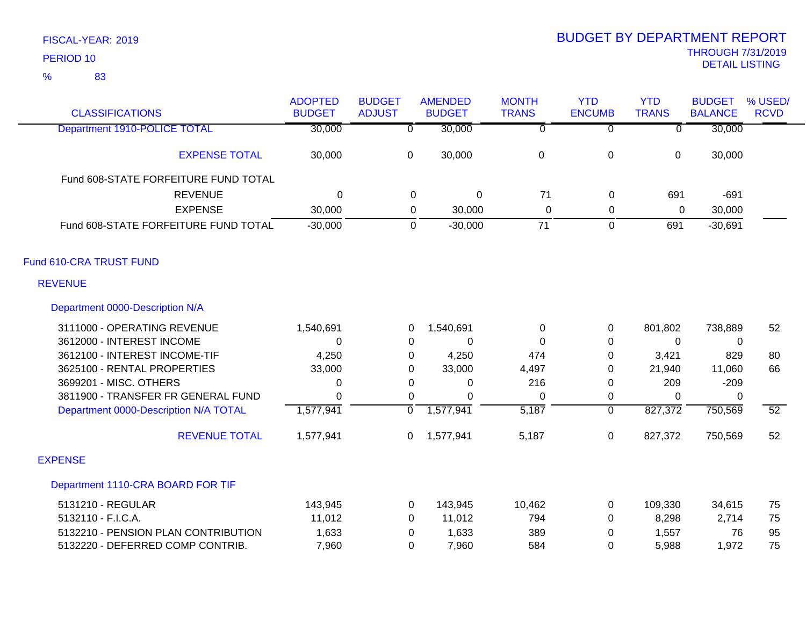| <b>CLASSIFICATIONS</b>                | <b>ADOPTED</b><br><b>BUDGET</b> | <b>BUDGET</b><br><b>ADJUST</b> | <b>AMENDED</b><br><b>BUDGET</b> | <b>MONTH</b><br><b>TRANS</b> | <b>YTD</b><br><b>ENCUMB</b> | <b>YTD</b><br><b>TRANS</b> | <b>BUDGET</b><br><b>BALANCE</b> | % USED/<br><b>RCVD</b> |
|---------------------------------------|---------------------------------|--------------------------------|---------------------------------|------------------------------|-----------------------------|----------------------------|---------------------------------|------------------------|
| Department 1910-POLICE TOTAL          | 30,000                          | $\overline{\mathfrak{o}}$      | 30,000                          | $\overline{0}$               | $\overline{0}$              | $\overline{\mathfrak{o}}$  | 30,000                          |                        |
| <b>EXPENSE TOTAL</b>                  | 30,000                          | $\mathbf 0$                    | 30,000                          | 0                            | $\pmb{0}$                   | 0                          | 30,000                          |                        |
| Fund 608-STATE FORFEITURE FUND TOTAL  |                                 |                                |                                 |                              |                             |                            |                                 |                        |
| <b>REVENUE</b>                        | $\Omega$                        | 0                              | $\overline{0}$                  | 71                           | 0                           | 691                        | $-691$                          |                        |
| <b>EXPENSE</b>                        | 30,000                          | $\mathbf 0$                    | 30,000                          | $\mathbf 0$                  | 0                           | 0                          | 30,000                          |                        |
| Fund 608-STATE FORFEITURE FUND TOTAL  | $-30,000$                       | $\mathbf 0$                    | $-30,000$                       | $\overline{71}$              | $\mathbf 0$                 | 691                        | $-30,691$                       |                        |
| Fund 610-CRA TRUST FUND               |                                 |                                |                                 |                              |                             |                            |                                 |                        |
| <b>REVENUE</b>                        |                                 |                                |                                 |                              |                             |                            |                                 |                        |
| Department 0000-Description N/A       |                                 |                                |                                 |                              |                             |                            |                                 |                        |
| 3111000 - OPERATING REVENUE           | 1,540,691                       | 0                              | 1,540,691                       | 0                            | 0                           | 801,802                    | 738,889                         | 52                     |
| 3612000 - INTEREST INCOME             | 0                               | 0                              | 0                               | $\Omega$                     | 0                           | 0                          | 0                               |                        |
| 3612100 - INTEREST INCOME-TIF         | 4,250                           | 0                              | 4,250                           | 474                          | $\pmb{0}$                   | 3,421                      | 829                             | 80                     |
| 3625100 - RENTAL PROPERTIES           | 33,000                          | 0                              | 33,000                          | 4,497                        | 0                           | 21,940                     | 11,060                          | 66                     |
| 3699201 - MISC. OTHERS                | 0                               | 0                              | 0                               | 216                          | 0                           | 209                        | $-209$                          |                        |
| 3811900 - TRANSFER FR GENERAL FUND    | $\Omega$                        | $\Omega$                       | $\Omega$                        | $\Omega$                     | 0                           | $\Omega$                   | $\Omega$                        |                        |
| Department 0000-Description N/A TOTAL | 1,577,941                       | $\overline{0}$                 | 1,577,941                       | 5,187                        | $\overline{0}$              | 827,372                    | 750,569                         | $\overline{52}$        |
| <b>REVENUE TOTAL</b>                  | 1,577,941                       | 0                              | 1,577,941                       | 5,187                        | $\pmb{0}$                   | 827,372                    | 750,569                         | 52                     |
| <b>EXPENSE</b>                        |                                 |                                |                                 |                              |                             |                            |                                 |                        |
| Department 1110-CRA BOARD FOR TIF     |                                 |                                |                                 |                              |                             |                            |                                 |                        |
| 5131210 - REGULAR                     | 143,945                         | 0                              | 143,945                         | 10,462                       | 0                           | 109,330                    | 34,615                          | 75                     |
| 5132110 - F.I.C.A.                    | 11,012                          | 0                              | 11,012                          | 794                          | 0                           | 8,298                      | 2,714                           | 75                     |
| 5132210 - PENSION PLAN CONTRIBUTION   | 1,633                           | 0                              | 1,633                           | 389                          | $\mathbf 0$                 | 1,557                      | 76                              | 95                     |
| 5132220 - DEFERRED COMP CONTRIB.      | 7,960                           | $\Omega$                       | 7,960                           | 584                          | $\Omega$                    | 5,988                      | 1,972                           | 75                     |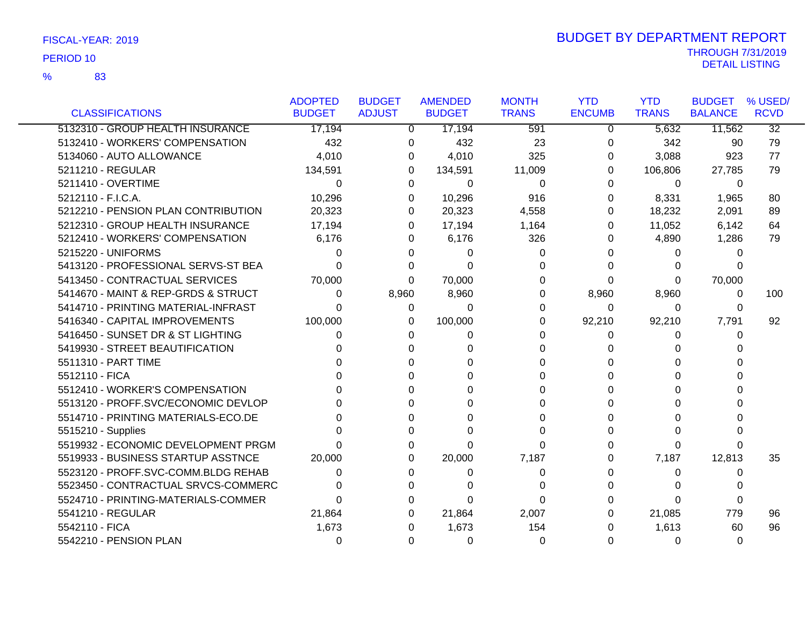83 %

|                                     | <b>ADOPTED</b> | <b>BUDGET</b> | <b>AMENDED</b> | <b>MONTH</b> | <b>YTD</b>    | <b>YTD</b>   | <b>BUDGET</b>  | % USED/         |
|-------------------------------------|----------------|---------------|----------------|--------------|---------------|--------------|----------------|-----------------|
| <b>CLASSIFICATIONS</b>              | <b>BUDGET</b>  | <b>ADJUST</b> | <b>BUDGET</b>  | <b>TRANS</b> | <b>ENCUMB</b> | <b>TRANS</b> | <b>BALANCE</b> | <b>RCVD</b>     |
| 5132310 - GROUP HEALTH INSURANCE    | 17,194         | 0             | 17,194         | 591          | 0             | 5,632        | 11,562         | $\overline{32}$ |
| 5132410 - WORKERS' COMPENSATION     | 432            | 0             | 432            | 23           | $\Omega$      | 342          | 90             | 79              |
| 5134060 - AUTO ALLOWANCE            | 4,010          | 0             | 4,010          | 325          | 0             | 3,088        | 923            | 77              |
| 5211210 - REGULAR                   | 134,591        | $\Omega$      | 134,591        | 11,009       | 0             | 106,806      | 27,785         | 79              |
| 5211410 - OVERTIME                  | $\Omega$       | 0             | 0              | $\Omega$     | 0             | $\Omega$     | $\Omega$       |                 |
| 5212110 - F.I.C.A.                  | 10,296         | 0             | 10,296         | 916          | 0             | 8,331        | 1,965          | 80              |
| 5212210 - PENSION PLAN CONTRIBUTION | 20,323         | 0             | 20,323         | 4,558        | 0             | 18,232       | 2,091          | 89              |
| 5212310 - GROUP HEALTH INSURANCE    | 17,194         | 0             | 17,194         | 1,164        | 0             | 11,052       | 6,142          | 64              |
| 5212410 - WORKERS' COMPENSATION     | 6,176          | 0             | 6,176          | 326          | 0             | 4,890        | 1,286          | 79              |
| 5215220 - UNIFORMS                  | 0              | O             | 0              | 0            | 0             | 0            | 0              |                 |
| 5413120 - PROFESSIONAL SERVS-ST BEA | ∩              | 0             | 0              | 0            | 0             | 0            | 0              |                 |
| 5413450 - CONTRACTUAL SERVICES      | 70,000         | 0             | 70,000         | 0            | $\Omega$      | 0            | 70,000         |                 |
| 5414670 - MAINT & REP-GRDS & STRUCT | 0              | 8,960         | 8,960          | $\Omega$     | 8,960         | 8,960        | $\Omega$       | 100             |
| 5414710 - PRINTING MATERIAL-INFRAST | 0              | 0             | $\Omega$       | 0            | $\Omega$      | 0            | 0              |                 |
| 5416340 - CAPITAL IMPROVEMENTS      | 100,000        | 0             | 100,000        | 0            | 92,210        | 92,210       | 7,791          | 92              |
| 5416450 - SUNSET DR & ST LIGHTING   | 0              | 0             | 0              | 0            | 0             | 0            | 0              |                 |
| 5419930 - STREET BEAUTIFICATION     | <sup>0</sup>   | 0             | 0              | 0            | 0             | 0            | 0              |                 |
| 5511310 - PART TIME                 |                |               | $\Omega$       | U            | 0             | 0            | 0              |                 |
| 5512110 - FICA                      |                |               | ∩              | 0            | 0             | 0            | 0              |                 |
| 5512410 - WORKER'S COMPENSATION     |                | 0             | 0              | 0            | 0             | 0            | 0              |                 |
| 5513120 - PROFF.SVC/ECONOMIC DEVLOP |                | O             | 0              | 0            | 0             | 0            | 0              |                 |
| 5514710 - PRINTING MATERIALS-ECO.DE |                |               | 0              | U            | 0             | 0            | U              |                 |
| 5515210 - Supplies                  |                | 0             | $\Omega$       | $\Omega$     | 0             | 0            | 0              |                 |
| 5519932 - ECONOMIC DEVELOPMENT PRGM |                | 0             | 0              | $\Omega$     | 0             | 0            | 0              |                 |
| 5519933 - BUSINESS STARTUP ASSTNCE  | 20,000         | 0             | 20,000         | 7,187        | 0             | 7,187        | 12,813         | 35              |
| 5523120 - PROFF.SVC-COMM.BLDG REHAB | 0              | 0             | 0              | 0            | 0             | 0            | 0              |                 |
| 5523450 - CONTRACTUAL SRVCS-COMMERC |                | 0             | 0              | 0            | 0             | 0            | 0              |                 |
| 5524710 - PRINTING-MATERIALS-COMMER | U              | <sup>0</sup>  | $\Omega$       | $\Omega$     | 0             | 0            | $\Omega$       |                 |
| 5541210 - REGULAR                   | 21,864         | 0             | 21,864         | 2,007        | 0             | 21,085       | 779            | 96              |
| 5542110 - FICA                      | 1,673          | 0             | 1,673          | 154          | 0             | 1,613        | 60             | 96              |
| 5542210 - PENSION PLAN              | 0              | 0             | 0              | 0            | 0             | 0            | $\Omega$       |                 |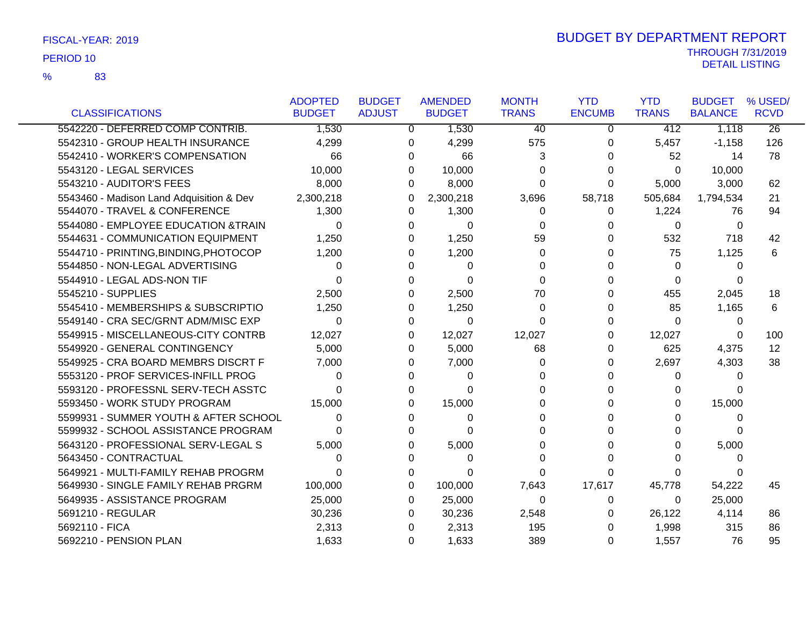|                                          | <b>ADOPTED</b> | <b>BUDGET</b> | <b>AMENDED</b> | <b>MONTH</b>    | <b>YTD</b>    | <b>YTD</b>   | <b>BUDGET</b>  | % USED/         |
|------------------------------------------|----------------|---------------|----------------|-----------------|---------------|--------------|----------------|-----------------|
| <b>CLASSIFICATIONS</b>                   | <b>BUDGET</b>  | <b>ADJUST</b> | <b>BUDGET</b>  | <b>TRANS</b>    | <b>ENCUMB</b> | <b>TRANS</b> | <b>BALANCE</b> | <b>RCVD</b>     |
| 5542220 - DEFERRED COMP CONTRIB.         | 1,530          | 0             | 1,530          | $\overline{40}$ | 0             | 412          | 1,118          | $\overline{26}$ |
| 5542310 - GROUP HEALTH INSURANCE         | 4,299          | 0             | 4,299          | 575             | 0             | 5,457        | $-1,158$       | 126             |
| 5542410 - WORKER'S COMPENSATION          | 66             | 0             | 66             | 3               | U             | 52           | 14             | 78              |
| 5543120 - LEGAL SERVICES                 | 10,000         | 0             | 10,000         | 0               | 0             | $\Omega$     | 10,000         |                 |
| 5543210 - AUDITOR'S FEES                 | 8,000          | 0             | 8,000          | 0               | 0             | 5,000        | 3,000          | 62              |
| 5543460 - Madison Land Adquisition & Dev | 2,300,218      | 0             | 2,300,218      | 3,696           | 58,718        | 505,684      | 1,794,534      | 21              |
| 5544070 - TRAVEL & CONFERENCE            | 1,300          | 0             | 1,300          | 0               | 0             | 1,224        | 76             | 94              |
| 5544080 - EMPLOYEE EDUCATION &TRAIN      | $\Omega$       | 0             | 0              | $\Omega$        | 0             | $\Omega$     | 0              |                 |
| 5544631 - COMMUNICATION EQUIPMENT        | 1,250          | 0             | 1,250          | 59              | O             | 532          | 718            | 42              |
| 5544710 - PRINTING, BINDING, PHOTOCOP    | 1,200          | 0             | 1,200          | 0               |               | 75           | 1,125          | 6               |
| 5544850 - NON-LEGAL ADVERTISING          | 0              | O             | 0              | $\Omega$        |               | $\Omega$     | 0              |                 |
| 5544910 - LEGAL ADS-NON TIF              | 0              | 0             | $\Omega$       | $\Omega$        |               | $\Omega$     | 0              |                 |
| 5545210 - SUPPLIES                       | 2,500          | 0             | 2,500          | 70              | O             | 455          | 2,045          | 18              |
| 5545410 - MEMBERSHIPS & SUBSCRIPTIO      | 1,250          | 0             | 1,250          | $\Omega$        | 0             | 85           | 1,165          | 6               |
| 5549140 - CRA SEC/GRNT ADM/MISC EXP      | $\Omega$       | $\Omega$      | 0              | $\Omega$        | U             | $\Omega$     | 0              |                 |
| 5549915 - MISCELLANEOUS-CITY CONTRB      | 12,027         | 0             | 12,027         | 12,027          | 0             | 12,027       | 0              | 100             |
| 5549920 - GENERAL CONTINGENCY            | 5,000          | 0             | 5,000          | 68              | U             | 625          | 4,375          | 12              |
| 5549925 - CRA BOARD MEMBRS DISCRT F      | 7,000          | 0             | 7,000          | 0               | 0             | 2,697        | 4,303          | 38              |
| 5553120 - PROF SERVICES-INFILL PROG      | 0              | 0             | 0              | 0               | U             | 0            | 0              |                 |
| 5593120 - PROFESSNL SERV-TECH ASSTC      | 0              | 0             | 0              | 0               |               | 0            | 0              |                 |
| 5593450 - WORK STUDY PROGRAM             | 15,000         | 0             | 15,000         | 0               | U             | 0            | 15,000         |                 |
| 5599931 - SUMMER YOUTH & AFTER SCHOOL    | 0              | 0             | 0              | 0               | U             | 0            | 0              |                 |
| 5599932 - SCHOOL ASSISTANCE PROGRAM      | 0              | 0             | 0              | 0               |               | 0            | 0              |                 |
| 5643120 - PROFESSIONAL SERV-LEGAL S      | 5,000          | 0             | 5,000          | 0               |               | 0            | 5,000          |                 |
| 5643450 - CONTRACTUAL                    | 0              |               | 0              | 0               | U             | 0            | 0              |                 |
| 5649921 - MULTI-FAMILY REHAB PROGRM      | 0              | $\Omega$      | 0              | $\Omega$        | $\Omega$      | 0            | 0              |                 |
| 5649930 - SINGLE FAMILY REHAB PRGRM      | 100,000        | 0             | 100,000        | 7,643           | 17,617        | 45,778       | 54,222         | 45              |
| 5649935 - ASSISTANCE PROGRAM             | 25,000         | 0             | 25,000         | $\Omega$        | 0             | 0            | 25,000         |                 |
| 5691210 - REGULAR                        | 30,236         | 0             | 30,236         | 2,548           | 0             | 26,122       | 4,114          | 86              |
| 5692110 - FICA                           | 2,313          | 0             | 2,313          | 195             |               | 1,998        | 315            | 86              |
| 5692210 - PENSION PLAN                   | 1,633          | 0             | 1,633          | 389             | 0             | 1,557        | 76             | 95              |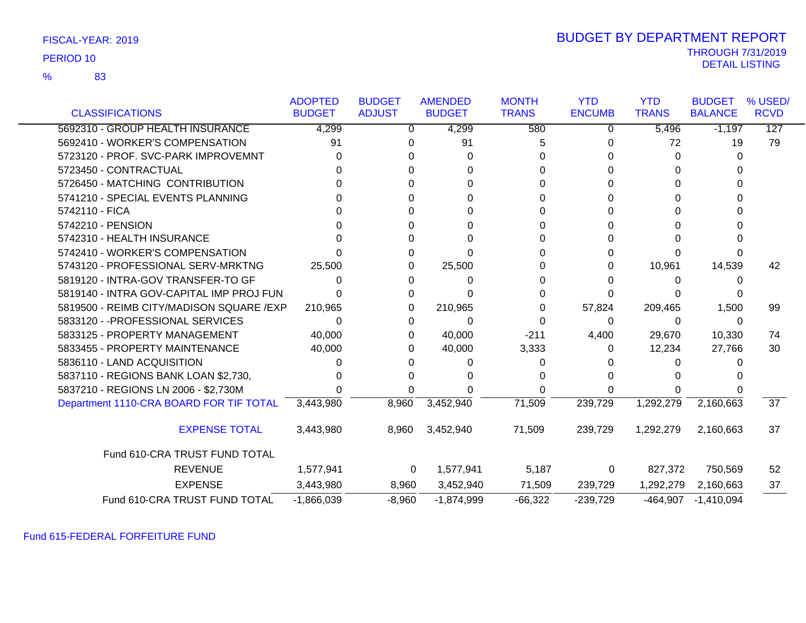| FISCAL-YEAR: 2019 |  |
|-------------------|--|
|-------------------|--|

83 %

# THROUGH 7/31/2019<br>DETAIL LISTING DETAIL LISTING PERIOD <sup>10</sup> BUDGET BY DEPARTMENT REPORT

|                                          | <b>ADOPTED</b> | <b>BUDGET</b> | <b>AMENDED</b> | <b>MONTH</b> | <b>YTD</b>    | <b>YTD</b>   | <b>BUDGET</b>  | % USED/         |
|------------------------------------------|----------------|---------------|----------------|--------------|---------------|--------------|----------------|-----------------|
| <b>CLASSIFICATIONS</b>                   | <b>BUDGET</b>  | <b>ADJUST</b> | <b>BUDGET</b>  | <b>TRANS</b> | <b>ENCUMB</b> | <b>TRANS</b> | <b>BALANCE</b> | <b>RCVD</b>     |
| 5692310 - GROUP HEALTH INSURANCE         | 4,299          | 0             | 4,299          | 580          | 0             | 5,496        | $-1,197$       | 127             |
| 5692410 - WORKER'S COMPENSATION          | 91             | 0             | 91             | 5            |               | 72           | 19             | 79              |
| 5723120 - PROF. SVC-PARK IMPROVEMNT      | 0              | 0             | 0              | 0            |               | 0            | $\Omega$       |                 |
| 5723450 - CONTRACTUAL                    |                |               | 0              | 0            |               | 0            | 0              |                 |
| 5726450 - MATCHING CONTRIBUTION          |                |               | U              | 0            |               | 0            | 0              |                 |
| 5741210 - SPECIAL EVENTS PLANNING        |                |               | 0              | 0            |               | 0            | 0              |                 |
| 5742110 - FICA                           |                | U             | 0              | 0            |               | 0            | 0              |                 |
| 5742210 - PENSION                        |                |               | 0              | 0            |               | 0            |                |                 |
| 5742310 - HEALTH INSURANCE               |                |               | $\Omega$       | 0            |               | 0            | 0              |                 |
| 5742410 - WORKER'S COMPENSATION          |                | 0             | U              | 0            |               | 0            | 0              |                 |
| 5743120 - PROFESSIONAL SERV-MRKTNG       | 25,500         | 0             | 25,500         | 0            | 0             | 10,961       | 14,539         | 42              |
| 5819120 - INTRA-GOV TRANSFER-TO GF       | 0              | 0             | 0              | 0            |               | 0            | 0              |                 |
| 5819140 - INTRA GOV-CAPITAL IMP PROJ FUN |                | 0             | U              | 0            |               |              |                |                 |
| 5819500 - REIMB CITY/MADISON SQUARE /EXP | 210,965        | 0             | 210,965        | 0            | 57,824        | 209,465      | 1,500          | 99              |
| 5833120 - - PROFESSIONAL SERVICES        | $\Omega$       | 0             | 0              | 0            | 0             | 0            | 0              |                 |
| 5833125 - PROPERTY MANAGEMENT            | 40,000         | 0             | 40,000         | $-211$       | 4,400         | 29,670       | 10,330         | 74              |
| 5833455 - PROPERTY MAINTENANCE           | 40,000         | 0             | 40,000         | 3,333        | 0             | 12,234       | 27,766         | 30              |
| 5836110 - LAND ACQUISITION               |                | 0             | 0              | 0            |               | 0            | 0              |                 |
| 5837110 - REGIONS BANK LOAN \$2,730,     |                | 0             | O              | 0            |               | O            |                |                 |
| 5837210 - REGIONS LN 2006 - \$2,730M     |                |               |                | 0            |               |              |                |                 |
| Department 1110-CRA BOARD FOR TIF TOTAL  | 3,443,980      | 8,960         | 3,452,940      | 71,509       | 239,729       | 1,292,279    | 2,160,663      | $\overline{37}$ |
| <b>EXPENSE TOTAL</b>                     | 3,443,980      | 8,960         | 3,452,940      | 71,509       | 239,729       | 1,292,279    | 2,160,663      | 37              |
| Fund 610-CRA TRUST FUND TOTAL            |                |               |                |              |               |              |                |                 |
| <b>REVENUE</b>                           | 1,577,941      | 0             | 1,577,941      | 5,187        | 0             | 827,372      | 750,569        | 52              |
| <b>EXPENSE</b>                           | 3,443,980      | 8,960         | 3,452,940      | 71,509       | 239,729       | 1,292,279    | 2,160,663      | 37              |
| Fund 610-CRA TRUST FUND TOTAL            | $-1,866,039$   | $-8,960$      | $-1,874,999$   | $-66,322$    | $-239,729$    | $-464,907$   | $-1,410,094$   |                 |

Fund 615-FEDERAL FORFEITURE FUND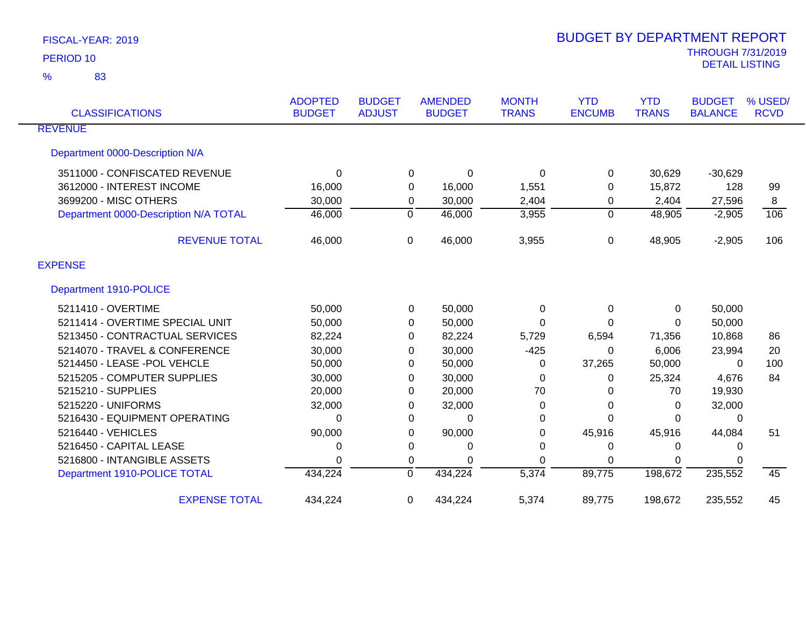| <b>CLASSIFICATIONS</b>                | <b>ADOPTED</b><br><b>BUDGET</b> | <b>BUDGET</b><br><b>ADJUST</b> | <b>AMENDED</b><br><b>BUDGET</b> | <b>MONTH</b><br><b>TRANS</b> | <b>YTD</b><br><b>ENCUMB</b> | <b>YTD</b><br><b>TRANS</b> | <b>BUDGET</b><br><b>BALANCE</b> | % USED/<br><b>RCVD</b> |
|---------------------------------------|---------------------------------|--------------------------------|---------------------------------|------------------------------|-----------------------------|----------------------------|---------------------------------|------------------------|
| <b>REVENUE</b>                        |                                 |                                |                                 |                              |                             |                            |                                 |                        |
| Department 0000-Description N/A       |                                 |                                |                                 |                              |                             |                            |                                 |                        |
| 3511000 - CONFISCATED REVENUE         | 0                               | 0                              | 0                               | 0                            | 0                           | 30,629                     | $-30,629$                       |                        |
| 3612000 - INTEREST INCOME             | 16,000                          | 0                              | 16,000                          | 1,551                        | 0                           | 15,872                     | 128                             | 99                     |
| 3699200 - MISC OTHERS                 | 30,000                          | 0                              | 30,000                          | 2,404                        | 0                           | 2,404                      | 27,596                          | 8                      |
| Department 0000-Description N/A TOTAL | 46,000                          | $\mathbf 0$                    | 46,000                          | 3,955                        | $\overline{0}$              | 48,905                     | $-2,905$                        | 106                    |
| <b>REVENUE TOTAL</b>                  | 46,000                          | $\Omega$                       | 46,000                          | 3,955                        | 0                           | 48,905                     | $-2,905$                        | 106                    |
| <b>EXPENSE</b>                        |                                 |                                |                                 |                              |                             |                            |                                 |                        |
| Department 1910-POLICE                |                                 |                                |                                 |                              |                             |                            |                                 |                        |
| 5211410 - OVERTIME                    | 50,000                          | 0                              | 50,000                          | 0                            | 0                           | 0                          | 50,000                          |                        |
| 5211414 - OVERTIME SPECIAL UNIT       | 50,000                          | 0                              | 50,000                          | 0                            | 0                           | 0                          | 50,000                          |                        |
| 5213450 - CONTRACTUAL SERVICES        | 82,224                          | 0                              | 82,224                          | 5,729                        | 6,594                       | 71,356                     | 10,868                          | 86                     |
| 5214070 - TRAVEL & CONFERENCE         | 30,000                          | 0                              | 30,000                          | $-425$                       | 0                           | 6,006                      | 23,994                          | 20                     |
| 5214450 - LEASE -POL VEHCLE           | 50,000                          | 0                              | 50,000                          | 0                            | 37,265                      | 50,000                     | $\Omega$                        | 100                    |
| 5215205 - COMPUTER SUPPLIES           | 30,000                          | 0                              | 30,000                          | 0                            | 0                           | 25,324                     | 4,676                           | 84                     |
| 5215210 - SUPPLIES                    | 20,000                          | 0                              | 20,000                          | 70                           | 0                           | 70                         | 19,930                          |                        |
| 5215220 - UNIFORMS                    | 32,000                          | 0                              | 32,000                          | 0                            | 0                           | 0                          | 32,000                          |                        |
| 5216430 - EQUIPMENT OPERATING         | 0                               | 0                              | 0                               | $\Omega$                     | 0                           | $\Omega$                   | 0                               |                        |
| 5216440 - VEHICLES                    | 90,000                          | 0                              | 90,000                          | 0                            | 45,916                      | 45,916                     | 44,084                          | 51                     |
| 5216450 - CAPITAL LEASE               | 0                               | 0                              | 0                               | 0                            | 0                           | 0                          | 0                               |                        |
| 5216800 - INTANGIBLE ASSETS           | $\Omega$                        | 0                              | 0                               | $\Omega$                     | 0                           | $\Omega$                   | 0                               |                        |
| Department 1910-POLICE TOTAL          | 434,224                         | $\Omega$                       | 434,224                         | 5,374                        | 89,775                      | 198,672                    | 235,552                         | 45                     |
| <b>EXPENSE TOTAL</b>                  | 434,224                         | 0                              | 434,224                         | 5,374                        | 89,775                      | 198,672                    | 235,552                         | 45                     |